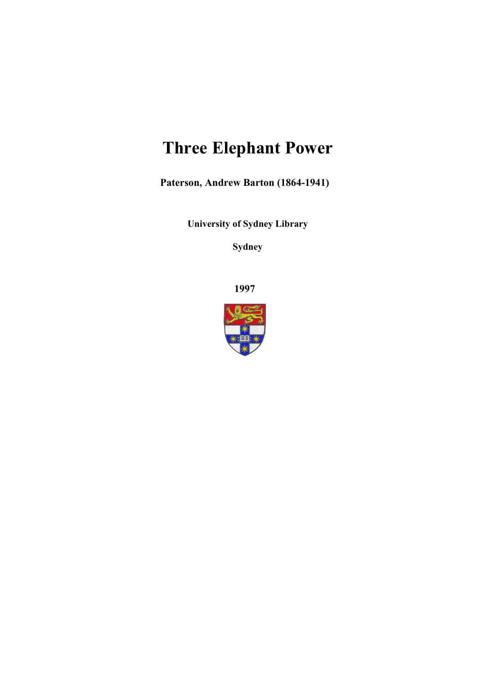## **Three Elephant Power**

**Paterson, Andrew Barton (1864-1941)**

**University of Sydney Library** 

**Sydney** 

**1997**

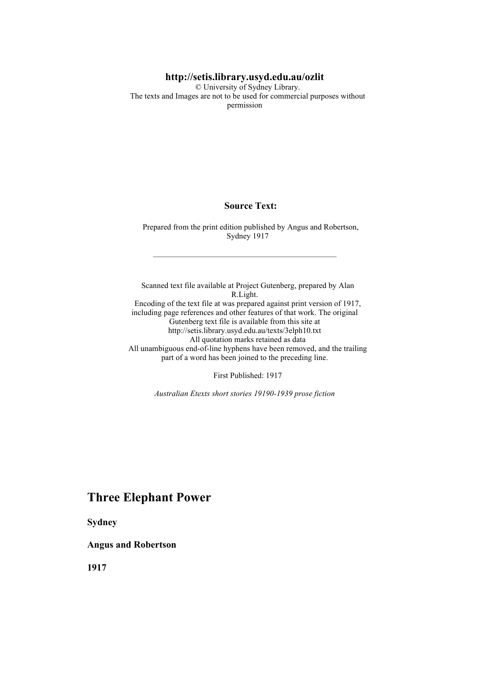#### **http://setis.library.usyd.edu.au/ozlit**

 © University of Sydney Library. The texts and Images are not to be used for commercial purposes without permission

#### **Source Text:**

 Prepared from the print edition published by Angus and Robertson, Sydney 1917

 Scanned text file available at Project Gutenberg, prepared by Alan R.Light. Encoding of the text file at was prepared against print version of 1917, including page references and other features of that work. The original Gutenberg text file is available from this site at http://setis.library.usyd.edu.au/texts/3elph10.txt All quotation marks retained as data All unambiguous end-of-line hyphens have been removed, and the trailing part of a word has been joined to the preceding line.

First Published: 1917

*Australian Etexts short stories 19190-1939 prose fiction*

#### **Three Elephant Power**

**Sydney** 

#### **Angus and Robertson**

**1917**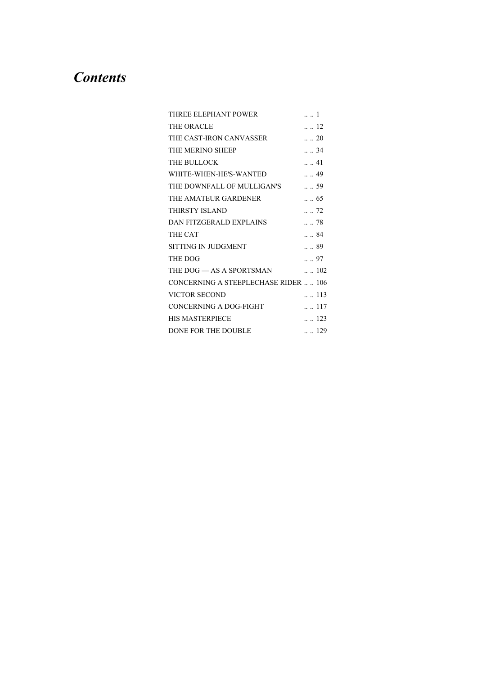## *Contents*

| THREE ELEPHANT POWER                        | 1                |
|---------------------------------------------|------------------|
| THE ORACLE                                  | $\ldots$ 12      |
| THE CAST-IRON CANVASSER  20                 |                  |
| THE MERINO SHEEP                            | . 34             |
| THE BULLOCK                                 | . 41             |
| WHITE-WHEN-HE'S-WANTED  49                  |                  |
| THE DOWNFALL OF MULLIGAN'S  . 59            |                  |
| THE AMATEUR GARDENER  . 65                  |                  |
| THIRSTY ISLAND                              | $\ldots$ 72      |
| DAN FITZGERALD EXPLAINS  78                 |                  |
| <b>THE CAT</b>                              | $\ldots$ 84      |
| SITTING IN JUDGMENT                         | $\ldots$ 89      |
| THE DOG                                     | $\ldots$ 97      |
| THE DOG — AS A SPORTSMAN $\qquad \dots 102$ |                  |
| <b>CONCERNING A STEEPLECHASE RIDER  106</b> |                  |
| VICTOR SECOND                               | $\therefore$ 113 |
| CONCERNING A DOG-FIGHT  117                 |                  |
| <b>HIS MASTERPIECE</b>                      | $\ldots$ 123     |
| DONE FOR THE DOUBLE                         | $\ldots$ 129     |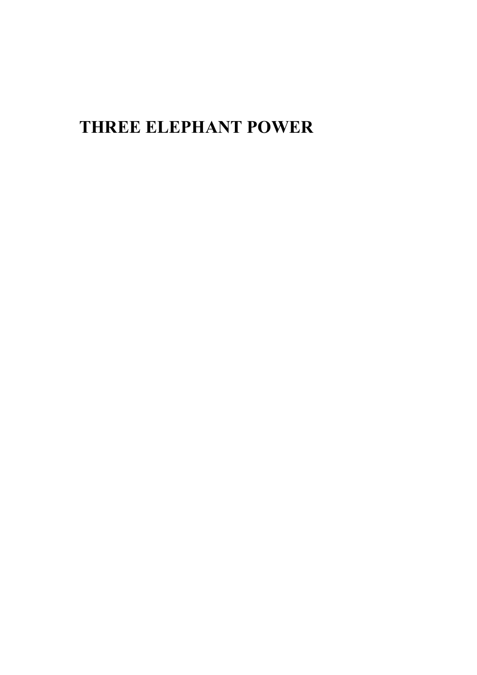# **THREE ELEPHANT POWER**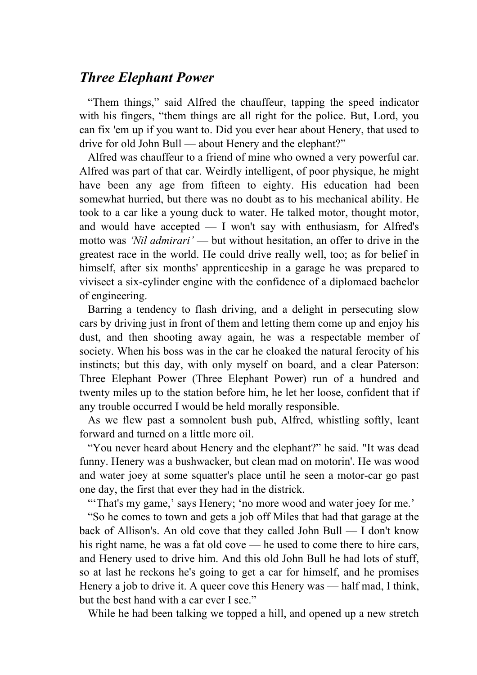## *Three Elephant Power*

 "Them things," said Alfred the chauffeur, tapping the speed indicator with his fingers, "them things are all right for the police. But, Lord, you can fix 'em up if you want to. Did you ever hear about Henery, that used to drive for old John Bull — about Henery and the elephant?"

 Alfred was chauffeur to a friend of mine who owned a very powerful car. Alfred was part of that car. Weirdly intelligent, of poor physique, he might have been any age from fifteen to eighty. His education had been somewhat hurried, but there was no doubt as to his mechanical ability. He took to a car like a young duck to water. He talked motor, thought motor, and would have accepted — I won't say with enthusiasm, for Alfred's motto was *'Nil admirari'* — but without hesitation, an offer to drive in the greatest race in the world. He could drive really well, too; as for belief in himself, after six months' apprenticeship in a garage he was prepared to vivisect a six-cylinder engine with the confidence of a diplomaed bachelor of engineering.

 Barring a tendency to flash driving, and a delight in persecuting slow cars by driving just in front of them and letting them come up and enjoy his dust, and then shooting away again, he was a respectable member of society. When his boss was in the car he cloaked the natural ferocity of his instincts; but this day, with only myself on board, and a clear Paterson: Three Elephant Power (Three Elephant Power) run of a hundred and twenty miles up to the station before him, he let her loose, confident that if any trouble occurred I would be held morally responsible.

 As we flew past a somnolent bush pub, Alfred, whistling softly, leant forward and turned on a little more oil.

 "You never heard about Henery and the elephant?" he said. "It was dead funny. Henery was a bushwacker, but clean mad on motorin'. He was wood and water joey at some squatter's place until he seen a motor-car go past one day, the first that ever they had in the districk.

"That's my game,' says Henery; 'no more wood and water joey for me.'

 "So he comes to town and gets a job off Miles that had that garage at the back of Allison's. An old cove that they called John Bull — I don't know his right name, he was a fat old cove — he used to come there to hire cars, and Henery used to drive him. And this old John Bull he had lots of stuff, so at last he reckons he's going to get a car for himself, and he promises Henery a job to drive it. A queer cove this Henery was — half mad, I think, but the best hand with a car ever I see."

While he had been talking we topped a hill, and opened up a new stretch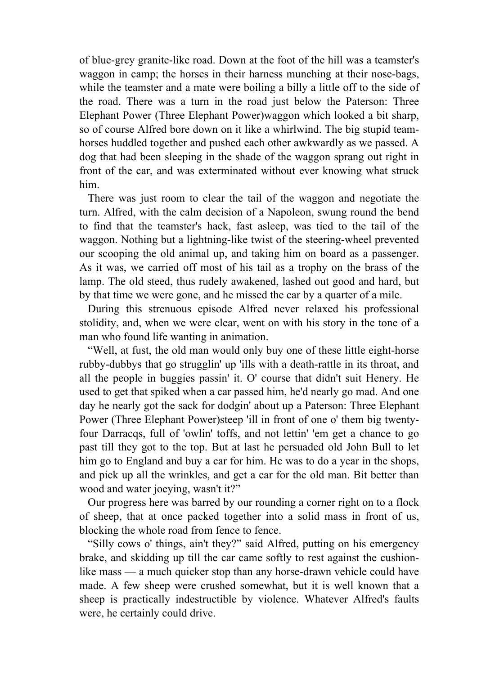of blue-grey granite-like road. Down at the foot of the hill was a teamster's waggon in camp; the horses in their harness munching at their nose-bags, while the teamster and a mate were boiling a billy a little off to the side of the road. There was a turn in the road just below the Paterson: Three Elephant Power (Three Elephant Power)waggon which looked a bit sharp, so of course Alfred bore down on it like a whirlwind. The big stupid teamhorses huddled together and pushed each other awkwardly as we passed. A dog that had been sleeping in the shade of the waggon sprang out right in front of the car, and was exterminated without ever knowing what struck him.

 There was just room to clear the tail of the waggon and negotiate the turn. Alfred, with the calm decision of a Napoleon, swung round the bend to find that the teamster's hack, fast asleep, was tied to the tail of the waggon. Nothing but a lightning-like twist of the steering-wheel prevented our scooping the old animal up, and taking him on board as a passenger. As it was, we carried off most of his tail as a trophy on the brass of the lamp. The old steed, thus rudely awakened, lashed out good and hard, but by that time we were gone, and he missed the car by a quarter of a mile.

 During this strenuous episode Alfred never relaxed his professional stolidity, and, when we were clear, went on with his story in the tone of a man who found life wanting in animation.

 "Well, at fust, the old man would only buy one of these little eight-horse rubby-dubbys that go strugglin' up 'ills with a death-rattle in its throat, and all the people in buggies passin' it. O' course that didn't suit Henery. He used to get that spiked when a car passed him, he'd nearly go mad. And one day he nearly got the sack for dodgin' about up a Paterson: Three Elephant Power (Three Elephant Power)steep 'ill in front of one o' them big twentyfour Darracqs, full of 'owlin' toffs, and not lettin' 'em get a chance to go past till they got to the top. But at last he persuaded old John Bull to let him go to England and buy a car for him. He was to do a year in the shops, and pick up all the wrinkles, and get a car for the old man. Bit better than wood and water joeying, wasn't it?"

 Our progress here was barred by our rounding a corner right on to a flock of sheep, that at once packed together into a solid mass in front of us, blocking the whole road from fence to fence.

 "Silly cows o' things, ain't they?" said Alfred, putting on his emergency brake, and skidding up till the car came softly to rest against the cushionlike mass — a much quicker stop than any horse-drawn vehicle could have made. A few sheep were crushed somewhat, but it is well known that a sheep is practically indestructible by violence. Whatever Alfred's faults were, he certainly could drive.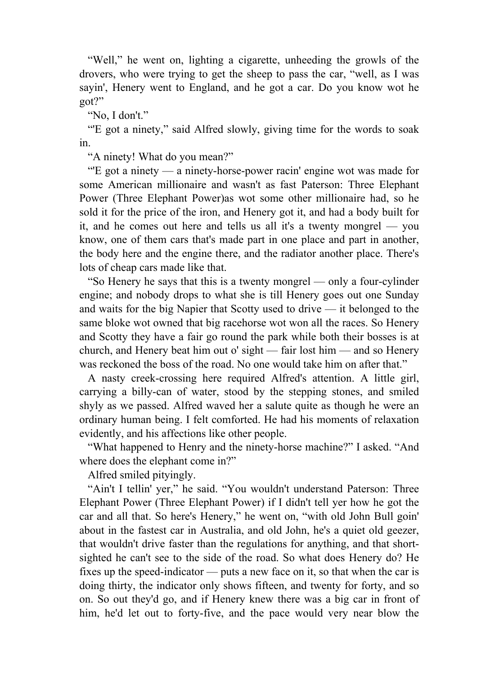"Well," he went on, lighting a cigarette, unheeding the growls of the drovers, who were trying to get the sheep to pass the car, "well, as I was sayin', Henery went to England, and he got a car. Do you know wot he got?"

"No, I don't."

 "'E got a ninety," said Alfred slowly, giving time for the words to soak in.

"A ninety! What do you mean?"

 "'E got a ninety — a ninety-horse-power racin' engine wot was made for some American millionaire and wasn't as fast Paterson: Three Elephant Power (Three Elephant Power)as wot some other millionaire had, so he sold it for the price of the iron, and Henery got it, and had a body built for it, and he comes out here and tells us all it's a twenty mongrel — you know, one of them cars that's made part in one place and part in another, the body here and the engine there, and the radiator another place. There's lots of cheap cars made like that.

 "So Henery he says that this is a twenty mongrel — only a four-cylinder engine; and nobody drops to what she is till Henery goes out one Sunday and waits for the big Napier that Scotty used to drive — it belonged to the same bloke wot owned that big racehorse wot won all the races. So Henery and Scotty they have a fair go round the park while both their bosses is at church, and Henery beat him out o' sight — fair lost him — and so Henery was reckoned the boss of the road. No one would take him on after that."

 A nasty creek-crossing here required Alfred's attention. A little girl, carrying a billy-can of water, stood by the stepping stones, and smiled shyly as we passed. Alfred waved her a salute quite as though he were an ordinary human being. I felt comforted. He had his moments of relaxation evidently, and his affections like other people.

 "What happened to Henry and the ninety-horse machine?" I asked. "And where does the elephant come in?"

Alfred smiled pityingly.

 "Ain't I tellin' yer," he said. "You wouldn't understand Paterson: Three Elephant Power (Three Elephant Power) if I didn't tell yer how he got the car and all that. So here's Henery," he went on, "with old John Bull goin' about in the fastest car in Australia, and old John, he's a quiet old geezer, that wouldn't drive faster than the regulations for anything, and that shortsighted he can't see to the side of the road. So what does Henery do? He fixes up the speed-indicator — puts a new face on it, so that when the car is doing thirty, the indicator only shows fifteen, and twenty for forty, and so on. So out they'd go, and if Henery knew there was a big car in front of him, he'd let out to forty-five, and the pace would very near blow the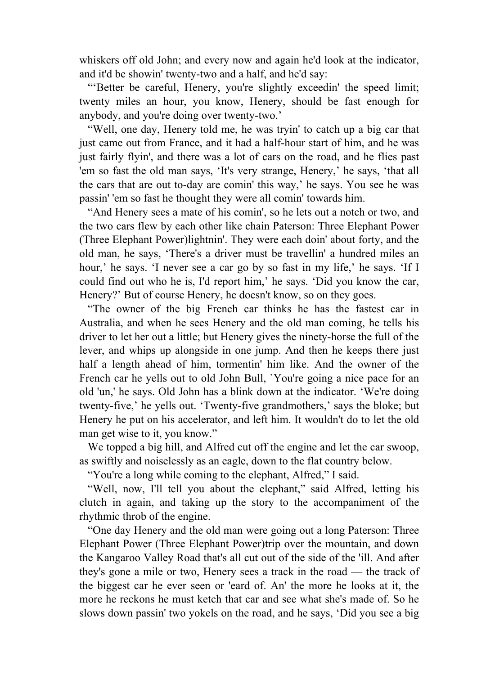whiskers off old John; and every now and again he'd look at the indicator, and it'd be showin' twenty-two and a half, and he'd say:

 "'Better be careful, Henery, you're slightly exceedin' the speed limit; twenty miles an hour, you know, Henery, should be fast enough for anybody, and you're doing over twenty-two.'

 "Well, one day, Henery told me, he was tryin' to catch up a big car that just came out from France, and it had a half-hour start of him, and he was just fairly flyin', and there was a lot of cars on the road, and he flies past 'em so fast the old man says, 'It's very strange, Henery,' he says, 'that all the cars that are out to-day are comin' this way,' he says. You see he was passin' 'em so fast he thought they were all comin' towards him.

 "And Henery sees a mate of his comin', so he lets out a notch or two, and the two cars flew by each other like chain Paterson: Three Elephant Power (Three Elephant Power)lightnin'. They were each doin' about forty, and the old man, he says, 'There's a driver must be travellin' a hundred miles an hour,' he says. 'I never see a car go by so fast in my life,' he says. 'If I could find out who he is, I'd report him,' he says. 'Did you know the car, Henery?' But of course Henery, he doesn't know, so on they goes.

 "The owner of the big French car thinks he has the fastest car in Australia, and when he sees Henery and the old man coming, he tells his driver to let her out a little; but Henery gives the ninety-horse the full of the lever, and whips up alongside in one jump. And then he keeps there just half a length ahead of him, tormentin' him like. And the owner of the French car he yells out to old John Bull, `You're going a nice pace for an old 'un,' he says. Old John has a blink down at the indicator. 'We're doing twenty-five,' he yells out. 'Twenty-five grandmothers,' says the bloke; but Henery he put on his accelerator, and left him. It wouldn't do to let the old man get wise to it, you know."

 We topped a big hill, and Alfred cut off the engine and let the car swoop, as swiftly and noiselessly as an eagle, down to the flat country below.

"You're a long while coming to the elephant, Alfred," I said.

 "Well, now, I'll tell you about the elephant," said Alfred, letting his clutch in again, and taking up the story to the accompaniment of the rhythmic throb of the engine.

 "One day Henery and the old man were going out a long Paterson: Three Elephant Power (Three Elephant Power)trip over the mountain, and down the Kangaroo Valley Road that's all cut out of the side of the 'ill. And after they's gone a mile or two, Henery sees a track in the road — the track of the biggest car he ever seen or 'eard of. An' the more he looks at it, the more he reckons he must ketch that car and see what she's made of. So he slows down passin' two yokels on the road, and he says, 'Did you see a big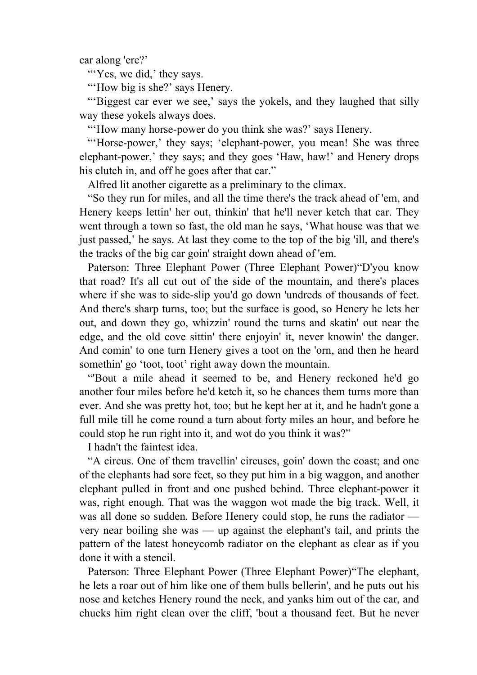car along 'ere?'

"Yes, we did,' they says.

"How big is she?' says Henery.

""Biggest car ever we see,' says the yokels, and they laughed that silly way these yokels always does.

"'How many horse-power do you think she was?' says Henery.

"Horse-power,' they says; 'elephant-power, you mean! She was three elephant-power,' they says; and they goes 'Haw, haw!' and Henery drops his clutch in, and off he goes after that car."

Alfred lit another cigarette as a preliminary to the climax.

 "So they run for miles, and all the time there's the track ahead of 'em, and Henery keeps lettin' her out, thinkin' that he'll never ketch that car. They went through a town so fast, the old man he says, 'What house was that we just passed,' he says. At last they come to the top of the big 'ill, and there's the tracks of the big car goin' straight down ahead of 'em.

 Paterson: Three Elephant Power (Three Elephant Power)"D'you know that road? It's all cut out of the side of the mountain, and there's places where if she was to side-slip you'd go down 'undreds of thousands of feet. And there's sharp turns, too; but the surface is good, so Henery he lets her out, and down they go, whizzin' round the turns and skatin' out near the edge, and the old cove sittin' there enjoyin' it, never knowin' the danger. And comin' to one turn Henery gives a toot on the 'orn, and then he heard somethin' go 'toot, toot' right away down the mountain.

 "'Bout a mile ahead it seemed to be, and Henery reckoned he'd go another four miles before he'd ketch it, so he chances them turns more than ever. And she was pretty hot, too; but he kept her at it, and he hadn't gone a full mile till he come round a turn about forty miles an hour, and before he could stop he run right into it, and wot do you think it was?"

I hadn't the faintest idea.

 "A circus. One of them travellin' circuses, goin' down the coast; and one of the elephants had sore feet, so they put him in a big waggon, and another elephant pulled in front and one pushed behind. Three elephant-power it was, right enough. That was the waggon wot made the big track. Well, it was all done so sudden. Before Henery could stop, he runs the radiator very near boiling she was — up against the elephant's tail, and prints the pattern of the latest honeycomb radiator on the elephant as clear as if you done it with a stencil.

 Paterson: Three Elephant Power (Three Elephant Power)"The elephant, he lets a roar out of him like one of them bulls bellerin', and he puts out his nose and ketches Henery round the neck, and yanks him out of the car, and chucks him right clean over the cliff, 'bout a thousand feet. But he never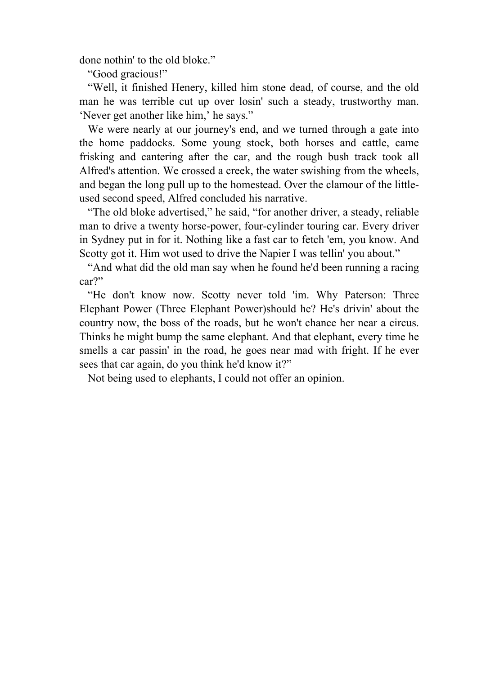done nothin' to the old bloke."

"Good gracious!"

 "Well, it finished Henery, killed him stone dead, of course, and the old man he was terrible cut up over losin' such a steady, trustworthy man. 'Never get another like him,' he says."

We were nearly at our journey's end, and we turned through a gate into the home paddocks. Some young stock, both horses and cattle, came frisking and cantering after the car, and the rough bush track took all Alfred's attention. We crossed a creek, the water swishing from the wheels, and began the long pull up to the homestead. Over the clamour of the littleused second speed, Alfred concluded his narrative.

 "The old bloke advertised," he said, "for another driver, a steady, reliable man to drive a twenty horse-power, four-cylinder touring car. Every driver in Sydney put in for it. Nothing like a fast car to fetch 'em, you know. And Scotty got it. Him wot used to drive the Napier I was tellin' you about."

 "And what did the old man say when he found he'd been running a racing car?"

 "He don't know now. Scotty never told 'im. Why Paterson: Three Elephant Power (Three Elephant Power)should he? He's drivin' about the country now, the boss of the roads, but he won't chance her near a circus. Thinks he might bump the same elephant. And that elephant, every time he smells a car passin' in the road, he goes near mad with fright. If he ever sees that car again, do you think he'd know it?"

Not being used to elephants, I could not offer an opinion.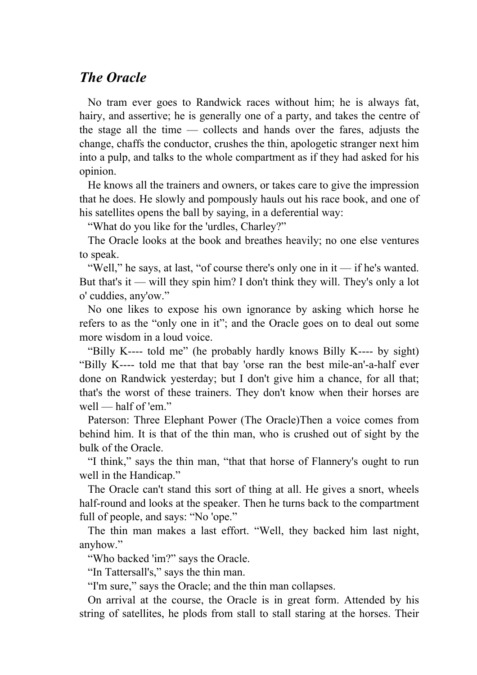### *The Oracle*

 No tram ever goes to Randwick races without him; he is always fat, hairy, and assertive; he is generally one of a party, and takes the centre of the stage all the time — collects and hands over the fares, adjusts the change, chaffs the conductor, crushes the thin, apologetic stranger next him into a pulp, and talks to the whole compartment as if they had asked for his opinion.

 He knows all the trainers and owners, or takes care to give the impression that he does. He slowly and pompously hauls out his race book, and one of his satellites opens the ball by saying, in a deferential way:

"What do you like for the 'urdles, Charley?"

 The Oracle looks at the book and breathes heavily; no one else ventures to speak.

 "Well," he says, at last, "of course there's only one in it — if he's wanted. But that's it — will they spin him? I don't think they will. They's only a lot o' cuddies, any'ow."

 No one likes to expose his own ignorance by asking which horse he refers to as the "only one in it"; and the Oracle goes on to deal out some more wisdom in a loud voice.

 "Billy K---- told me" (he probably hardly knows Billy K---- by sight) "Billy K---- told me that that bay 'orse ran the best mile-an'-a-half ever done on Randwick yesterday; but I don't give him a chance, for all that; that's the worst of these trainers. They don't know when their horses are well — half of 'em."

 Paterson: Three Elephant Power (The Oracle)Then a voice comes from behind him. It is that of the thin man, who is crushed out of sight by the bulk of the Oracle.

 "I think," says the thin man, "that that horse of Flannery's ought to run well in the Handicap."

 The Oracle can't stand this sort of thing at all. He gives a snort, wheels half-round and looks at the speaker. Then he turns back to the compartment full of people, and says: "No 'ope."

 The thin man makes a last effort. "Well, they backed him last night, anyhow."

"Who backed 'im?" says the Oracle.

"In Tattersall's," says the thin man.

"I'm sure," says the Oracle; and the thin man collapses.

 On arrival at the course, the Oracle is in great form. Attended by his string of satellites, he plods from stall to stall staring at the horses. Their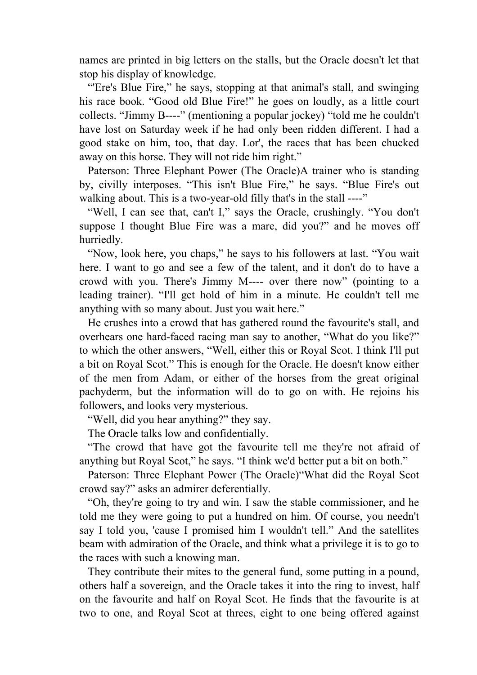names are printed in big letters on the stalls, but the Oracle doesn't let that stop his display of knowledge.

"Ere's Blue Fire," he says, stopping at that animal's stall, and swinging his race book. "Good old Blue Fire!" he goes on loudly, as a little court collects. "Jimmy B----" (mentioning a popular jockey) "told me he couldn't have lost on Saturday week if he had only been ridden different. I had a good stake on him, too, that day. Lor', the races that has been chucked away on this horse. They will not ride him right."

 Paterson: Three Elephant Power (The Oracle)A trainer who is standing by, civilly interposes. "This isn't Blue Fire," he says. "Blue Fire's out walking about. This is a two-year-old filly that's in the stall ----"

 "Well, I can see that, can't I," says the Oracle, crushingly. "You don't suppose I thought Blue Fire was a mare, did you?" and he moves off hurriedly.

 "Now, look here, you chaps," he says to his followers at last. "You wait here. I want to go and see a few of the talent, and it don't do to have a crowd with you. There's Jimmy M---- over there now" (pointing to a leading trainer). "I'll get hold of him in a minute. He couldn't tell me anything with so many about. Just you wait here."

 He crushes into a crowd that has gathered round the favourite's stall, and overhears one hard-faced racing man say to another, "What do you like?" to which the other answers, "Well, either this or Royal Scot. I think I'll put a bit on Royal Scot." This is enough for the Oracle. He doesn't know either of the men from Adam, or either of the horses from the great original pachyderm, but the information will do to go on with. He rejoins his followers, and looks very mysterious.

"Well, did you hear anything?" they say.

The Oracle talks low and confidentially.

 "The crowd that have got the favourite tell me they're not afraid of anything but Royal Scot," he says. "I think we'd better put a bit on both."

 Paterson: Three Elephant Power (The Oracle)"What did the Royal Scot crowd say?" asks an admirer deferentially.

 "Oh, they're going to try and win. I saw the stable commissioner, and he told me they were going to put a hundred on him. Of course, you needn't say I told you, 'cause I promised him I wouldn't tell." And the satellites beam with admiration of the Oracle, and think what a privilege it is to go to the races with such a knowing man.

 They contribute their mites to the general fund, some putting in a pound, others half a sovereign, and the Oracle takes it into the ring to invest, half on the favourite and half on Royal Scot. He finds that the favourite is at two to one, and Royal Scot at threes, eight to one being offered against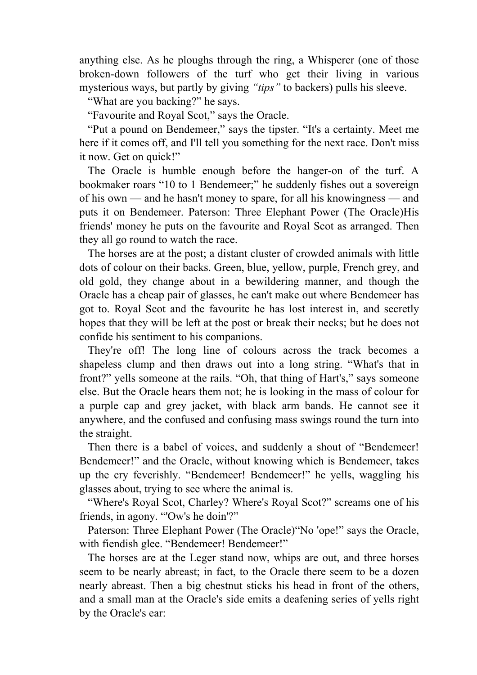anything else. As he ploughs through the ring, a Whisperer (one of those broken-down followers of the turf who get their living in various mysterious ways, but partly by giving *"tips"* to backers) pulls his sleeve.

"What are you backing?" he says.

"Favourite and Royal Scot," says the Oracle.

 "Put a pound on Bendemeer," says the tipster. "It's a certainty. Meet me here if it comes off, and I'll tell you something for the next race. Don't miss it now. Get on quick!"

 The Oracle is humble enough before the hanger-on of the turf. A bookmaker roars "10 to 1 Bendemeer;" he suddenly fishes out a sovereign of his own — and he hasn't money to spare, for all his knowingness — and puts it on Bendemeer. Paterson: Three Elephant Power (The Oracle)His friends' money he puts on the favourite and Royal Scot as arranged. Then they all go round to watch the race.

 The horses are at the post; a distant cluster of crowded animals with little dots of colour on their backs. Green, blue, yellow, purple, French grey, and old gold, they change about in a bewildering manner, and though the Oracle has a cheap pair of glasses, he can't make out where Bendemeer has got to. Royal Scot and the favourite he has lost interest in, and secretly hopes that they will be left at the post or break their necks; but he does not confide his sentiment to his companions.

 They're off! The long line of colours across the track becomes a shapeless clump and then draws out into a long string. "What's that in front?" yells someone at the rails. "Oh, that thing of Hart's," says someone else. But the Oracle hears them not; he is looking in the mass of colour for a purple cap and grey jacket, with black arm bands. He cannot see it anywhere, and the confused and confusing mass swings round the turn into the straight.

 Then there is a babel of voices, and suddenly a shout of "Bendemeer! Bendemeer!" and the Oracle, without knowing which is Bendemeer, takes up the cry feverishly. "Bendemeer! Bendemeer!" he yells, waggling his glasses about, trying to see where the animal is.

 "Where's Royal Scot, Charley? Where's Royal Scot?" screams one of his friends, in agony. "'Ow's he doin'?"

 Paterson: Three Elephant Power (The Oracle)"No 'ope!" says the Oracle, with fiendish glee. "Bendemeer! Bendemeer!"

 The horses are at the Leger stand now, whips are out, and three horses seem to be nearly abreast; in fact, to the Oracle there seem to be a dozen nearly abreast. Then a big chestnut sticks his head in front of the others, and a small man at the Oracle's side emits a deafening series of yells right by the Oracle's ear: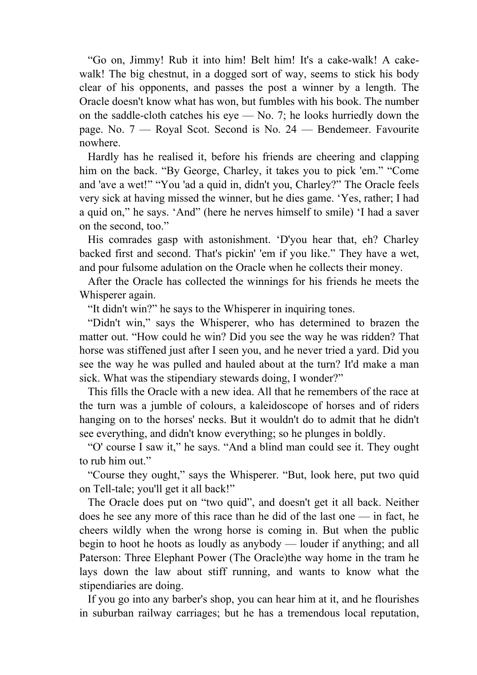"Go on, Jimmy! Rub it into him! Belt him! It's a cake-walk! A cakewalk! The big chestnut, in a dogged sort of way, seems to stick his body clear of his opponents, and passes the post a winner by a length. The Oracle doesn't know what has won, but fumbles with his book. The number on the saddle-cloth catches his eye — No. 7; he looks hurriedly down the page. No. 7 — Royal Scot. Second is No. 24 — Bendemeer. Favourite nowhere.

 Hardly has he realised it, before his friends are cheering and clapping him on the back. "By George, Charley, it takes you to pick 'em." "Come and 'ave a wet!" "You 'ad a quid in, didn't you, Charley?" The Oracle feels very sick at having missed the winner, but he dies game. 'Yes, rather; I had a quid on," he says. 'And" (here he nerves himself to smile) 'I had a saver on the second, too."

 His comrades gasp with astonishment. 'D'you hear that, eh? Charley backed first and second. That's pickin' 'em if you like." They have a wet, and pour fulsome adulation on the Oracle when he collects their money.

 After the Oracle has collected the winnings for his friends he meets the Whisperer again.

"It didn't win?" he says to the Whisperer in inquiring tones.

 "Didn't win," says the Whisperer, who has determined to brazen the matter out. "How could he win? Did you see the way he was ridden? That horse was stiffened just after I seen you, and he never tried a yard. Did you see the way he was pulled and hauled about at the turn? It'd make a man sick. What was the stipendiary stewards doing, I wonder?"

 This fills the Oracle with a new idea. All that he remembers of the race at the turn was a jumble of colours, a kaleidoscope of horses and of riders hanging on to the horses' necks. But it wouldn't do to admit that he didn't see everything, and didn't know everything; so he plunges in boldly.

 "O' course I saw it," he says. "And a blind man could see it. They ought to rub him out."

 "Course they ought," says the Whisperer. "But, look here, put two quid on Tell-tale; you'll get it all back!"

 The Oracle does put on "two quid", and doesn't get it all back. Neither does he see any more of this race than he did of the last one — in fact, he cheers wildly when the wrong horse is coming in. But when the public begin to hoot he hoots as loudly as anybody — louder if anything; and all Paterson: Three Elephant Power (The Oracle)the way home in the tram he lays down the law about stiff running, and wants to know what the stipendiaries are doing.

 If you go into any barber's shop, you can hear him at it, and he flourishes in suburban railway carriages; but he has a tremendous local reputation,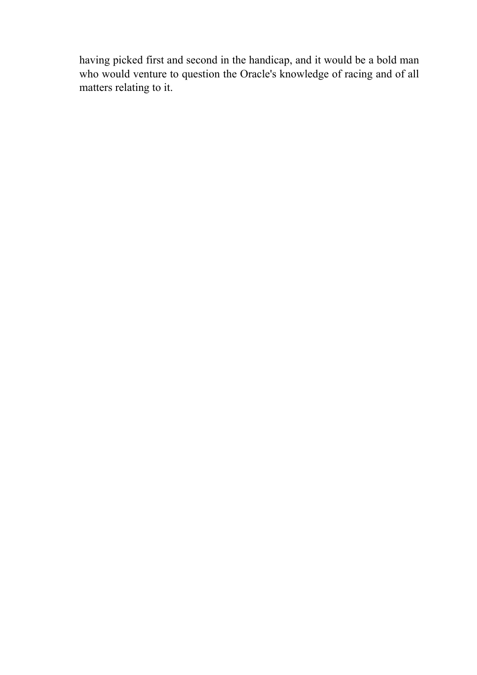having picked first and second in the handicap, and it would be a bold man who would venture to question the Oracle's knowledge of racing and of all matters relating to it.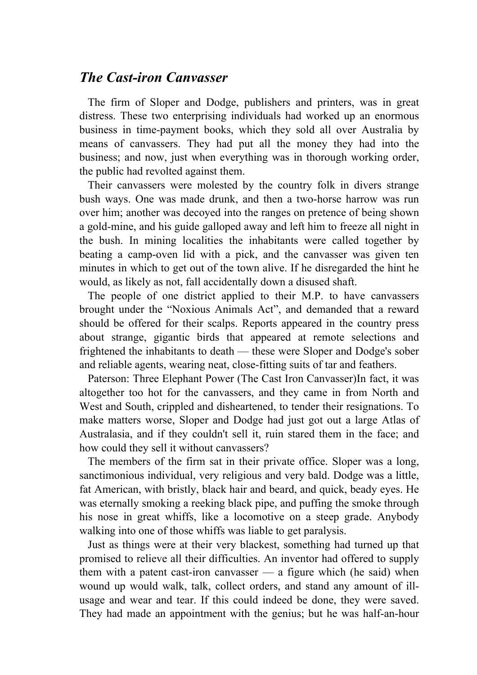#### *The Cast-iron Canvasser*

 The firm of Sloper and Dodge, publishers and printers, was in great distress. These two enterprising individuals had worked up an enormous business in time-payment books, which they sold all over Australia by means of canvassers. They had put all the money they had into the business; and now, just when everything was in thorough working order, the public had revolted against them.

 Their canvassers were molested by the country folk in divers strange bush ways. One was made drunk, and then a two-horse harrow was run over him; another was decoyed into the ranges on pretence of being shown a gold-mine, and his guide galloped away and left him to freeze all night in the bush. In mining localities the inhabitants were called together by beating a camp-oven lid with a pick, and the canvasser was given ten minutes in which to get out of the town alive. If he disregarded the hint he would, as likely as not, fall accidentally down a disused shaft.

 The people of one district applied to their M.P. to have canvassers brought under the "Noxious Animals Act", and demanded that a reward should be offered for their scalps. Reports appeared in the country press about strange, gigantic birds that appeared at remote selections and frightened the inhabitants to death — these were Sloper and Dodge's sober and reliable agents, wearing neat, close-fitting suits of tar and feathers.

 Paterson: Three Elephant Power (The Cast Iron Canvasser)In fact, it was altogether too hot for the canvassers, and they came in from North and West and South, crippled and disheartened, to tender their resignations. To make matters worse, Sloper and Dodge had just got out a large Atlas of Australasia, and if they couldn't sell it, ruin stared them in the face; and how could they sell it without canvassers?

 The members of the firm sat in their private office. Sloper was a long, sanctimonious individual, very religious and very bald. Dodge was a little, fat American, with bristly, black hair and beard, and quick, beady eyes. He was eternally smoking a reeking black pipe, and puffing the smoke through his nose in great whiffs, like a locomotive on a steep grade. Anybody walking into one of those whiffs was liable to get paralysis.

 Just as things were at their very blackest, something had turned up that promised to relieve all their difficulties. An inventor had offered to supply them with a patent cast-iron canvasser — a figure which (he said) when wound up would walk, talk, collect orders, and stand any amount of illusage and wear and tear. If this could indeed be done, they were saved. They had made an appointment with the genius; but he was half-an-hour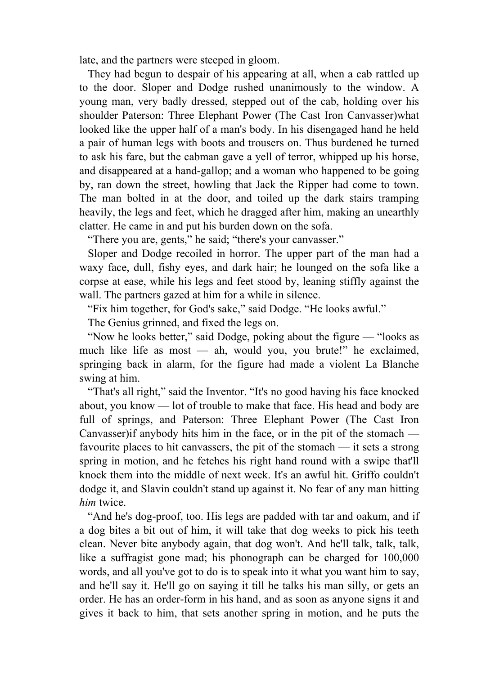late, and the partners were steeped in gloom.

 They had begun to despair of his appearing at all, when a cab rattled up to the door. Sloper and Dodge rushed unanimously to the window. A young man, very badly dressed, stepped out of the cab, holding over his shoulder Paterson: Three Elephant Power (The Cast Iron Canvasser)what looked like the upper half of a man's body. In his disengaged hand he held a pair of human legs with boots and trousers on. Thus burdened he turned to ask his fare, but the cabman gave a yell of terror, whipped up his horse, and disappeared at a hand-gallop; and a woman who happened to be going by, ran down the street, howling that Jack the Ripper had come to town. The man bolted in at the door, and toiled up the dark stairs tramping heavily, the legs and feet, which he dragged after him, making an unearthly clatter. He came in and put his burden down on the sofa.

"There you are, gents," he said; "there's your canvasser."

 Sloper and Dodge recoiled in horror. The upper part of the man had a waxy face, dull, fishy eyes, and dark hair; he lounged on the sofa like a corpse at ease, while his legs and feet stood by, leaning stiffly against the wall. The partners gazed at him for a while in silence.

"Fix him together, for God's sake," said Dodge. "He looks awful."

The Genius grinned, and fixed the legs on.

 "Now he looks better," said Dodge, poking about the figure — "looks as much like life as most — ah, would you, you brute!" he exclaimed, springing back in alarm, for the figure had made a violent La Blanche swing at him.

 "That's all right," said the Inventor. "It's no good having his face knocked about, you know — lot of trouble to make that face. His head and body are full of springs, and Paterson: Three Elephant Power (The Cast Iron Canvasser)if anybody hits him in the face, or in the pit of the stomach favourite places to hit canvassers, the pit of the stomach — it sets a strong spring in motion, and he fetches his right hand round with a swipe that'll knock them into the middle of next week. It's an awful hit. Griffo couldn't dodge it, and Slavin couldn't stand up against it. No fear of any man hitting *him* twice.

 "And he's dog-proof, too. His legs are padded with tar and oakum, and if a dog bites a bit out of him, it will take that dog weeks to pick his teeth clean. Never bite anybody again, that dog won't. And he'll talk, talk, talk, like a suffragist gone mad; his phonograph can be charged for 100,000 words, and all you've got to do is to speak into it what you want him to say, and he'll say it. He'll go on saying it till he talks his man silly, or gets an order. He has an order-form in his hand, and as soon as anyone signs it and gives it back to him, that sets another spring in motion, and he puts the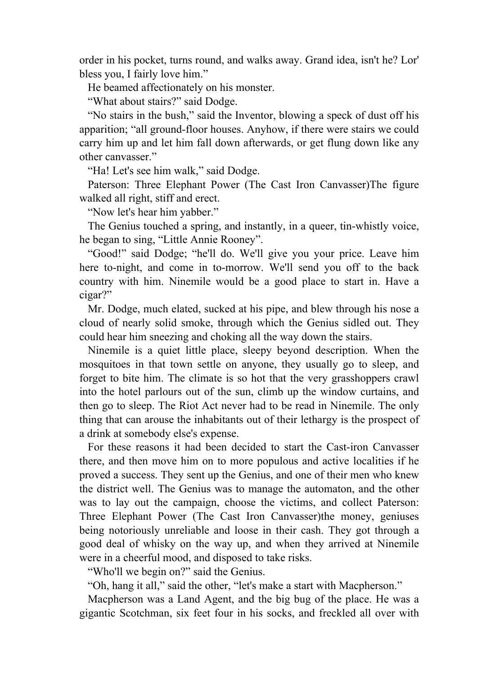order in his pocket, turns round, and walks away. Grand idea, isn't he? Lor' bless you, I fairly love him."

He beamed affectionately on his monster.

"What about stairs?" said Dodge.

 "No stairs in the bush," said the Inventor, blowing a speck of dust off his apparition; "all ground-floor houses. Anyhow, if there were stairs we could carry him up and let him fall down afterwards, or get flung down like any other canvasser."

"Ha! Let's see him walk," said Dodge.

 Paterson: Three Elephant Power (The Cast Iron Canvasser)The figure walked all right, stiff and erect.

"Now let's hear him yabber."

 The Genius touched a spring, and instantly, in a queer, tin-whistly voice, he began to sing, "Little Annie Rooney".

 "Good!" said Dodge; "he'll do. We'll give you your price. Leave him here to-night, and come in to-morrow. We'll send you off to the back country with him. Ninemile would be a good place to start in. Have a cigar?"

 Mr. Dodge, much elated, sucked at his pipe, and blew through his nose a cloud of nearly solid smoke, through which the Genius sidled out. They could hear him sneezing and choking all the way down the stairs.

 Ninemile is a quiet little place, sleepy beyond description. When the mosquitoes in that town settle on anyone, they usually go to sleep, and forget to bite him. The climate is so hot that the very grasshoppers crawl into the hotel parlours out of the sun, climb up the window curtains, and then go to sleep. The Riot Act never had to be read in Ninemile. The only thing that can arouse the inhabitants out of their lethargy is the prospect of a drink at somebody else's expense.

 For these reasons it had been decided to start the Cast-iron Canvasser there, and then move him on to more populous and active localities if he proved a success. They sent up the Genius, and one of their men who knew the district well. The Genius was to manage the automaton, and the other was to lay out the campaign, choose the victims, and collect Paterson: Three Elephant Power (The Cast Iron Canvasser)the money, geniuses being notoriously unreliable and loose in their cash. They got through a good deal of whisky on the way up, and when they arrived at Ninemile were in a cheerful mood, and disposed to take risks.

"Who'll we begin on?" said the Genius.

"Oh, hang it all," said the other, "let's make a start with Macpherson."

 Macpherson was a Land Agent, and the big bug of the place. He was a gigantic Scotchman, six feet four in his socks, and freckled all over with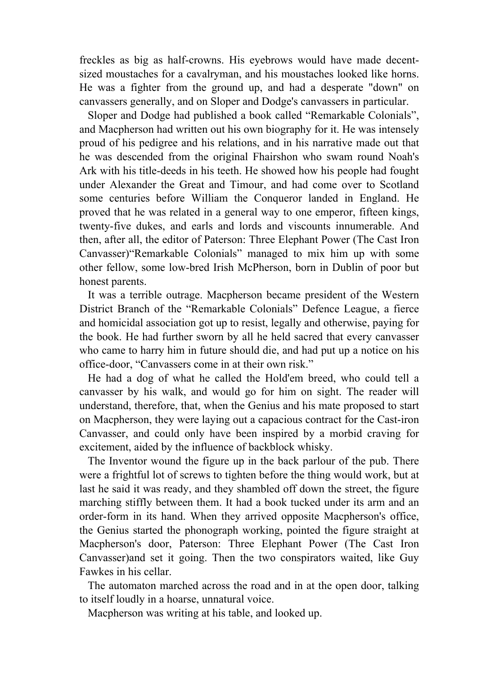freckles as big as half-crowns. His eyebrows would have made decentsized moustaches for a cavalryman, and his moustaches looked like horns. He was a fighter from the ground up, and had a desperate "down" on canvassers generally, and on Sloper and Dodge's canvassers in particular.

 Sloper and Dodge had published a book called "Remarkable Colonials", and Macpherson had written out his own biography for it. He was intensely proud of his pedigree and his relations, and in his narrative made out that he was descended from the original Fhairshon who swam round Noah's Ark with his title-deeds in his teeth. He showed how his people had fought under Alexander the Great and Timour, and had come over to Scotland some centuries before William the Conqueror landed in England. He proved that he was related in a general way to one emperor, fifteen kings, twenty-five dukes, and earls and lords and viscounts innumerable. And then, after all, the editor of Paterson: Three Elephant Power (The Cast Iron Canvasser)"Remarkable Colonials" managed to mix him up with some other fellow, some low-bred Irish McPherson, born in Dublin of poor but honest parents.

 It was a terrible outrage. Macpherson became president of the Western District Branch of the "Remarkable Colonials" Defence League, a fierce and homicidal association got up to resist, legally and otherwise, paying for the book. He had further sworn by all he held sacred that every canvasser who came to harry him in future should die, and had put up a notice on his office-door, "Canvassers come in at their own risk."

 He had a dog of what he called the Hold'em breed, who could tell a canvasser by his walk, and would go for him on sight. The reader will understand, therefore, that, when the Genius and his mate proposed to start on Macpherson, they were laying out a capacious contract for the Cast-iron Canvasser, and could only have been inspired by a morbid craving for excitement, aided by the influence of backblock whisky.

 The Inventor wound the figure up in the back parlour of the pub. There were a frightful lot of screws to tighten before the thing would work, but at last he said it was ready, and they shambled off down the street, the figure marching stiffly between them. It had a book tucked under its arm and an order-form in its hand. When they arrived opposite Macpherson's office, the Genius started the phonograph working, pointed the figure straight at Macpherson's door, Paterson: Three Elephant Power (The Cast Iron Canvasser)and set it going. Then the two conspirators waited, like Guy Fawkes in his cellar.

 The automaton marched across the road and in at the open door, talking to itself loudly in a hoarse, unnatural voice.

Macpherson was writing at his table, and looked up.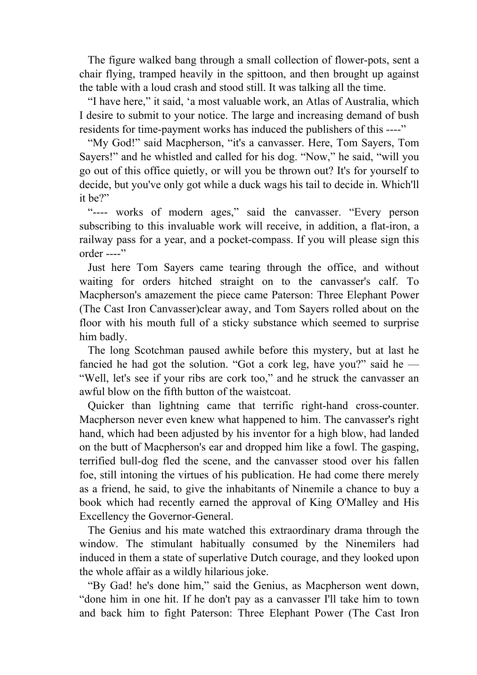The figure walked bang through a small collection of flower-pots, sent a chair flying, tramped heavily in the spittoon, and then brought up against the table with a loud crash and stood still. It was talking all the time.

 "I have here," it said, 'a most valuable work, an Atlas of Australia, which I desire to submit to your notice. The large and increasing demand of bush residents for time-payment works has induced the publishers of this ----"

 "My God!" said Macpherson, "it's a canvasser. Here, Tom Sayers, Tom Sayers!" and he whistled and called for his dog. "Now," he said, "will you go out of this office quietly, or will you be thrown out? It's for yourself to decide, but you've only got while a duck wags his tail to decide in. Which'll it be?"

 "---- works of modern ages," said the canvasser. "Every person subscribing to this invaluable work will receive, in addition, a flat-iron, a railway pass for a year, and a pocket-compass. If you will please sign this order ----"

 Just here Tom Sayers came tearing through the office, and without waiting for orders hitched straight on to the canvasser's calf. To Macpherson's amazement the piece came Paterson: Three Elephant Power (The Cast Iron Canvasser)clear away, and Tom Sayers rolled about on the floor with his mouth full of a sticky substance which seemed to surprise him badly.

 The long Scotchman paused awhile before this mystery, but at last he fancied he had got the solution. "Got a cork leg, have you?" said he  $-$ "Well, let's see if your ribs are cork too," and he struck the canvasser an awful blow on the fifth button of the waistcoat.

 Quicker than lightning came that terrific right-hand cross-counter. Macpherson never even knew what happened to him. The canvasser's right hand, which had been adjusted by his inventor for a high blow, had landed on the butt of Macpherson's ear and dropped him like a fowl. The gasping, terrified bull-dog fled the scene, and the canvasser stood over his fallen foe, still intoning the virtues of his publication. He had come there merely as a friend, he said, to give the inhabitants of Ninemile a chance to buy a book which had recently earned the approval of King O'Malley and His Excellency the Governor-General.

 The Genius and his mate watched this extraordinary drama through the window. The stimulant habitually consumed by the Ninemilers had induced in them a state of superlative Dutch courage, and they looked upon the whole affair as a wildly hilarious joke.

 "By Gad! he's done him," said the Genius, as Macpherson went down, "done him in one hit. If he don't pay as a canvasser I'll take him to town and back him to fight Paterson: Three Elephant Power (The Cast Iron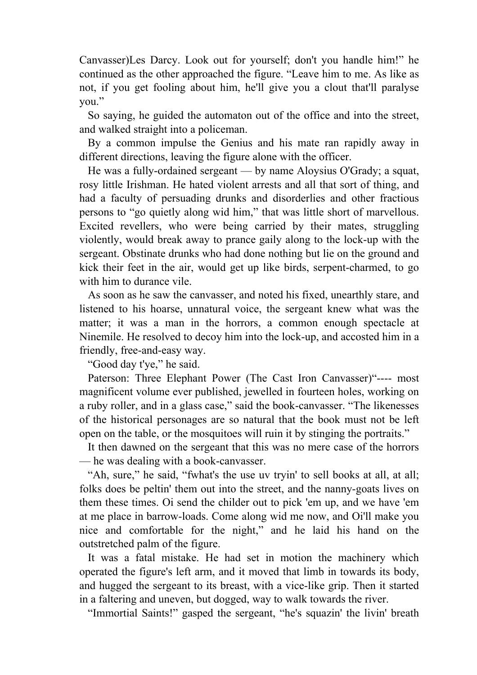Canvasser)Les Darcy. Look out for yourself; don't you handle him!" he continued as the other approached the figure. "Leave him to me. As like as not, if you get fooling about him, he'll give you a clout that'll paralyse you."

 So saying, he guided the automaton out of the office and into the street, and walked straight into a policeman.

 By a common impulse the Genius and his mate ran rapidly away in different directions, leaving the figure alone with the officer.

 He was a fully-ordained sergeant — by name Aloysius O'Grady; a squat, rosy little Irishman. He hated violent arrests and all that sort of thing, and had a faculty of persuading drunks and disorderlies and other fractious persons to "go quietly along wid him," that was little short of marvellous. Excited revellers, who were being carried by their mates, struggling violently, would break away to prance gaily along to the lock-up with the sergeant. Obstinate drunks who had done nothing but lie on the ground and kick their feet in the air, would get up like birds, serpent-charmed, to go with him to durance vile.

 As soon as he saw the canvasser, and noted his fixed, unearthly stare, and listened to his hoarse, unnatural voice, the sergeant knew what was the matter; it was a man in the horrors, a common enough spectacle at Ninemile. He resolved to decoy him into the lock-up, and accosted him in a friendly, free-and-easy way.

"Good day t'ye," he said.

 Paterson: Three Elephant Power (The Cast Iron Canvasser)"---- most magnificent volume ever published, jewelled in fourteen holes, working on a ruby roller, and in a glass case," said the book-canvasser. "The likenesses of the historical personages are so natural that the book must not be left open on the table, or the mosquitoes will ruin it by stinging the portraits."

 It then dawned on the sergeant that this was no mere case of the horrors — he was dealing with a book-canvasser.

 "Ah, sure," he said, "fwhat's the use uv tryin' to sell books at all, at all; folks does be peltin' them out into the street, and the nanny-goats lives on them these times. Oi send the childer out to pick 'em up, and we have 'em at me place in barrow-loads. Come along wid me now, and Oi'll make you nice and comfortable for the night," and he laid his hand on the outstretched palm of the figure.

 It was a fatal mistake. He had set in motion the machinery which operated the figure's left arm, and it moved that limb in towards its body, and hugged the sergeant to its breast, with a vice-like grip. Then it started in a faltering and uneven, but dogged, way to walk towards the river.

"Immortial Saints!" gasped the sergeant, "he's squazin' the livin' breath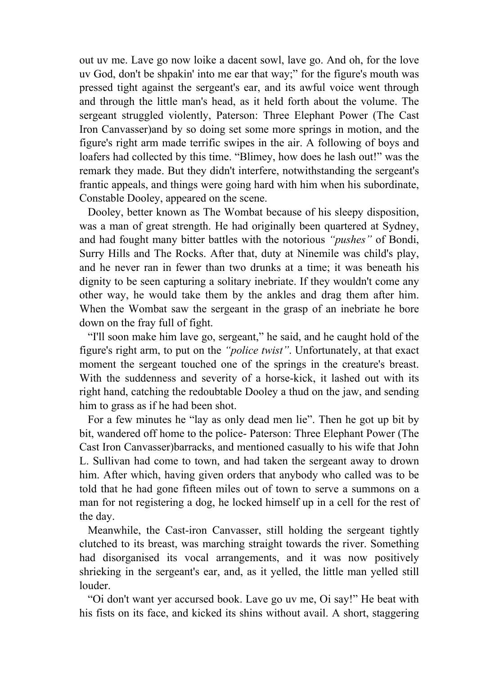out uv me. Lave go now loike a dacent sowl, lave go. And oh, for the love uv God, don't be shpakin' into me ear that way;" for the figure's mouth was pressed tight against the sergeant's ear, and its awful voice went through and through the little man's head, as it held forth about the volume. The sergeant struggled violently, Paterson: Three Elephant Power (The Cast Iron Canvasser)and by so doing set some more springs in motion, and the figure's right arm made terrific swipes in the air. A following of boys and loafers had collected by this time. "Blimey, how does he lash out!" was the remark they made. But they didn't interfere, notwithstanding the sergeant's frantic appeals, and things were going hard with him when his subordinate, Constable Dooley, appeared on the scene.

 Dooley, better known as The Wombat because of his sleepy disposition, was a man of great strength. He had originally been quartered at Sydney, and had fought many bitter battles with the notorious *"pushes"* of Bondi, Surry Hills and The Rocks. After that, duty at Ninemile was child's play, and he never ran in fewer than two drunks at a time; it was beneath his dignity to be seen capturing a solitary inebriate. If they wouldn't come any other way, he would take them by the ankles and drag them after him. When the Wombat saw the sergeant in the grasp of an inebriate he bore down on the fray full of fight.

 "I'll soon make him lave go, sergeant," he said, and he caught hold of the figure's right arm, to put on the *"police twist"*. Unfortunately, at that exact moment the sergeant touched one of the springs in the creature's breast. With the suddenness and severity of a horse-kick, it lashed out with its right hand, catching the redoubtable Dooley a thud on the jaw, and sending him to grass as if he had been shot.

 For a few minutes he "lay as only dead men lie". Then he got up bit by bit, wandered off home to the police- Paterson: Three Elephant Power (The Cast Iron Canvasser)barracks, and mentioned casually to his wife that John L. Sullivan had come to town, and had taken the sergeant away to drown him. After which, having given orders that anybody who called was to be told that he had gone fifteen miles out of town to serve a summons on a man for not registering a dog, he locked himself up in a cell for the rest of the day.

 Meanwhile, the Cast-iron Canvasser, still holding the sergeant tightly clutched to its breast, was marching straight towards the river. Something had disorganised its vocal arrangements, and it was now positively shrieking in the sergeant's ear, and, as it yelled, the little man yelled still louder.

 "Oi don't want yer accursed book. Lave go uv me, Oi say!" He beat with his fists on its face, and kicked its shins without avail. A short, staggering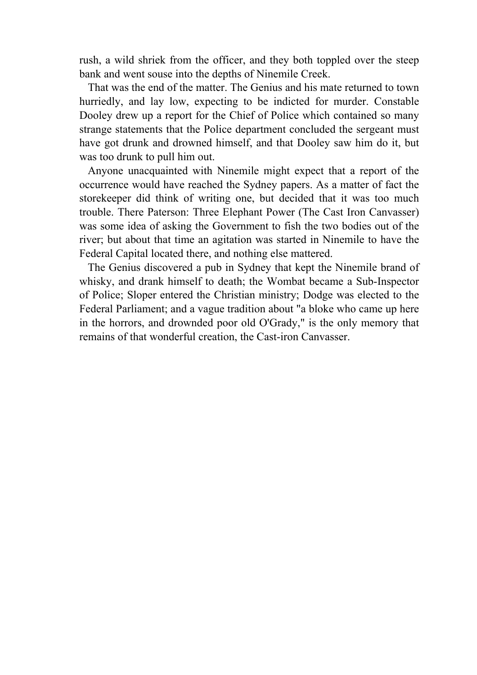rush, a wild shriek from the officer, and they both toppled over the steep bank and went souse into the depths of Ninemile Creek.

 That was the end of the matter. The Genius and his mate returned to town hurriedly, and lay low, expecting to be indicted for murder. Constable Dooley drew up a report for the Chief of Police which contained so many strange statements that the Police department concluded the sergeant must have got drunk and drowned himself, and that Dooley saw him do it, but was too drunk to pull him out.

 Anyone unacquainted with Ninemile might expect that a report of the occurrence would have reached the Sydney papers. As a matter of fact the storekeeper did think of writing one, but decided that it was too much trouble. There Paterson: Three Elephant Power (The Cast Iron Canvasser) was some idea of asking the Government to fish the two bodies out of the river; but about that time an agitation was started in Ninemile to have the Federal Capital located there, and nothing else mattered.

 The Genius discovered a pub in Sydney that kept the Ninemile brand of whisky, and drank himself to death; the Wombat became a Sub-Inspector of Police; Sloper entered the Christian ministry; Dodge was elected to the Federal Parliament; and a vague tradition about "a bloke who came up here in the horrors, and drownded poor old O'Grady," is the only memory that remains of that wonderful creation, the Cast-iron Canvasser.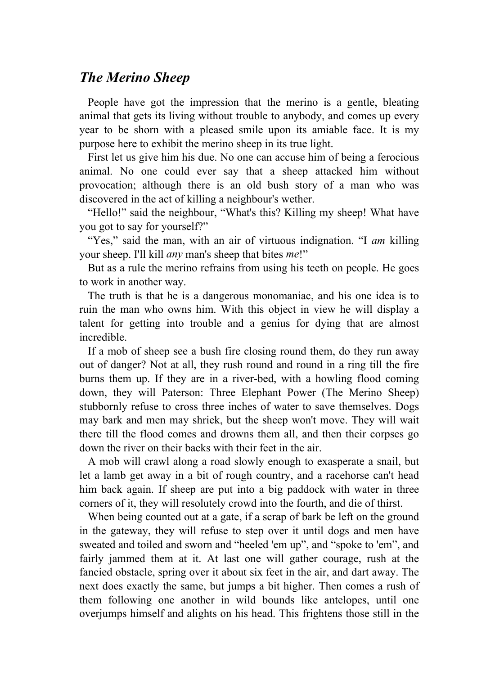## *The Merino Sheep*

 People have got the impression that the merino is a gentle, bleating animal that gets its living without trouble to anybody, and comes up every year to be shorn with a pleased smile upon its amiable face. It is my purpose here to exhibit the merino sheep in its true light.

 First let us give him his due. No one can accuse him of being a ferocious animal. No one could ever say that a sheep attacked him without provocation; although there is an old bush story of a man who was discovered in the act of killing a neighbour's wether.

 "Hello!" said the neighbour, "What's this? Killing my sheep! What have you got to say for yourself?"

 "Yes," said the man, with an air of virtuous indignation. "I *am* killing your sheep. I'll kill *any* man's sheep that bites *me*!"

 But as a rule the merino refrains from using his teeth on people. He goes to work in another way.

 The truth is that he is a dangerous monomaniac, and his one idea is to ruin the man who owns him. With this object in view he will display a talent for getting into trouble and a genius for dying that are almost incredible.

 If a mob of sheep see a bush fire closing round them, do they run away out of danger? Not at all, they rush round and round in a ring till the fire burns them up. If they are in a river-bed, with a howling flood coming down, they will Paterson: Three Elephant Power (The Merino Sheep) stubbornly refuse to cross three inches of water to save themselves. Dogs may bark and men may shriek, but the sheep won't move. They will wait there till the flood comes and drowns them all, and then their corpses go down the river on their backs with their feet in the air.

 A mob will crawl along a road slowly enough to exasperate a snail, but let a lamb get away in a bit of rough country, and a racehorse can't head him back again. If sheep are put into a big paddock with water in three corners of it, they will resolutely crowd into the fourth, and die of thirst.

 When being counted out at a gate, if a scrap of bark be left on the ground in the gateway, they will refuse to step over it until dogs and men have sweated and toiled and sworn and "heeled 'em up", and "spoke to 'em", and fairly jammed them at it. At last one will gather courage, rush at the fancied obstacle, spring over it about six feet in the air, and dart away. The next does exactly the same, but jumps a bit higher. Then comes a rush of them following one another in wild bounds like antelopes, until one overjumps himself and alights on his head. This frightens those still in the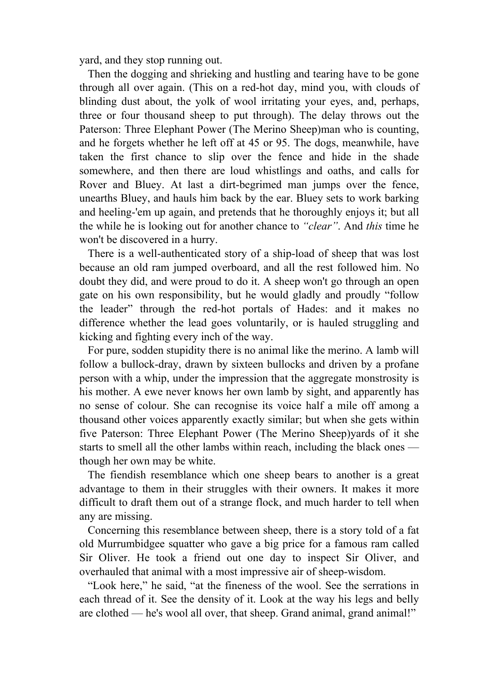yard, and they stop running out.

 Then the dogging and shrieking and hustling and tearing have to be gone through all over again. (This on a red-hot day, mind you, with clouds of blinding dust about, the yolk of wool irritating your eyes, and, perhaps, three or four thousand sheep to put through). The delay throws out the Paterson: Three Elephant Power (The Merino Sheep)man who is counting, and he forgets whether he left off at 45 or 95. The dogs, meanwhile, have taken the first chance to slip over the fence and hide in the shade somewhere, and then there are loud whistlings and oaths, and calls for Rover and Bluey. At last a dirt-begrimed man jumps over the fence, unearths Bluey, and hauls him back by the ear. Bluey sets to work barking and heeling-'em up again, and pretends that he thoroughly enjoys it; but all the while he is looking out for another chance to *"clear"*. And *this* time he won't be discovered in a hurry.

 There is a well-authenticated story of a ship-load of sheep that was lost because an old ram jumped overboard, and all the rest followed him. No doubt they did, and were proud to do it. A sheep won't go through an open gate on his own responsibility, but he would gladly and proudly "follow the leader" through the red-hot portals of Hades: and it makes no difference whether the lead goes voluntarily, or is hauled struggling and kicking and fighting every inch of the way.

 For pure, sodden stupidity there is no animal like the merino. A lamb will follow a bullock-dray, drawn by sixteen bullocks and driven by a profane person with a whip, under the impression that the aggregate monstrosity is his mother. A ewe never knows her own lamb by sight, and apparently has no sense of colour. She can recognise its voice half a mile off among a thousand other voices apparently exactly similar; but when she gets within five Paterson: Three Elephant Power (The Merino Sheep)yards of it she starts to smell all the other lambs within reach, including the black ones though her own may be white.

 The fiendish resemblance which one sheep bears to another is a great advantage to them in their struggles with their owners. It makes it more difficult to draft them out of a strange flock, and much harder to tell when any are missing.

 Concerning this resemblance between sheep, there is a story told of a fat old Murrumbidgee squatter who gave a big price for a famous ram called Sir Oliver. He took a friend out one day to inspect Sir Oliver, and overhauled that animal with a most impressive air of sheep-wisdom.

 "Look here," he said, "at the fineness of the wool. See the serrations in each thread of it. See the density of it. Look at the way his legs and belly are clothed — he's wool all over, that sheep. Grand animal, grand animal!"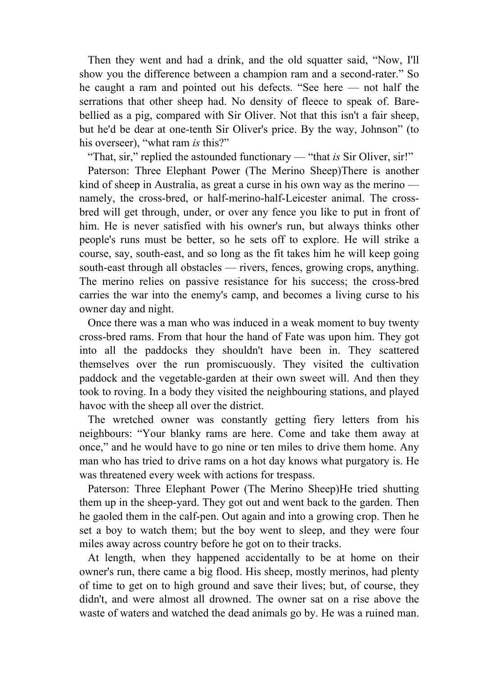Then they went and had a drink, and the old squatter said, "Now, I'll show you the difference between a champion ram and a second-rater." So he caught a ram and pointed out his defects. "See here — not half the serrations that other sheep had. No density of fleece to speak of. Barebellied as a pig, compared with Sir Oliver. Not that this isn't a fair sheep, but he'd be dear at one-tenth Sir Oliver's price. By the way, Johnson" (to his overseer), "what ram *is* this?"

"That, sir," replied the astounded functionary — "that *is* Sir Oliver, sir!"

 Paterson: Three Elephant Power (The Merino Sheep)There is another kind of sheep in Australia, as great a curse in his own way as the merino namely, the cross-bred, or half-merino-half-Leicester animal. The crossbred will get through, under, or over any fence you like to put in front of him. He is never satisfied with his owner's run, but always thinks other people's runs must be better, so he sets off to explore. He will strike a course, say, south-east, and so long as the fit takes him he will keep going south-east through all obstacles — rivers, fences, growing crops, anything. The merino relies on passive resistance for his success; the cross-bred carries the war into the enemy's camp, and becomes a living curse to his owner day and night.

 Once there was a man who was induced in a weak moment to buy twenty cross-bred rams. From that hour the hand of Fate was upon him. They got into all the paddocks they shouldn't have been in. They scattered themselves over the run promiscuously. They visited the cultivation paddock and the vegetable-garden at their own sweet will. And then they took to roving. In a body they visited the neighbouring stations, and played havoc with the sheep all over the district.

 The wretched owner was constantly getting fiery letters from his neighbours: "Your blanky rams are here. Come and take them away at once," and he would have to go nine or ten miles to drive them home. Any man who has tried to drive rams on a hot day knows what purgatory is. He was threatened every week with actions for trespass.

 Paterson: Three Elephant Power (The Merino Sheep)He tried shutting them up in the sheep-yard. They got out and went back to the garden. Then he gaoled them in the calf-pen. Out again and into a growing crop. Then he set a boy to watch them; but the boy went to sleep, and they were four miles away across country before he got on to their tracks.

 At length, when they happened accidentally to be at home on their owner's run, there came a big flood. His sheep, mostly merinos, had plenty of time to get on to high ground and save their lives; but, of course, they didn't, and were almost all drowned. The owner sat on a rise above the waste of waters and watched the dead animals go by. He was a ruined man.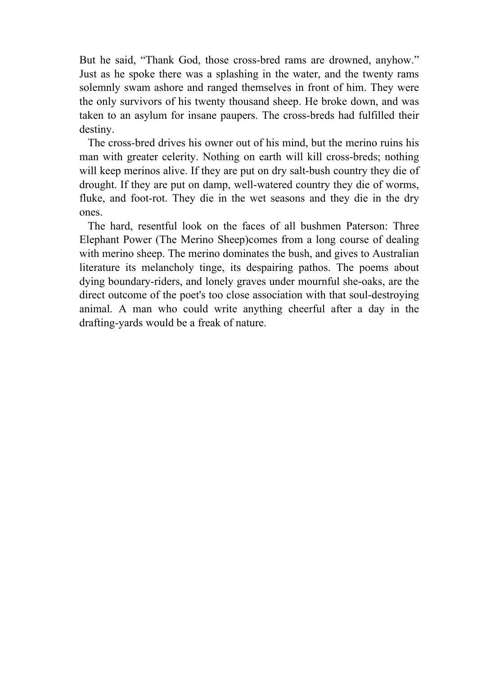But he said, "Thank God, those cross-bred rams are drowned, anyhow." Just as he spoke there was a splashing in the water, and the twenty rams solemnly swam ashore and ranged themselves in front of him. They were the only survivors of his twenty thousand sheep. He broke down, and was taken to an asylum for insane paupers. The cross-breds had fulfilled their destiny.

 The cross-bred drives his owner out of his mind, but the merino ruins his man with greater celerity. Nothing on earth will kill cross-breds; nothing will keep merinos alive. If they are put on dry salt-bush country they die of drought. If they are put on damp, well-watered country they die of worms, fluke, and foot-rot. They die in the wet seasons and they die in the dry ones.

 The hard, resentful look on the faces of all bushmen Paterson: Three Elephant Power (The Merino Sheep)comes from a long course of dealing with merino sheep. The merino dominates the bush, and gives to Australian literature its melancholy tinge, its despairing pathos. The poems about dying boundary-riders, and lonely graves under mournful she-oaks, are the direct outcome of the poet's too close association with that soul-destroying animal. A man who could write anything cheerful after a day in the drafting-yards would be a freak of nature.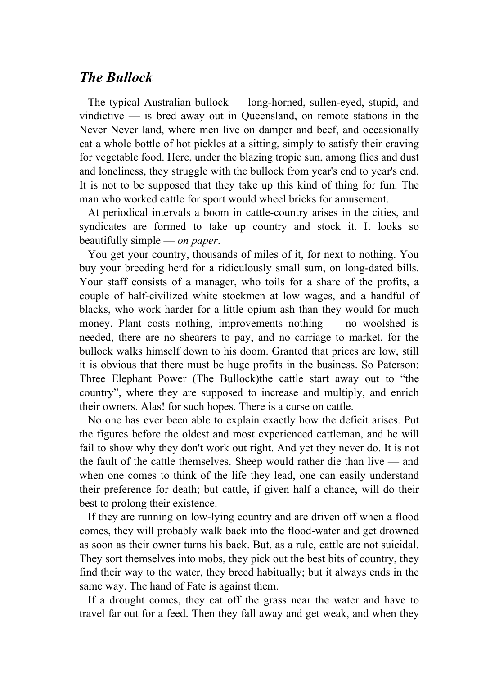#### *The Bullock*

 The typical Australian bullock — long-horned, sullen-eyed, stupid, and vindictive — is bred away out in Queensland, on remote stations in the Never Never land, where men live on damper and beef, and occasionally eat a whole bottle of hot pickles at a sitting, simply to satisfy their craving for vegetable food. Here, under the blazing tropic sun, among flies and dust and loneliness, they struggle with the bullock from year's end to year's end. It is not to be supposed that they take up this kind of thing for fun. The man who worked cattle for sport would wheel bricks for amusement.

 At periodical intervals a boom in cattle-country arises in the cities, and syndicates are formed to take up country and stock it. It looks so beautifully simple — *on paper*.

 You get your country, thousands of miles of it, for next to nothing. You buy your breeding herd for a ridiculously small sum, on long-dated bills. Your staff consists of a manager, who toils for a share of the profits, a couple of half-civilized white stockmen at low wages, and a handful of blacks, who work harder for a little opium ash than they would for much money. Plant costs nothing, improvements nothing — no woolshed is needed, there are no shearers to pay, and no carriage to market, for the bullock walks himself down to his doom. Granted that prices are low, still it is obvious that there must be huge profits in the business. So Paterson: Three Elephant Power (The Bullock)the cattle start away out to "the country", where they are supposed to increase and multiply, and enrich their owners. Alas! for such hopes. There is a curse on cattle.

 No one has ever been able to explain exactly how the deficit arises. Put the figures before the oldest and most experienced cattleman, and he will fail to show why they don't work out right. And yet they never do. It is not the fault of the cattle themselves. Sheep would rather die than live — and when one comes to think of the life they lead, one can easily understand their preference for death; but cattle, if given half a chance, will do their best to prolong their existence.

 If they are running on low-lying country and are driven off when a flood comes, they will probably walk back into the flood-water and get drowned as soon as their owner turns his back. But, as a rule, cattle are not suicidal. They sort themselves into mobs, they pick out the best bits of country, they find their way to the water, they breed habitually; but it always ends in the same way. The hand of Fate is against them.

 If a drought comes, they eat off the grass near the water and have to travel far out for a feed. Then they fall away and get weak, and when they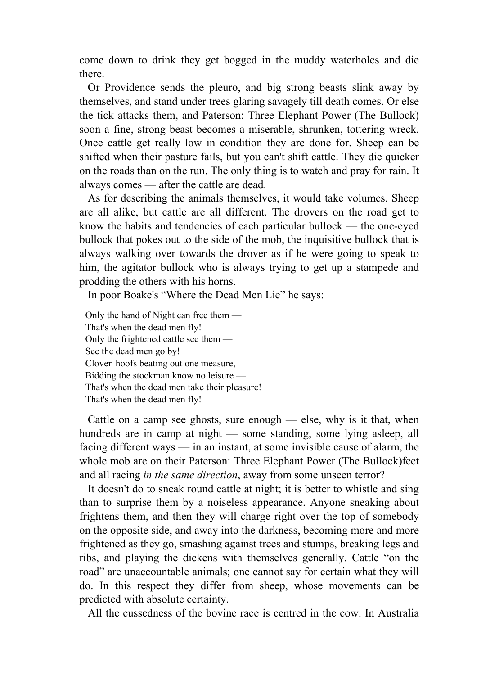come down to drink they get bogged in the muddy waterholes and die there.

 Or Providence sends the pleuro, and big strong beasts slink away by themselves, and stand under trees glaring savagely till death comes. Or else the tick attacks them, and Paterson: Three Elephant Power (The Bullock) soon a fine, strong beast becomes a miserable, shrunken, tottering wreck. Once cattle get really low in condition they are done for. Sheep can be shifted when their pasture fails, but you can't shift cattle. They die quicker on the roads than on the run. The only thing is to watch and pray for rain. It always comes — after the cattle are dead.

 As for describing the animals themselves, it would take volumes. Sheep are all alike, but cattle are all different. The drovers on the road get to know the habits and tendencies of each particular bullock — the one-eyed bullock that pokes out to the side of the mob, the inquisitive bullock that is always walking over towards the drover as if he were going to speak to him, the agitator bullock who is always trying to get up a stampede and prodding the others with his horns.

In poor Boake's "Where the Dead Men Lie" he says:

Only the hand of Night can free them — That's when the dead men fly! Only the frightened cattle see them — See the dead men go by! Cloven hoofs beating out one measure, Bidding the stockman know no leisure — That's when the dead men take their pleasure! That's when the dead men fly!

Cattle on a camp see ghosts, sure enough  $-$  else, why is it that, when hundreds are in camp at night — some standing, some lying asleep, all facing different ways — in an instant, at some invisible cause of alarm, the whole mob are on their Paterson: Three Elephant Power (The Bullock)feet and all racing *in the same direction*, away from some unseen terror?

 It doesn't do to sneak round cattle at night; it is better to whistle and sing than to surprise them by a noiseless appearance. Anyone sneaking about frightens them, and then they will charge right over the top of somebody on the opposite side, and away into the darkness, becoming more and more frightened as they go, smashing against trees and stumps, breaking legs and ribs, and playing the dickens with themselves generally. Cattle "on the road" are unaccountable animals; one cannot say for certain what they will do. In this respect they differ from sheep, whose movements can be predicted with absolute certainty.

All the cussedness of the bovine race is centred in the cow. In Australia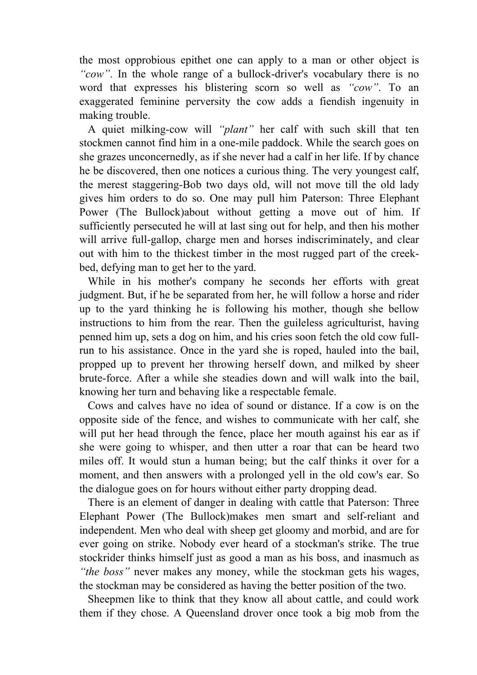the most opprobious epithet one can apply to a man or other object is *"cow"*. In the whole range of a bullock-driver's vocabulary there is no word that expresses his blistering scorn so well as *"cow"*. To an exaggerated feminine perversity the cow adds a fiendish ingenuity in making trouble.

 A quiet milking-cow will *"plant"* her calf with such skill that ten stockmen cannot find him in a one-mile paddock. While the search goes on she grazes unconcernedly, as if she never had a calf in her life. If by chance he be discovered, then one notices a curious thing. The very youngest calf, the merest staggering-Bob two days old, will not move till the old lady gives him orders to do so. One may pull him Paterson: Three Elephant Power (The Bullock)about without getting a move out of him. If sufficiently persecuted he will at last sing out for help, and then his mother will arrive full-gallop, charge men and horses indiscriminately, and clear out with him to the thickest timber in the most rugged part of the creekbed, defying man to get her to the yard.

 While in his mother's company he seconds her efforts with great judgment. But, if he be separated from her, he will follow a horse and rider up to the yard thinking he is following his mother, though she bellow instructions to him from the rear. Then the guileless agriculturist, having penned him up, sets a dog on him, and his cries soon fetch the old cow fullrun to his assistance. Once in the yard she is roped, hauled into the bail, propped up to prevent her throwing herself down, and milked by sheer brute-force. After a while she steadies down and will walk into the bail, knowing her turn and behaving like a respectable female.

 Cows and calves have no idea of sound or distance. If a cow is on the opposite side of the fence, and wishes to communicate with her calf, she will put her head through the fence, place her mouth against his ear as if she were going to whisper, and then utter a roar that can be heard two miles off. It would stun a human being; but the calf thinks it over for a moment, and then answers with a prolonged yell in the old cow's ear. So the dialogue goes on for hours without either party dropping dead.

 There is an element of danger in dealing with cattle that Paterson: Three Elephant Power (The Bullock)makes men smart and self-reliant and independent. Men who deal with sheep get gloomy and morbid, and are for ever going on strike. Nobody ever heard of a stockman's strike. The true stockrider thinks himself just as good a man as his boss, and inasmuch as *"the boss"* never makes any money, while the stockman gets his wages, the stockman may be considered as having the better position of the two.

 Sheepmen like to think that they know all about cattle, and could work them if they chose. A Queensland drover once took a big mob from the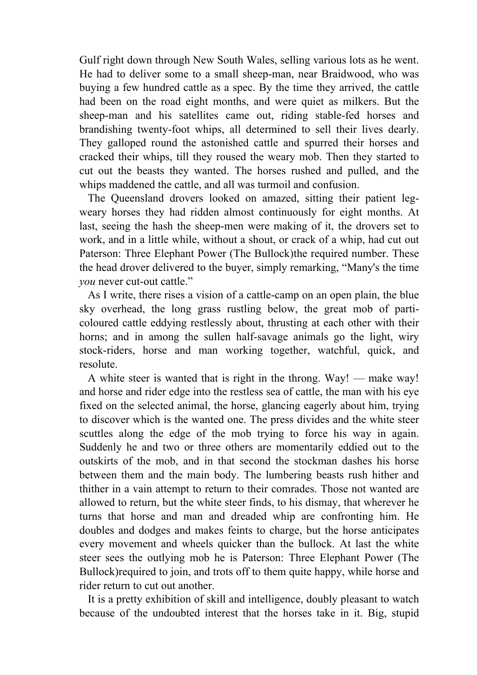Gulf right down through New South Wales, selling various lots as he went. He had to deliver some to a small sheep-man, near Braidwood, who was buying a few hundred cattle as a spec. By the time they arrived, the cattle had been on the road eight months, and were quiet as milkers. But the sheep-man and his satellites came out, riding stable-fed horses and brandishing twenty-foot whips, all determined to sell their lives dearly. They galloped round the astonished cattle and spurred their horses and cracked their whips, till they roused the weary mob. Then they started to cut out the beasts they wanted. The horses rushed and pulled, and the whips maddened the cattle, and all was turmoil and confusion.

 The Queensland drovers looked on amazed, sitting their patient legweary horses they had ridden almost continuously for eight months. At last, seeing the hash the sheep-men were making of it, the drovers set to work, and in a little while, without a shout, or crack of a whip, had cut out Paterson: Three Elephant Power (The Bullock)the required number. These the head drover delivered to the buyer, simply remarking, "Many's the time *you* never cut-out cattle."

 As I write, there rises a vision of a cattle-camp on an open plain, the blue sky overhead, the long grass rustling below, the great mob of particoloured cattle eddying restlessly about, thrusting at each other with their horns; and in among the sullen half-savage animals go the light, wiry stock-riders, horse and man working together, watchful, quick, and resolute.

 A white steer is wanted that is right in the throng. Way! — make way! and horse and rider edge into the restless sea of cattle, the man with his eye fixed on the selected animal, the horse, glancing eagerly about him, trying to discover which is the wanted one. The press divides and the white steer scuttles along the edge of the mob trying to force his way in again. Suddenly he and two or three others are momentarily eddied out to the outskirts of the mob, and in that second the stockman dashes his horse between them and the main body. The lumbering beasts rush hither and thither in a vain attempt to return to their comrades. Those not wanted are allowed to return, but the white steer finds, to his dismay, that wherever he turns that horse and man and dreaded whip are confronting him. He doubles and dodges and makes feints to charge, but the horse anticipates every movement and wheels quicker than the bullock. At last the white steer sees the outlying mob he is Paterson: Three Elephant Power (The Bullock)required to join, and trots off to them quite happy, while horse and rider return to cut out another.

 It is a pretty exhibition of skill and intelligence, doubly pleasant to watch because of the undoubted interest that the horses take in it. Big, stupid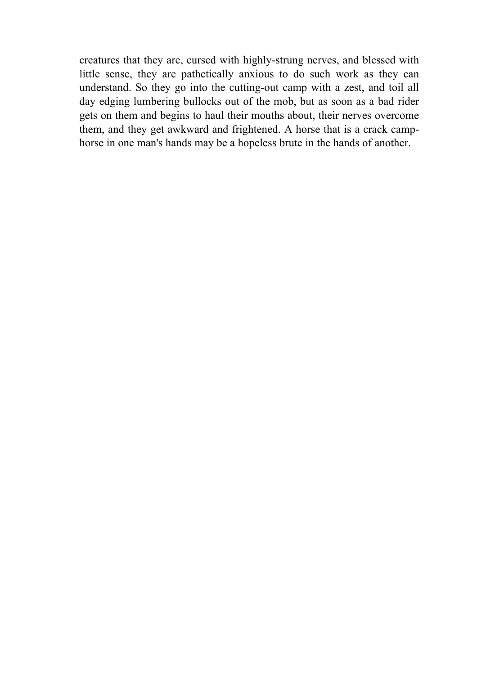creatures that they are, cursed with highly-strung nerves, and blessed with little sense, they are pathetically anxious to do such work as they can understand. So they go into the cutting-out camp with a zest, and toil all day edging lumbering bullocks out of the mob, but as soon as a bad rider gets on them and begins to haul their mouths about, their nerves overcome them, and they get awkward and frightened. A horse that is a crack camphorse in one man's hands may be a hopeless brute in the hands of another.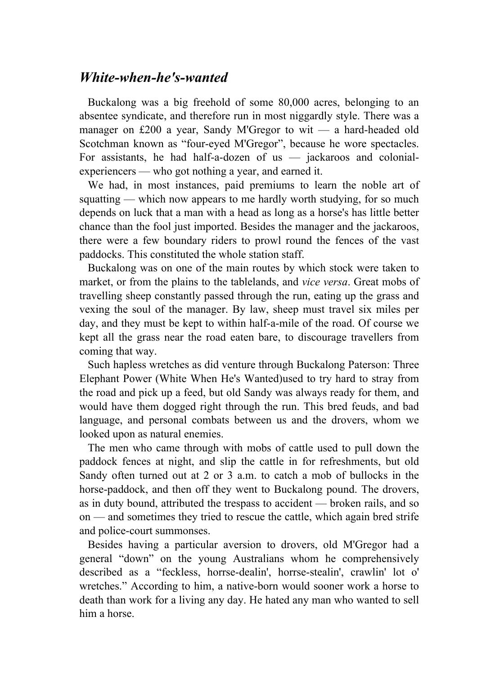## *White-when-he's-wanted*

 Buckalong was a big freehold of some 80,000 acres, belonging to an absentee syndicate, and therefore run in most niggardly style. There was a manager on £200 a year, Sandy M'Gregor to wit — a hard-headed old Scotchman known as "four-eyed M'Gregor", because he wore spectacles. For assistants, he had half-a-dozen of us — jackaroos and colonialexperiencers — who got nothing a year, and earned it.

 We had, in most instances, paid premiums to learn the noble art of squatting — which now appears to me hardly worth studying, for so much depends on luck that a man with a head as long as a horse's has little better chance than the fool just imported. Besides the manager and the jackaroos, there were a few boundary riders to prowl round the fences of the vast paddocks. This constituted the whole station staff.

 Buckalong was on one of the main routes by which stock were taken to market, or from the plains to the tablelands, and *vice versa*. Great mobs of travelling sheep constantly passed through the run, eating up the grass and vexing the soul of the manager. By law, sheep must travel six miles per day, and they must be kept to within half-a-mile of the road. Of course we kept all the grass near the road eaten bare, to discourage travellers from coming that way.

 Such hapless wretches as did venture through Buckalong Paterson: Three Elephant Power (White When He's Wanted)used to try hard to stray from the road and pick up a feed, but old Sandy was always ready for them, and would have them dogged right through the run. This bred feuds, and bad language, and personal combats between us and the drovers, whom we looked upon as natural enemies.

 The men who came through with mobs of cattle used to pull down the paddock fences at night, and slip the cattle in for refreshments, but old Sandy often turned out at 2 or 3 a.m. to catch a mob of bullocks in the horse-paddock, and then off they went to Buckalong pound. The drovers, as in duty bound, attributed the trespass to accident — broken rails, and so on — and sometimes they tried to rescue the cattle, which again bred strife and police-court summonses.

 Besides having a particular aversion to drovers, old M'Gregor had a general "down" on the young Australians whom he comprehensively described as a "feckless, horrse-dealin', horrse-stealin', crawlin' lot o' wretches." According to him, a native-born would sooner work a horse to death than work for a living any day. He hated any man who wanted to sell him a horse.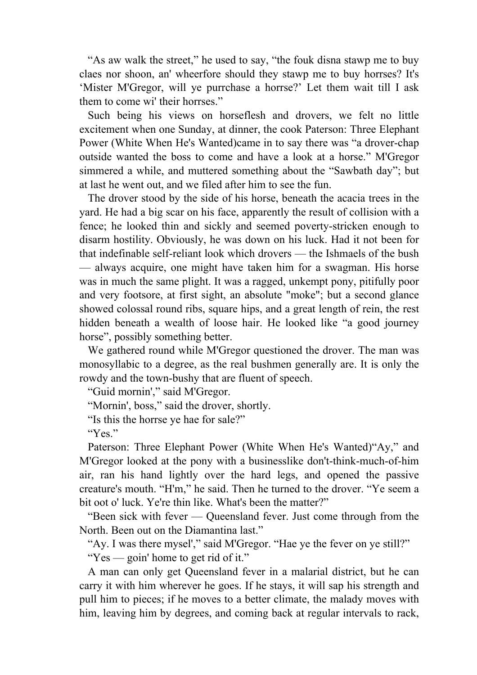"As aw walk the street," he used to say, "the fouk disna stawp me to buy claes nor shoon, an' wheerfore should they stawp me to buy horrses? It's 'Mister M'Gregor, will ye purrchase a horrse?' Let them wait till I ask them to come wi' their horrses."

 Such being his views on horseflesh and drovers, we felt no little excitement when one Sunday, at dinner, the cook Paterson: Three Elephant Power (White When He's Wanted)came in to say there was "a drover-chap outside wanted the boss to come and have a look at a horse." M'Gregor simmered a while, and muttered something about the "Sawbath day"; but at last he went out, and we filed after him to see the fun.

 The drover stood by the side of his horse, beneath the acacia trees in the yard. He had a big scar on his face, apparently the result of collision with a fence; he looked thin and sickly and seemed poverty-stricken enough to disarm hostility. Obviously, he was down on his luck. Had it not been for that indefinable self-reliant look which drovers — the Ishmaels of the bush — always acquire, one might have taken him for a swagman. His horse was in much the same plight. It was a ragged, unkempt pony, pitifully poor and very footsore, at first sight, an absolute "moke"; but a second glance showed colossal round ribs, square hips, and a great length of rein, the rest hidden beneath a wealth of loose hair. He looked like "a good journey horse", possibly something better.

 We gathered round while M'Gregor questioned the drover. The man was monosyllabic to a degree, as the real bushmen generally are. It is only the rowdy and the town-bushy that are fluent of speech.

"Guid mornin'," said M'Gregor.

"Mornin', boss," said the drover, shortly.

"Is this the horrse ye hae for sale?"

"Yes."

 Paterson: Three Elephant Power (White When He's Wanted)"Ay," and M'Gregor looked at the pony with a businesslike don't-think-much-of-him air, ran his hand lightly over the hard legs, and opened the passive creature's mouth. "H'm," he said. Then he turned to the drover. "Ye seem a bit oot o' luck. Ye're thin like. What's been the matter?"

 "Been sick with fever — Queensland fever. Just come through from the North. Been out on the Diamantina last."

"Ay. I was there mysel'," said M'Gregor. "Hae ye the fever on ye still?"

"Yes — goin' home to get rid of it."

 A man can only get Queensland fever in a malarial district, but he can carry it with him wherever he goes. If he stays, it will sap his strength and pull him to pieces; if he moves to a better climate, the malady moves with him, leaving him by degrees, and coming back at regular intervals to rack,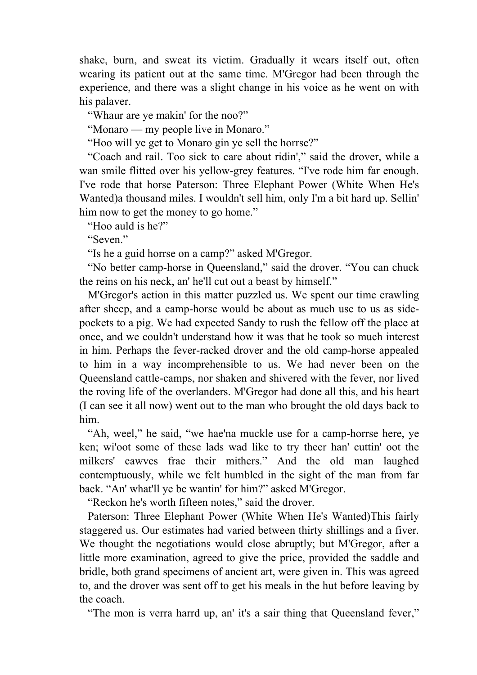shake, burn, and sweat its victim. Gradually it wears itself out, often wearing its patient out at the same time. M'Gregor had been through the experience, and there was a slight change in his voice as he went on with his palaver.

"Whaur are ye makin' for the noo?"

"Monaro — my people live in Monaro."

"Hoo will ye get to Monaro gin ye sell the horrse?"

 "Coach and rail. Too sick to care about ridin'," said the drover, while a wan smile flitted over his yellow-grey features. "I've rode him far enough. I've rode that horse Paterson: Three Elephant Power (White When He's Wanted)a thousand miles. I wouldn't sell him, only I'm a bit hard up. Sellin' him now to get the money to go home."

"Hoo auld is he?"

"Seven."

"Is he a guid horrse on a camp?" asked M'Gregor.

 "No better camp-horse in Queensland," said the drover. "You can chuck the reins on his neck, an' he'll cut out a beast by himself."

 M'Gregor's action in this matter puzzled us. We spent our time crawling after sheep, and a camp-horse would be about as much use to us as sidepockets to a pig. We had expected Sandy to rush the fellow off the place at once, and we couldn't understand how it was that he took so much interest in him. Perhaps the fever-racked drover and the old camp-horse appealed to him in a way incomprehensible to us. We had never been on the Queensland cattle-camps, nor shaken and shivered with the fever, nor lived the roving life of the overlanders. M'Gregor had done all this, and his heart (I can see it all now) went out to the man who brought the old days back to him.

 "Ah, weel," he said, "we hae'na muckle use for a camp-horrse here, ye ken; wi'oot some of these lads wad like to try theer han' cuttin' oot the milkers' cawves frae their mithers." And the old man laughed contemptuously, while we felt humbled in the sight of the man from far back. "An' what'll ye be wantin' for him?" asked M'Gregor.

"Reckon he's worth fifteen notes," said the drover.

 Paterson: Three Elephant Power (White When He's Wanted)This fairly staggered us. Our estimates had varied between thirty shillings and a fiver. We thought the negotiations would close abruptly; but M'Gregor, after a little more examination, agreed to give the price, provided the saddle and bridle, both grand specimens of ancient art, were given in. This was agreed to, and the drover was sent off to get his meals in the hut before leaving by the coach.

"The mon is verra harrd up, an' it's a sair thing that Queensland fever,"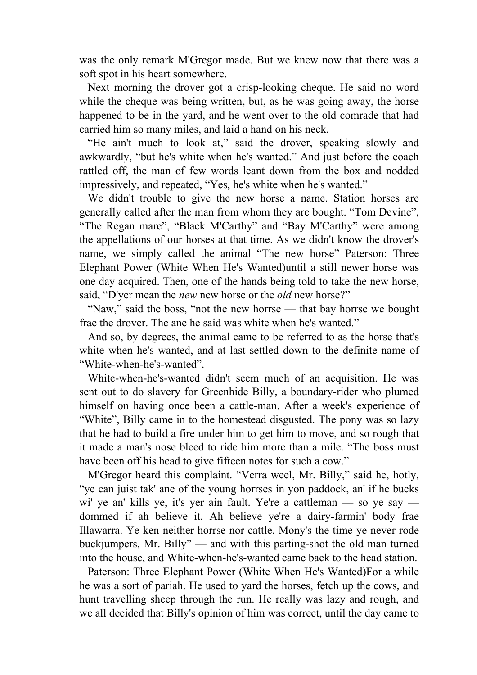was the only remark M'Gregor made. But we knew now that there was a soft spot in his heart somewhere.

 Next morning the drover got a crisp-looking cheque. He said no word while the cheque was being written, but, as he was going away, the horse happened to be in the yard, and he went over to the old comrade that had carried him so many miles, and laid a hand on his neck.

 "He ain't much to look at," said the drover, speaking slowly and awkwardly, "but he's white when he's wanted." And just before the coach rattled off, the man of few words leant down from the box and nodded impressively, and repeated, "Yes, he's white when he's wanted."

 We didn't trouble to give the new horse a name. Station horses are generally called after the man from whom they are bought. "Tom Devine", "The Regan mare", "Black M'Carthy" and "Bay M'Carthy" were among the appellations of our horses at that time. As we didn't know the drover's name, we simply called the animal "The new horse" Paterson: Three Elephant Power (White When He's Wanted)until a still newer horse was one day acquired. Then, one of the hands being told to take the new horse, said, "D'yer mean the *new* new horse or the *old* new horse?"

"Naw," said the boss, "not the new horrse — that bay horrse we bought frae the drover. The ane he said was white when he's wanted."

 And so, by degrees, the animal came to be referred to as the horse that's white when he's wanted, and at last settled down to the definite name of "White-when-he's-wanted".

 White-when-he's-wanted didn't seem much of an acquisition. He was sent out to do slavery for Greenhide Billy, a boundary-rider who plumed himself on having once been a cattle-man. After a week's experience of "White", Billy came in to the homestead disgusted. The pony was so lazy that he had to build a fire under him to get him to move, and so rough that it made a man's nose bleed to ride him more than a mile. "The boss must have been off his head to give fifteen notes for such a cow."

 M'Gregor heard this complaint. "Verra weel, Mr. Billy," said he, hotly, "ye can juist tak' ane of the young horrses in yon paddock, an' if he bucks wi' ye an' kills ye, it's yer ain fault. Ye're a cattleman — so ye say dommed if ah believe it. Ah believe ye're a dairy-farmin' body frae Illawarra. Ye ken neither horrse nor cattle. Mony's the time ye never rode buckjumpers, Mr. Billy" — and with this parting-shot the old man turned into the house, and White-when-he's-wanted came back to the head station.

 Paterson: Three Elephant Power (White When He's Wanted)For a while he was a sort of pariah. He used to yard the horses, fetch up the cows, and hunt travelling sheep through the run. He really was lazy and rough, and we all decided that Billy's opinion of him was correct, until the day came to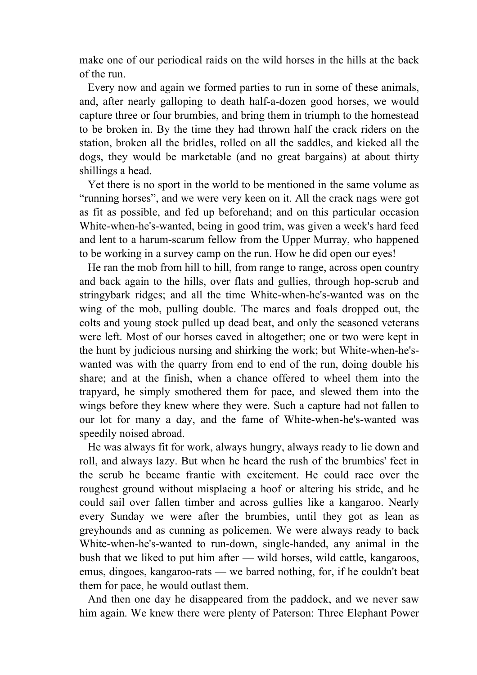make one of our periodical raids on the wild horses in the hills at the back of the run.

 Every now and again we formed parties to run in some of these animals, and, after nearly galloping to death half-a-dozen good horses, we would capture three or four brumbies, and bring them in triumph to the homestead to be broken in. By the time they had thrown half the crack riders on the station, broken all the bridles, rolled on all the saddles, and kicked all the dogs, they would be marketable (and no great bargains) at about thirty shillings a head.

 Yet there is no sport in the world to be mentioned in the same volume as "running horses", and we were very keen on it. All the crack nags were got as fit as possible, and fed up beforehand; and on this particular occasion White-when-he's-wanted, being in good trim, was given a week's hard feed and lent to a harum-scarum fellow from the Upper Murray, who happened to be working in a survey camp on the run. How he did open our eyes!

 He ran the mob from hill to hill, from range to range, across open country and back again to the hills, over flats and gullies, through hop-scrub and stringybark ridges; and all the time White-when-he's-wanted was on the wing of the mob, pulling double. The mares and foals dropped out, the colts and young stock pulled up dead beat, and only the seasoned veterans were left. Most of our horses caved in altogether; one or two were kept in the hunt by judicious nursing and shirking the work; but White-when-he'swanted was with the quarry from end to end of the run, doing double his share; and at the finish, when a chance offered to wheel them into the trapyard, he simply smothered them for pace, and slewed them into the wings before they knew where they were. Such a capture had not fallen to our lot for many a day, and the fame of White-when-he's-wanted was speedily noised abroad.

 He was always fit for work, always hungry, always ready to lie down and roll, and always lazy. But when he heard the rush of the brumbies' feet in the scrub he became frantic with excitement. He could race over the roughest ground without misplacing a hoof or altering his stride, and he could sail over fallen timber and across gullies like a kangaroo. Nearly every Sunday we were after the brumbies, until they got as lean as greyhounds and as cunning as policemen. We were always ready to back White-when-he's-wanted to run-down, single-handed, any animal in the bush that we liked to put him after — wild horses, wild cattle, kangaroos, emus, dingoes, kangaroo-rats — we barred nothing, for, if he couldn't beat them for pace, he would outlast them.

 And then one day he disappeared from the paddock, and we never saw him again. We knew there were plenty of Paterson: Three Elephant Power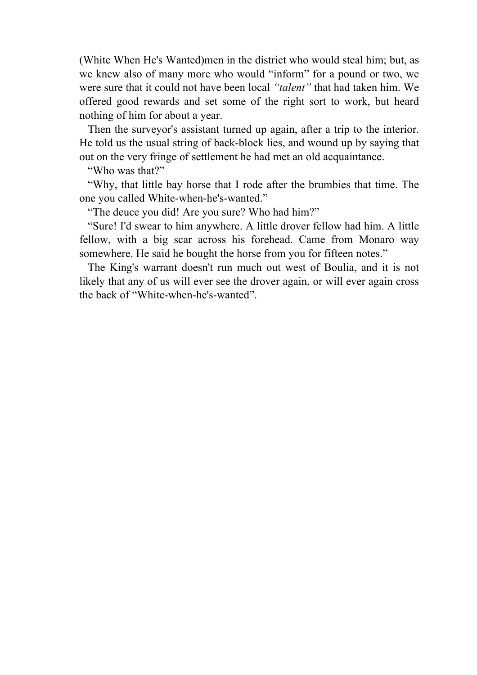(White When He's Wanted)men in the district who would steal him; but, as we knew also of many more who would "inform" for a pound or two, we were sure that it could not have been local *"talent"* that had taken him. We offered good rewards and set some of the right sort to work, but heard nothing of him for about a year.

 Then the surveyor's assistant turned up again, after a trip to the interior. He told us the usual string of back-block lies, and wound up by saying that out on the very fringe of settlement he had met an old acquaintance.

"Who was that?"

 "Why, that little bay horse that I rode after the brumbies that time. The one you called White-when-he's-wanted."

"The deuce you did! Are you sure? Who had him?"

 "Sure! I'd swear to him anywhere. A little drover fellow had him. A little fellow, with a big scar across his forehead. Came from Monaro way somewhere. He said he bought the horse from you for fifteen notes."

 The King's warrant doesn't run much out west of Boulia, and it is not likely that any of us will ever see the drover again, or will ever again cross the back of "White-when-he's-wanted".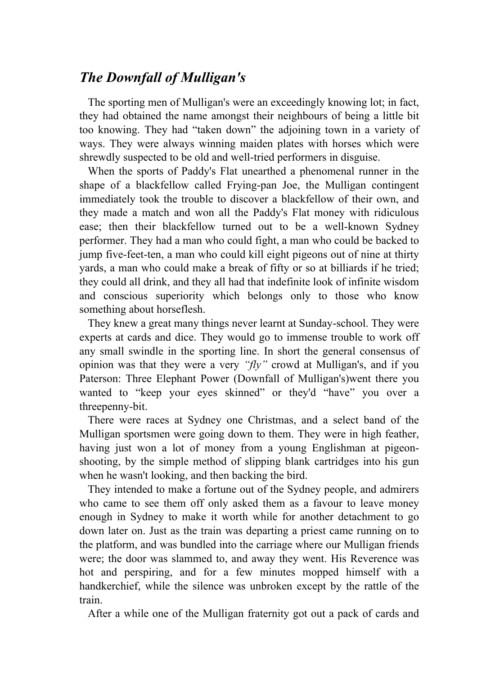# *The Downfall of Mulligan's*

 The sporting men of Mulligan's were an exceedingly knowing lot; in fact, they had obtained the name amongst their neighbours of being a little bit too knowing. They had "taken down" the adjoining town in a variety of ways. They were always winning maiden plates with horses which were shrewdly suspected to be old and well-tried performers in disguise.

 When the sports of Paddy's Flat unearthed a phenomenal runner in the shape of a blackfellow called Frying-pan Joe, the Mulligan contingent immediately took the trouble to discover a blackfellow of their own, and they made a match and won all the Paddy's Flat money with ridiculous ease; then their blackfellow turned out to be a well-known Sydney performer. They had a man who could fight, a man who could be backed to jump five-feet-ten, a man who could kill eight pigeons out of nine at thirty yards, a man who could make a break of fifty or so at billiards if he tried; they could all drink, and they all had that indefinite look of infinite wisdom and conscious superiority which belongs only to those who know something about horseflesh.

 They knew a great many things never learnt at Sunday-school. They were experts at cards and dice. They would go to immense trouble to work off any small swindle in the sporting line. In short the general consensus of opinion was that they were a very *"fly"* crowd at Mulligan's, and if you Paterson: Three Elephant Power (Downfall of Mulligan's)went there you wanted to "keep your eyes skinned" or they'd "have" you over a threepenny-bit.

 There were races at Sydney one Christmas, and a select band of the Mulligan sportsmen were going down to them. They were in high feather, having just won a lot of money from a young Englishman at pigeonshooting, by the simple method of slipping blank cartridges into his gun when he wasn't looking, and then backing the bird.

 They intended to make a fortune out of the Sydney people, and admirers who came to see them off only asked them as a favour to leave money enough in Sydney to make it worth while for another detachment to go down later on. Just as the train was departing a priest came running on to the platform, and was bundled into the carriage where our Mulligan friends were; the door was slammed to, and away they went. His Reverence was hot and perspiring, and for a few minutes mopped himself with a handkerchief, while the silence was unbroken except by the rattle of the train.

After a while one of the Mulligan fraternity got out a pack of cards and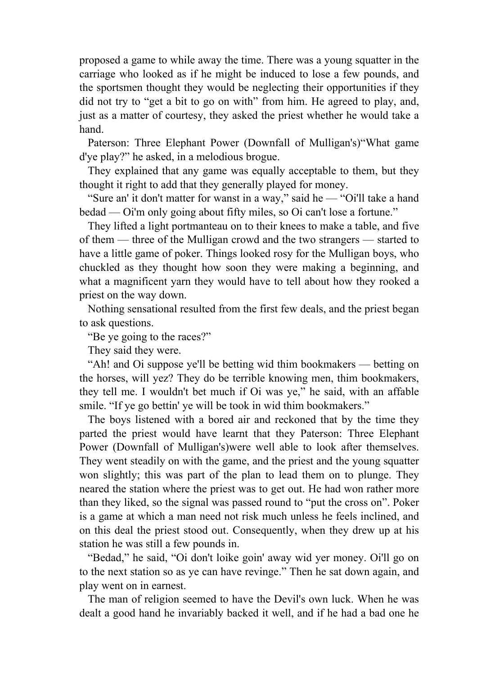proposed a game to while away the time. There was a young squatter in the carriage who looked as if he might be induced to lose a few pounds, and the sportsmen thought they would be neglecting their opportunities if they did not try to "get a bit to go on with" from him. He agreed to play, and, just as a matter of courtesy, they asked the priest whether he would take a hand.

 Paterson: Three Elephant Power (Downfall of Mulligan's)"What game d'ye play?" he asked, in a melodious brogue.

 They explained that any game was equally acceptable to them, but they thought it right to add that they generally played for money.

 "Sure an' it don't matter for wanst in a way," said he — "Oi'll take a hand bedad — Oi'm only going about fifty miles, so Oi can't lose a fortune."

 They lifted a light portmanteau on to their knees to make a table, and five of them — three of the Mulligan crowd and the two strangers — started to have a little game of poker. Things looked rosy for the Mulligan boys, who chuckled as they thought how soon they were making a beginning, and what a magnificent yarn they would have to tell about how they rooked a priest on the way down.

 Nothing sensational resulted from the first few deals, and the priest began to ask questions.

"Be ye going to the races?"

They said they were.

 "Ah! and Oi suppose ye'll be betting wid thim bookmakers — betting on the horses, will yez? They do be terrible knowing men, thim bookmakers, they tell me. I wouldn't bet much if Oi was ye," he said, with an affable smile. "If ye go bettin' ye will be took in wid thim bookmakers."

 The boys listened with a bored air and reckoned that by the time they parted the priest would have learnt that they Paterson: Three Elephant Power (Downfall of Mulligan's)were well able to look after themselves. They went steadily on with the game, and the priest and the young squatter won slightly; this was part of the plan to lead them on to plunge. They neared the station where the priest was to get out. He had won rather more than they liked, so the signal was passed round to "put the cross on". Poker is a game at which a man need not risk much unless he feels inclined, and on this deal the priest stood out. Consequently, when they drew up at his station he was still a few pounds in.

 "Bedad," he said, "Oi don't loike goin' away wid yer money. Oi'll go on to the next station so as ye can have revinge." Then he sat down again, and play went on in earnest.

 The man of religion seemed to have the Devil's own luck. When he was dealt a good hand he invariably backed it well, and if he had a bad one he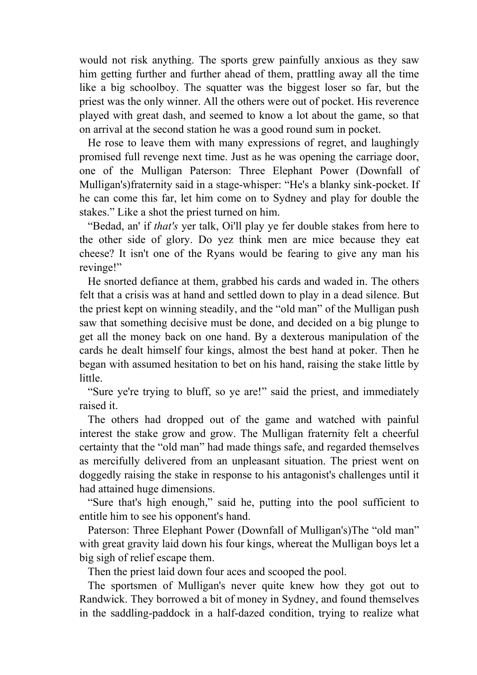would not risk anything. The sports grew painfully anxious as they saw him getting further and further ahead of them, prattling away all the time like a big schoolboy. The squatter was the biggest loser so far, but the priest was the only winner. All the others were out of pocket. His reverence played with great dash, and seemed to know a lot about the game, so that on arrival at the second station he was a good round sum in pocket.

 He rose to leave them with many expressions of regret, and laughingly promised full revenge next time. Just as he was opening the carriage door, one of the Mulligan Paterson: Three Elephant Power (Downfall of Mulligan's)fraternity said in a stage-whisper: "He's a blanky sink-pocket. If he can come this far, let him come on to Sydney and play for double the stakes." Like a shot the priest turned on him.

 "Bedad, an' if *that's* yer talk, Oi'll play ye fer double stakes from here to the other side of glory. Do yez think men are mice because they eat cheese? It isn't one of the Ryans would be fearing to give any man his revinge!"

 He snorted defiance at them, grabbed his cards and waded in. The others felt that a crisis was at hand and settled down to play in a dead silence. But the priest kept on winning steadily, and the "old man" of the Mulligan push saw that something decisive must be done, and decided on a big plunge to get all the money back on one hand. By a dexterous manipulation of the cards he dealt himself four kings, almost the best hand at poker. Then he began with assumed hesitation to bet on his hand, raising the stake little by little.

 "Sure ye're trying to bluff, so ye are!" said the priest, and immediately raised it.

 The others had dropped out of the game and watched with painful interest the stake grow and grow. The Mulligan fraternity felt a cheerful certainty that the "old man" had made things safe, and regarded themselves as mercifully delivered from an unpleasant situation. The priest went on doggedly raising the stake in response to his antagonist's challenges until it had attained huge dimensions.

 "Sure that's high enough," said he, putting into the pool sufficient to entitle him to see his opponent's hand.

 Paterson: Three Elephant Power (Downfall of Mulligan's)The "old man" with great gravity laid down his four kings, whereat the Mulligan boys let a big sigh of relief escape them.

Then the priest laid down four aces and scooped the pool.

 The sportsmen of Mulligan's never quite knew how they got out to Randwick. They borrowed a bit of money in Sydney, and found themselves in the saddling-paddock in a half-dazed condition, trying to realize what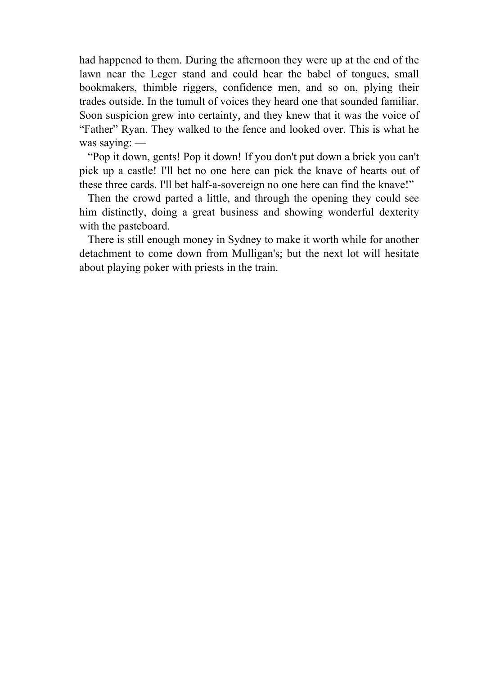had happened to them. During the afternoon they were up at the end of the lawn near the Leger stand and could hear the babel of tongues, small bookmakers, thimble riggers, confidence men, and so on, plying their trades outside. In the tumult of voices they heard one that sounded familiar. Soon suspicion grew into certainty, and they knew that it was the voice of "Father" Ryan. They walked to the fence and looked over. This is what he was saying: —

 "Pop it down, gents! Pop it down! If you don't put down a brick you can't pick up a castle! I'll bet no one here can pick the knave of hearts out of these three cards. I'll bet half-a-sovereign no one here can find the knave!"

 Then the crowd parted a little, and through the opening they could see him distinctly, doing a great business and showing wonderful dexterity with the pasteboard.

 There is still enough money in Sydney to make it worth while for another detachment to come down from Mulligan's; but the next lot will hesitate about playing poker with priests in the train.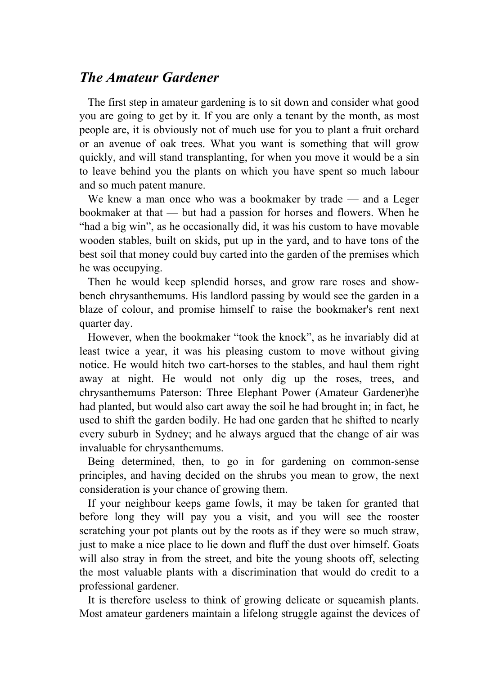## *The Amateur Gardener*

 The first step in amateur gardening is to sit down and consider what good you are going to get by it. If you are only a tenant by the month, as most people are, it is obviously not of much use for you to plant a fruit orchard or an avenue of oak trees. What you want is something that will grow quickly, and will stand transplanting, for when you move it would be a sin to leave behind you the plants on which you have spent so much labour and so much patent manure.

We knew a man once who was a bookmaker by trade — and a Leger bookmaker at that — but had a passion for horses and flowers. When he "had a big win", as he occasionally did, it was his custom to have movable wooden stables, built on skids, put up in the yard, and to have tons of the best soil that money could buy carted into the garden of the premises which he was occupying.

 Then he would keep splendid horses, and grow rare roses and showbench chrysanthemums. His landlord passing by would see the garden in a blaze of colour, and promise himself to raise the bookmaker's rent next quarter day.

 However, when the bookmaker "took the knock", as he invariably did at least twice a year, it was his pleasing custom to move without giving notice. He would hitch two cart-horses to the stables, and haul them right away at night. He would not only dig up the roses, trees, and chrysanthemums Paterson: Three Elephant Power (Amateur Gardener)he had planted, but would also cart away the soil he had brought in; in fact, he used to shift the garden bodily. He had one garden that he shifted to nearly every suburb in Sydney; and he always argued that the change of air was invaluable for chrysanthemums.

 Being determined, then, to go in for gardening on common-sense principles, and having decided on the shrubs you mean to grow, the next consideration is your chance of growing them.

 If your neighbour keeps game fowls, it may be taken for granted that before long they will pay you a visit, and you will see the rooster scratching your pot plants out by the roots as if they were so much straw, just to make a nice place to lie down and fluff the dust over himself. Goats will also stray in from the street, and bite the young shoots off, selecting the most valuable plants with a discrimination that would do credit to a professional gardener.

 It is therefore useless to think of growing delicate or squeamish plants. Most amateur gardeners maintain a lifelong struggle against the devices of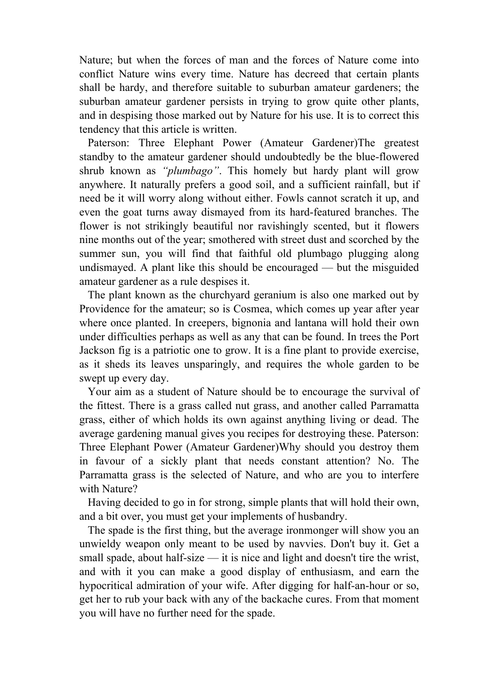Nature; but when the forces of man and the forces of Nature come into conflict Nature wins every time. Nature has decreed that certain plants shall be hardy, and therefore suitable to suburban amateur gardeners; the suburban amateur gardener persists in trying to grow quite other plants, and in despising those marked out by Nature for his use. It is to correct this tendency that this article is written.

 Paterson: Three Elephant Power (Amateur Gardener)The greatest standby to the amateur gardener should undoubtedly be the blue-flowered shrub known as *"plumbago"*. This homely but hardy plant will grow anywhere. It naturally prefers a good soil, and a sufficient rainfall, but if need be it will worry along without either. Fowls cannot scratch it up, and even the goat turns away dismayed from its hard-featured branches. The flower is not strikingly beautiful nor ravishingly scented, but it flowers nine months out of the year; smothered with street dust and scorched by the summer sun, you will find that faithful old plumbago plugging along undismayed. A plant like this should be encouraged — but the misguided amateur gardener as a rule despises it.

 The plant known as the churchyard geranium is also one marked out by Providence for the amateur; so is Cosmea, which comes up year after year where once planted. In creepers, bignonia and lantana will hold their own under difficulties perhaps as well as any that can be found. In trees the Port Jackson fig is a patriotic one to grow. It is a fine plant to provide exercise, as it sheds its leaves unsparingly, and requires the whole garden to be swept up every day.

 Your aim as a student of Nature should be to encourage the survival of the fittest. There is a grass called nut grass, and another called Parramatta grass, either of which holds its own against anything living or dead. The average gardening manual gives you recipes for destroying these. Paterson: Three Elephant Power (Amateur Gardener)Why should you destroy them in favour of a sickly plant that needs constant attention? No. The Parramatta grass is the selected of Nature, and who are you to interfere with Nature?

 Having decided to go in for strong, simple plants that will hold their own, and a bit over, you must get your implements of husbandry.

 The spade is the first thing, but the average ironmonger will show you an unwieldy weapon only meant to be used by navvies. Don't buy it. Get a small spade, about half-size — it is nice and light and doesn't tire the wrist, and with it you can make a good display of enthusiasm, and earn the hypocritical admiration of your wife. After digging for half-an-hour or so, get her to rub your back with any of the backache cures. From that moment you will have no further need for the spade.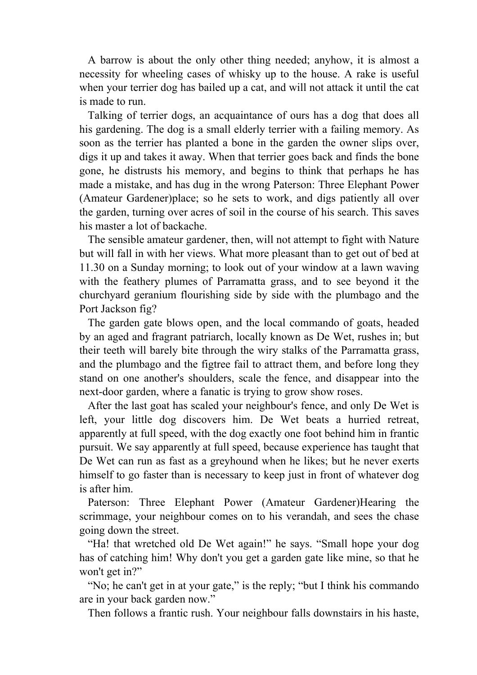A barrow is about the only other thing needed; anyhow, it is almost a necessity for wheeling cases of whisky up to the house. A rake is useful when your terrier dog has bailed up a cat, and will not attack it until the cat is made to run.

 Talking of terrier dogs, an acquaintance of ours has a dog that does all his gardening. The dog is a small elderly terrier with a failing memory. As soon as the terrier has planted a bone in the garden the owner slips over, digs it up and takes it away. When that terrier goes back and finds the bone gone, he distrusts his memory, and begins to think that perhaps he has made a mistake, and has dug in the wrong Paterson: Three Elephant Power (Amateur Gardener)place; so he sets to work, and digs patiently all over the garden, turning over acres of soil in the course of his search. This saves his master a lot of backache.

 The sensible amateur gardener, then, will not attempt to fight with Nature but will fall in with her views. What more pleasant than to get out of bed at 11.30 on a Sunday morning; to look out of your window at a lawn waving with the feathery plumes of Parramatta grass, and to see beyond it the churchyard geranium flourishing side by side with the plumbago and the Port Jackson fig?

 The garden gate blows open, and the local commando of goats, headed by an aged and fragrant patriarch, locally known as De Wet, rushes in; but their teeth will barely bite through the wiry stalks of the Parramatta grass, and the plumbago and the figtree fail to attract them, and before long they stand on one another's shoulders, scale the fence, and disappear into the next-door garden, where a fanatic is trying to grow show roses.

 After the last goat has scaled your neighbour's fence, and only De Wet is left, your little dog discovers him. De Wet beats a hurried retreat, apparently at full speed, with the dog exactly one foot behind him in frantic pursuit. We say apparently at full speed, because experience has taught that De Wet can run as fast as a greyhound when he likes; but he never exerts himself to go faster than is necessary to keep just in front of whatever dog is after him.

 Paterson: Three Elephant Power (Amateur Gardener)Hearing the scrimmage, your neighbour comes on to his verandah, and sees the chase going down the street.

 "Ha! that wretched old De Wet again!" he says. "Small hope your dog has of catching him! Why don't you get a garden gate like mine, so that he won't get in?"

 "No; he can't get in at your gate," is the reply; "but I think his commando are in your back garden now."

Then follows a frantic rush. Your neighbour falls downstairs in his haste,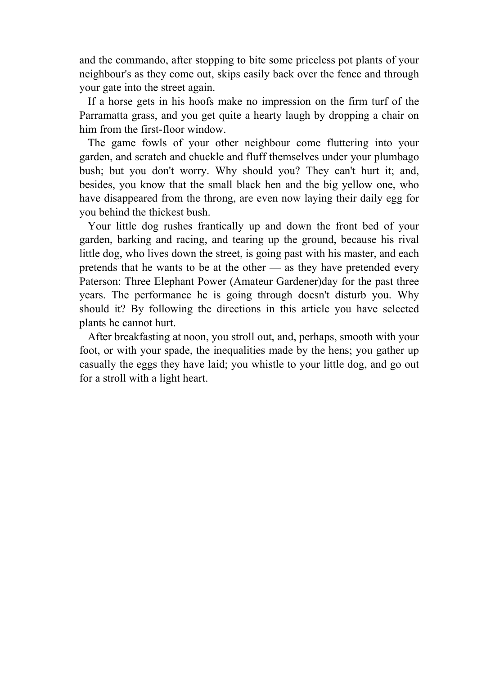and the commando, after stopping to bite some priceless pot plants of your neighbour's as they come out, skips easily back over the fence and through your gate into the street again.

 If a horse gets in his hoofs make no impression on the firm turf of the Parramatta grass, and you get quite a hearty laugh by dropping a chair on him from the first-floor window.

 The game fowls of your other neighbour come fluttering into your garden, and scratch and chuckle and fluff themselves under your plumbago bush; but you don't worry. Why should you? They can't hurt it; and, besides, you know that the small black hen and the big yellow one, who have disappeared from the throng, are even now laying their daily egg for you behind the thickest bush.

 Your little dog rushes frantically up and down the front bed of your garden, barking and racing, and tearing up the ground, because his rival little dog, who lives down the street, is going past with his master, and each pretends that he wants to be at the other — as they have pretended every Paterson: Three Elephant Power (Amateur Gardener)day for the past three years. The performance he is going through doesn't disturb you. Why should it? By following the directions in this article you have selected plants he cannot hurt.

 After breakfasting at noon, you stroll out, and, perhaps, smooth with your foot, or with your spade, the inequalities made by the hens; you gather up casually the eggs they have laid; you whistle to your little dog, and go out for a stroll with a light heart.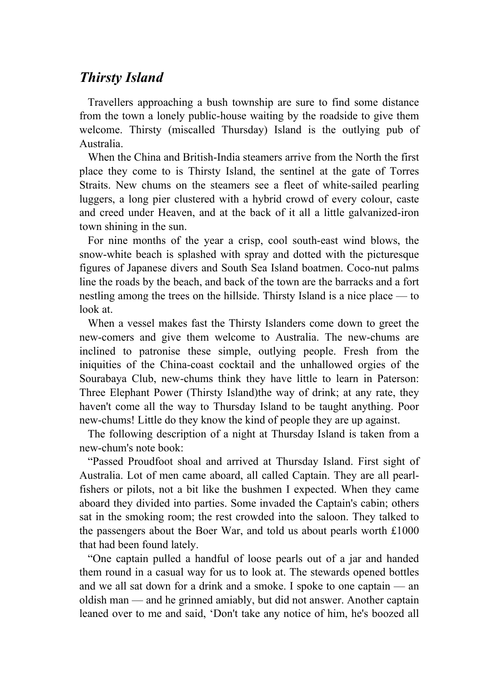## *Thirsty Island*

 Travellers approaching a bush township are sure to find some distance from the town a lonely public-house waiting by the roadside to give them welcome. Thirsty (miscalled Thursday) Island is the outlying pub of Australia.

 When the China and British-India steamers arrive from the North the first place they come to is Thirsty Island, the sentinel at the gate of Torres Straits. New chums on the steamers see a fleet of white-sailed pearling luggers, a long pier clustered with a hybrid crowd of every colour, caste and creed under Heaven, and at the back of it all a little galvanized-iron town shining in the sun.

 For nine months of the year a crisp, cool south-east wind blows, the snow-white beach is splashed with spray and dotted with the picturesque figures of Japanese divers and South Sea Island boatmen. Coco-nut palms line the roads by the beach, and back of the town are the barracks and a fort nestling among the trees on the hillside. Thirsty Island is a nice place — to look at.

 When a vessel makes fast the Thirsty Islanders come down to greet the new-comers and give them welcome to Australia. The new-chums are inclined to patronise these simple, outlying people. Fresh from the iniquities of the China-coast cocktail and the unhallowed orgies of the Sourabaya Club, new-chums think they have little to learn in Paterson: Three Elephant Power (Thirsty Island)the way of drink; at any rate, they haven't come all the way to Thursday Island to be taught anything. Poor new-chums! Little do they know the kind of people they are up against.

 The following description of a night at Thursday Island is taken from a new-chum's note book:

 "Passed Proudfoot shoal and arrived at Thursday Island. First sight of Australia. Lot of men came aboard, all called Captain. They are all pearlfishers or pilots, not a bit like the bushmen I expected. When they came aboard they divided into parties. Some invaded the Captain's cabin; others sat in the smoking room; the rest crowded into the saloon. They talked to the passengers about the Boer War, and told us about pearls worth £1000 that had been found lately.

 "One captain pulled a handful of loose pearls out of a jar and handed them round in a casual way for us to look at. The stewards opened bottles and we all sat down for a drink and a smoke. I spoke to one captain — an oldish man — and he grinned amiably, but did not answer. Another captain leaned over to me and said, 'Don't take any notice of him, he's boozed all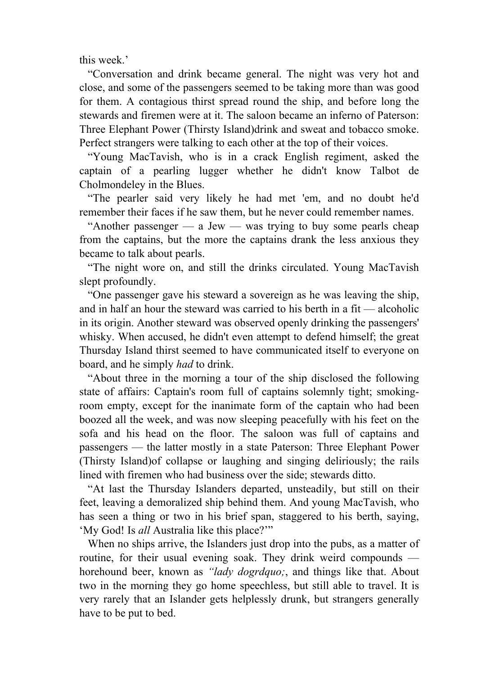this week.'

 "Conversation and drink became general. The night was very hot and close, and some of the passengers seemed to be taking more than was good for them. A contagious thirst spread round the ship, and before long the stewards and firemen were at it. The saloon became an inferno of Paterson: Three Elephant Power (Thirsty Island)drink and sweat and tobacco smoke. Perfect strangers were talking to each other at the top of their voices.

 "Young MacTavish, who is in a crack English regiment, asked the captain of a pearling lugger whether he didn't know Talbot de Cholmondeley in the Blues.

 "The pearler said very likely he had met 'em, and no doubt he'd remember their faces if he saw them, but he never could remember names.

"Another passenger  $-$  a Jew  $-$  was trying to buy some pearls cheap from the captains, but the more the captains drank the less anxious they became to talk about pearls.

 "The night wore on, and still the drinks circulated. Young MacTavish slept profoundly.

 "One passenger gave his steward a sovereign as he was leaving the ship, and in half an hour the steward was carried to his berth in a fit — alcoholic in its origin. Another steward was observed openly drinking the passengers' whisky. When accused, he didn't even attempt to defend himself; the great Thursday Island thirst seemed to have communicated itself to everyone on board, and he simply *had* to drink.

 "About three in the morning a tour of the ship disclosed the following state of affairs: Captain's room full of captains solemnly tight; smokingroom empty, except for the inanimate form of the captain who had been boozed all the week, and was now sleeping peacefully with his feet on the sofa and his head on the floor. The saloon was full of captains and passengers — the latter mostly in a state Paterson: Three Elephant Power (Thirsty Island)of collapse or laughing and singing deliriously; the rails lined with firemen who had business over the side; stewards ditto.

 "At last the Thursday Islanders departed, unsteadily, but still on their feet, leaving a demoralized ship behind them. And young MacTavish, who has seen a thing or two in his brief span, staggered to his berth, saying, 'My God! Is *all* Australia like this place?'"

When no ships arrive, the Islanders just drop into the pubs, as a matter of routine, for their usual evening soak. They drink weird compounds horehound beer, known as *"lady dogrdquo;*, and things like that. About two in the morning they go home speechless, but still able to travel. It is very rarely that an Islander gets helplessly drunk, but strangers generally have to be put to bed.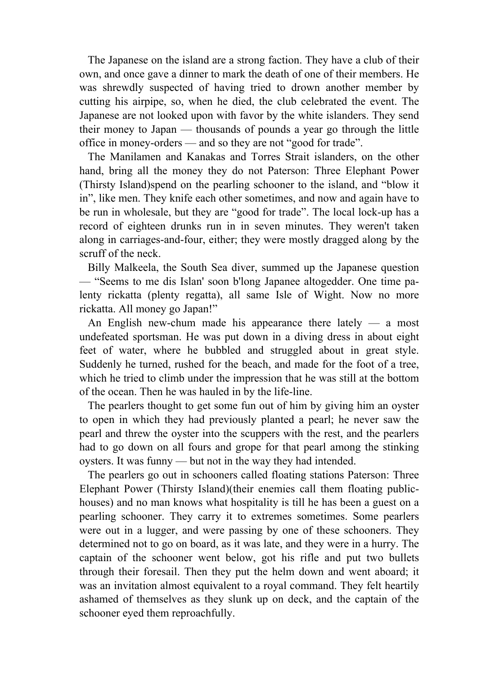The Japanese on the island are a strong faction. They have a club of their own, and once gave a dinner to mark the death of one of their members. He was shrewdly suspected of having tried to drown another member by cutting his airpipe, so, when he died, the club celebrated the event. The Japanese are not looked upon with favor by the white islanders. They send their money to Japan — thousands of pounds a year go through the little office in money-orders — and so they are not "good for trade".

 The Manilamen and Kanakas and Torres Strait islanders, on the other hand, bring all the money they do not Paterson: Three Elephant Power (Thirsty Island)spend on the pearling schooner to the island, and "blow it in", like men. They knife each other sometimes, and now and again have to be run in wholesale, but they are "good for trade". The local lock-up has a record of eighteen drunks run in in seven minutes. They weren't taken along in carriages-and-four, either; they were mostly dragged along by the scruff of the neck.

 Billy Malkeela, the South Sea diver, summed up the Japanese question — "Seems to me dis Islan' soon b'long Japanee altogedder. One time palenty rickatta (plenty regatta), all same Isle of Wight. Now no more rickatta. All money go Japan!"

An English new-chum made his appearance there lately  $-$  a most undefeated sportsman. He was put down in a diving dress in about eight feet of water, where he bubbled and struggled about in great style. Suddenly he turned, rushed for the beach, and made for the foot of a tree, which he tried to climb under the impression that he was still at the bottom of the ocean. Then he was hauled in by the life-line.

 The pearlers thought to get some fun out of him by giving him an oyster to open in which they had previously planted a pearl; he never saw the pearl and threw the oyster into the scuppers with the rest, and the pearlers had to go down on all fours and grope for that pearl among the stinking oysters. It was funny — but not in the way they had intended.

 The pearlers go out in schooners called floating stations Paterson: Three Elephant Power (Thirsty Island)(their enemies call them floating publichouses) and no man knows what hospitality is till he has been a guest on a pearling schooner. They carry it to extremes sometimes. Some pearlers were out in a lugger, and were passing by one of these schooners. They determined not to go on board, as it was late, and they were in a hurry. The captain of the schooner went below, got his rifle and put two bullets through their foresail. Then they put the helm down and went aboard; it was an invitation almost equivalent to a royal command. They felt heartily ashamed of themselves as they slunk up on deck, and the captain of the schooner eyed them reproachfully.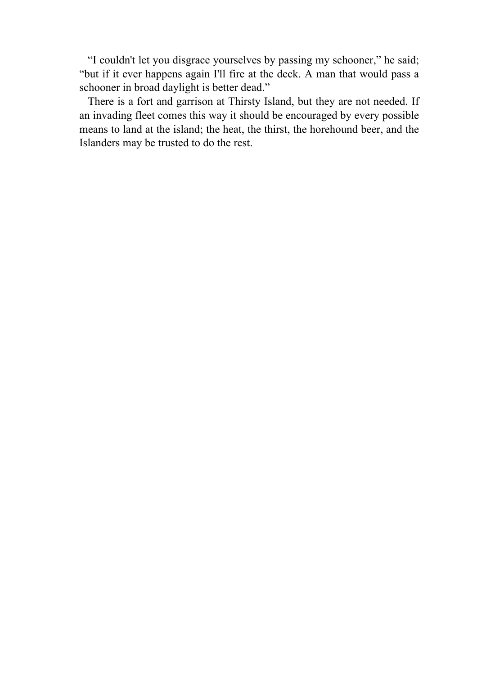"I couldn't let you disgrace yourselves by passing my schooner," he said; "but if it ever happens again I'll fire at the deck. A man that would pass a schooner in broad daylight is better dead."

 There is a fort and garrison at Thirsty Island, but they are not needed. If an invading fleet comes this way it should be encouraged by every possible means to land at the island; the heat, the thirst, the horehound beer, and the Islanders may be trusted to do the rest.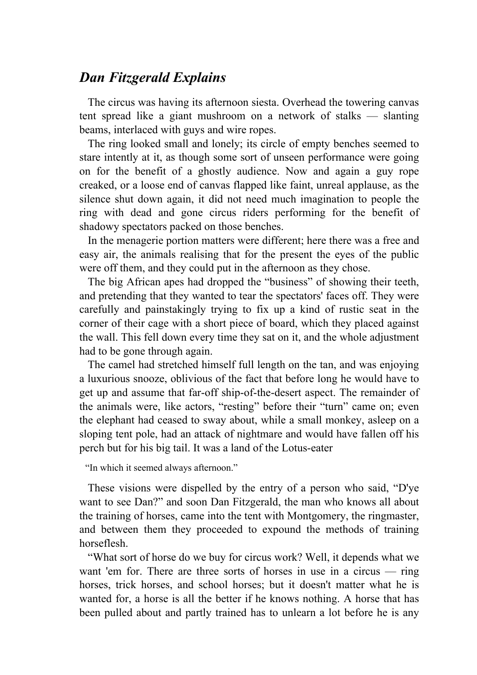### *Dan Fitzgerald Explains*

 The circus was having its afternoon siesta. Overhead the towering canvas tent spread like a giant mushroom on a network of stalks — slanting beams, interlaced with guys and wire ropes.

 The ring looked small and lonely; its circle of empty benches seemed to stare intently at it, as though some sort of unseen performance were going on for the benefit of a ghostly audience. Now and again a guy rope creaked, or a loose end of canvas flapped like faint, unreal applause, as the silence shut down again, it did not need much imagination to people the ring with dead and gone circus riders performing for the benefit of shadowy spectators packed on those benches.

 In the menagerie portion matters were different; here there was a free and easy air, the animals realising that for the present the eyes of the public were off them, and they could put in the afternoon as they chose.

 The big African apes had dropped the "business" of showing their teeth, and pretending that they wanted to tear the spectators' faces off. They were carefully and painstakingly trying to fix up a kind of rustic seat in the corner of their cage with a short piece of board, which they placed against the wall. This fell down every time they sat on it, and the whole adjustment had to be gone through again.

 The camel had stretched himself full length on the tan, and was enjoying a luxurious snooze, oblivious of the fact that before long he would have to get up and assume that far-off ship-of-the-desert aspect. The remainder of the animals were, like actors, "resting" before their "turn" came on; even the elephant had ceased to sway about, while a small monkey, asleep on a sloping tent pole, had an attack of nightmare and would have fallen off his perch but for his big tail. It was a land of the Lotus-eater

"In which it seemed always afternoon."

 These visions were dispelled by the entry of a person who said, "D'ye want to see Dan?" and soon Dan Fitzgerald, the man who knows all about the training of horses, came into the tent with Montgomery, the ringmaster, and between them they proceeded to expound the methods of training horseflesh.

 "What sort of horse do we buy for circus work? Well, it depends what we want 'em for. There are three sorts of horses in use in a circus — ring horses, trick horses, and school horses; but it doesn't matter what he is wanted for, a horse is all the better if he knows nothing. A horse that has been pulled about and partly trained has to unlearn a lot before he is any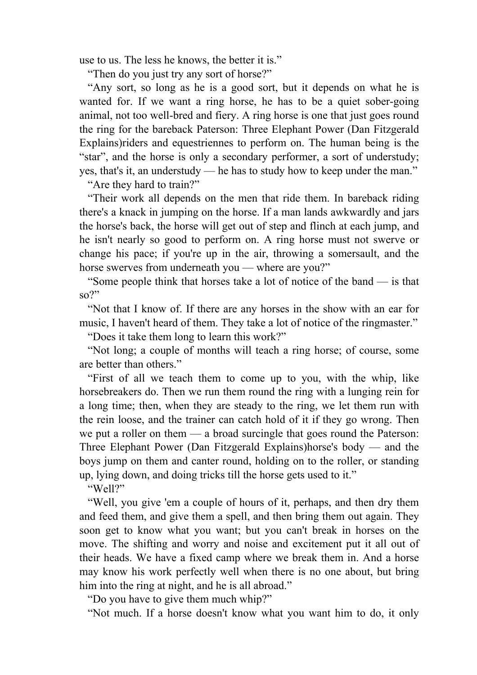use to us. The less he knows, the better it is."

"Then do you just try any sort of horse?"

 "Any sort, so long as he is a good sort, but it depends on what he is wanted for. If we want a ring horse, he has to be a quiet sober-going animal, not too well-bred and fiery. A ring horse is one that just goes round the ring for the bareback Paterson: Three Elephant Power (Dan Fitzgerald Explains)riders and equestriennes to perform on. The human being is the "star", and the horse is only a secondary performer, a sort of understudy; yes, that's it, an understudy — he has to study how to keep under the man."

"Are they hard to train?"

 "Their work all depends on the men that ride them. In bareback riding there's a knack in jumping on the horse. If a man lands awkwardly and jars the horse's back, the horse will get out of step and flinch at each jump, and he isn't nearly so good to perform on. A ring horse must not swerve or change his pace; if you're up in the air, throwing a somersault, and the horse swerves from underneath you — where are you?"

 "Some people think that horses take a lot of notice of the band — is that  $SO$ <sup>?</sup>"

 "Not that I know of. If there are any horses in the show with an ear for music, I haven't heard of them. They take a lot of notice of the ringmaster."

"Does it take them long to learn this work?"

 "Not long; a couple of months will teach a ring horse; of course, some are better than others."

 "First of all we teach them to come up to you, with the whip, like horsebreakers do. Then we run them round the ring with a lunging rein for a long time; then, when they are steady to the ring, we let them run with the rein loose, and the trainer can catch hold of it if they go wrong. Then we put a roller on them — a broad surcingle that goes round the Paterson: Three Elephant Power (Dan Fitzgerald Explains)horse's body — and the boys jump on them and canter round, holding on to the roller, or standing up, lying down, and doing tricks till the horse gets used to it."

"Well?"

 "Well, you give 'em a couple of hours of it, perhaps, and then dry them and feed them, and give them a spell, and then bring them out again. They soon get to know what you want; but you can't break in horses on the move. The shifting and worry and noise and excitement put it all out of their heads. We have a fixed camp where we break them in. And a horse may know his work perfectly well when there is no one about, but bring him into the ring at night, and he is all abroad."

"Do you have to give them much whip?"

"Not much. If a horse doesn't know what you want him to do, it only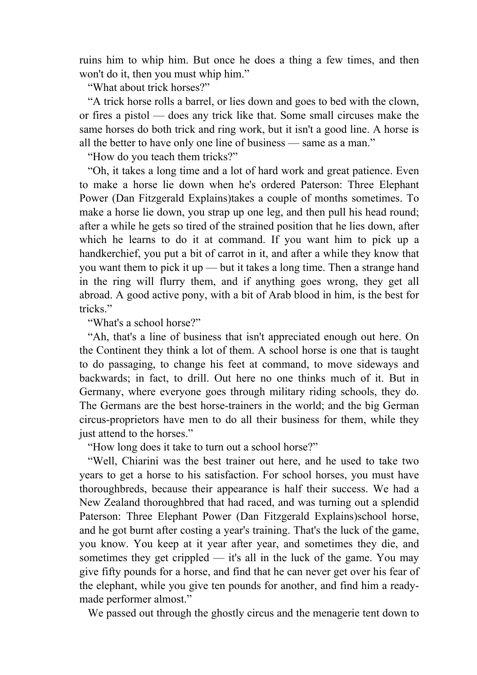ruins him to whip him. But once he does a thing a few times, and then won't do it, then you must whip him."

"What about trick horses?"

 "A trick horse rolls a barrel, or lies down and goes to bed with the clown, or fires a pistol — does any trick like that. Some small circuses make the same horses do both trick and ring work, but it isn't a good line. A horse is all the better to have only one line of business — same as a man."

"How do you teach them tricks?"

 "Oh, it takes a long time and a lot of hard work and great patience. Even to make a horse lie down when he's ordered Paterson: Three Elephant Power (Dan Fitzgerald Explains)takes a couple of months sometimes. To make a horse lie down, you strap up one leg, and then pull his head round; after a while he gets so tired of the strained position that he lies down, after which he learns to do it at command. If you want him to pick up a handkerchief, you put a bit of carrot in it, and after a while they know that you want them to pick it up — but it takes a long time. Then a strange hand in the ring will flurry them, and if anything goes wrong, they get all abroad. A good active pony, with a bit of Arab blood in him, is the best for tricks."

"What's a school horse?"

 "Ah, that's a line of business that isn't appreciated enough out here. On the Continent they think a lot of them. A school horse is one that is taught to do passaging, to change his feet at command, to move sideways and backwards; in fact, to drill. Out here no one thinks much of it. But in Germany, where everyone goes through military riding schools, they do. The Germans are the best horse-trainers in the world; and the big German circus-proprietors have men to do all their business for them, while they just attend to the horses."

"How long does it take to turn out a school horse?"

 "Well, Chiarini was the best trainer out here, and he used to take two years to get a horse to his satisfaction. For school horses, you must have thoroughbreds, because their appearance is half their success. We had a New Zealand thoroughbred that had raced, and was turning out a splendid Paterson: Three Elephant Power (Dan Fitzgerald Explains)school horse, and he got burnt after costing a year's training. That's the luck of the game, you know. You keep at it year after year, and sometimes they die, and sometimes they get crippled — it's all in the luck of the game. You may give fifty pounds for a horse, and find that he can never get over his fear of the elephant, while you give ten pounds for another, and find him a readymade performer almost."

We passed out through the ghostly circus and the menagerie tent down to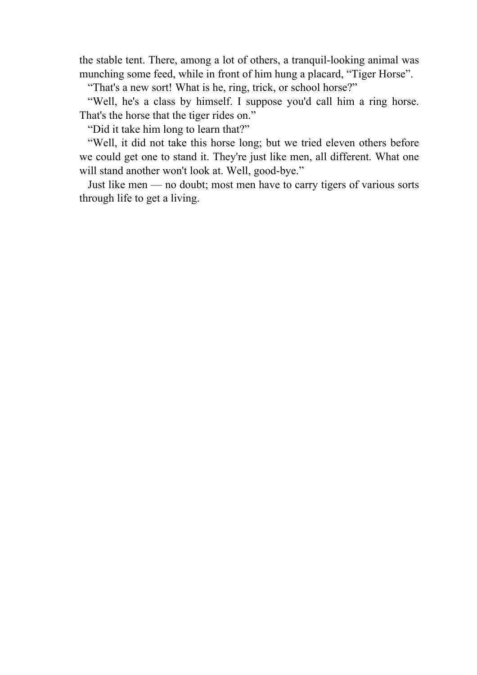the stable tent. There, among a lot of others, a tranquil-looking animal was munching some feed, while in front of him hung a placard, "Tiger Horse".

"That's a new sort! What is he, ring, trick, or school horse?"

 "Well, he's a class by himself. I suppose you'd call him a ring horse. That's the horse that the tiger rides on."

"Did it take him long to learn that?"

 "Well, it did not take this horse long; but we tried eleven others before we could get one to stand it. They're just like men, all different. What one will stand another won't look at. Well, good-bye."

 Just like men — no doubt; most men have to carry tigers of various sorts through life to get a living.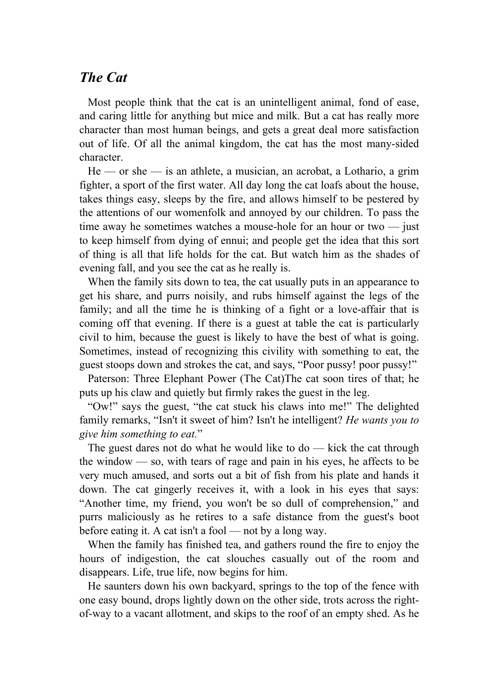#### *The Cat*

 Most people think that the cat is an unintelligent animal, fond of ease, and caring little for anything but mice and milk. But a cat has really more character than most human beings, and gets a great deal more satisfaction out of life. Of all the animal kingdom, the cat has the most many-sided character.

 $He$  — or she — is an athlete, a musician, an acrobat, a Lothario, a grim fighter, a sport of the first water. All day long the cat loafs about the house, takes things easy, sleeps by the fire, and allows himself to be pestered by the attentions of our womenfolk and annoyed by our children. To pass the time away he sometimes watches a mouse-hole for an hour or two — just to keep himself from dying of ennui; and people get the idea that this sort of thing is all that life holds for the cat. But watch him as the shades of evening fall, and you see the cat as he really is.

 When the family sits down to tea, the cat usually puts in an appearance to get his share, and purrs noisily, and rubs himself against the legs of the family; and all the time he is thinking of a fight or a love-affair that is coming off that evening. If there is a guest at table the cat is particularly civil to him, because the guest is likely to have the best of what is going. Sometimes, instead of recognizing this civility with something to eat, the guest stoops down and strokes the cat, and says, "Poor pussy! poor pussy!"

 Paterson: Three Elephant Power (The Cat)The cat soon tires of that; he puts up his claw and quietly but firmly rakes the guest in the leg.

 "Ow!" says the guest, "the cat stuck his claws into me!" The delighted family remarks, "Isn't it sweet of him? Isn't he intelligent? *He wants you to give him something to eat.*"

The guest dares not do what he would like to  $d\sigma$  — kick the cat through the window — so, with tears of rage and pain in his eyes, he affects to be very much amused, and sorts out a bit of fish from his plate and hands it down. The cat gingerly receives it, with a look in his eyes that says: "Another time, my friend, you won't be so dull of comprehension," and purrs maliciously as he retires to a safe distance from the guest's boot before eating it. A cat isn't a fool — not by a long way.

 When the family has finished tea, and gathers round the fire to enjoy the hours of indigestion, the cat slouches casually out of the room and disappears. Life, true life, now begins for him.

 He saunters down his own backyard, springs to the top of the fence with one easy bound, drops lightly down on the other side, trots across the rightof-way to a vacant allotment, and skips to the roof of an empty shed. As he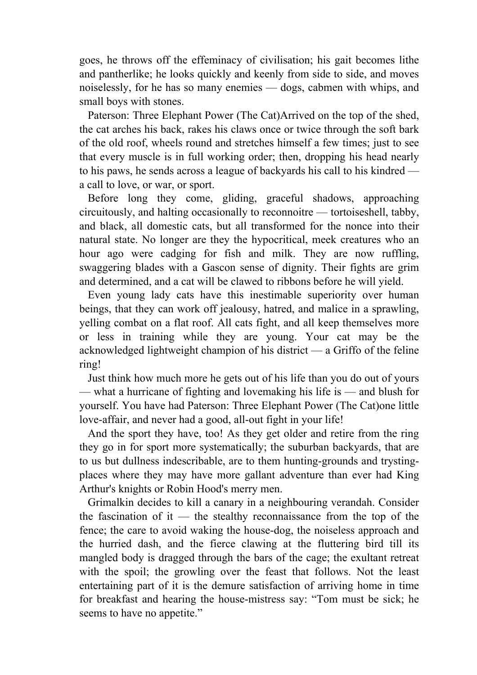goes, he throws off the effeminacy of civilisation; his gait becomes lithe and pantherlike; he looks quickly and keenly from side to side, and moves noiselessly, for he has so many enemies — dogs, cabmen with whips, and small boys with stones.

 Paterson: Three Elephant Power (The Cat)Arrived on the top of the shed, the cat arches his back, rakes his claws once or twice through the soft bark of the old roof, wheels round and stretches himself a few times; just to see that every muscle is in full working order; then, dropping his head nearly to his paws, he sends across a league of backyards his call to his kindred a call to love, or war, or sport.

 Before long they come, gliding, graceful shadows, approaching circuitously, and halting occasionally to reconnoitre — tortoiseshell, tabby, and black, all domestic cats, but all transformed for the nonce into their natural state. No longer are they the hypocritical, meek creatures who an hour ago were cadging for fish and milk. They are now ruffling, swaggering blades with a Gascon sense of dignity. Their fights are grim and determined, and a cat will be clawed to ribbons before he will yield.

 Even young lady cats have this inestimable superiority over human beings, that they can work off jealousy, hatred, and malice in a sprawling, yelling combat on a flat roof. All cats fight, and all keep themselves more or less in training while they are young. Your cat may be the acknowledged lightweight champion of his district — a Griffo of the feline ring!

 Just think how much more he gets out of his life than you do out of yours — what a hurricane of fighting and lovemaking his life is — and blush for yourself. You have had Paterson: Three Elephant Power (The Cat)one little love-affair, and never had a good, all-out fight in your life!

 And the sport they have, too! As they get older and retire from the ring they go in for sport more systematically; the suburban backyards, that are to us but dullness indescribable, are to them hunting-grounds and trystingplaces where they may have more gallant adventure than ever had King Arthur's knights or Robin Hood's merry men.

 Grimalkin decides to kill a canary in a neighbouring verandah. Consider the fascination of it — the stealthy reconnaissance from the top of the fence; the care to avoid waking the house-dog, the noiseless approach and the hurried dash, and the fierce clawing at the fluttering bird till its mangled body is dragged through the bars of the cage; the exultant retreat with the spoil; the growling over the feast that follows. Not the least entertaining part of it is the demure satisfaction of arriving home in time for breakfast and hearing the house-mistress say: "Tom must be sick; he seems to have no appetite."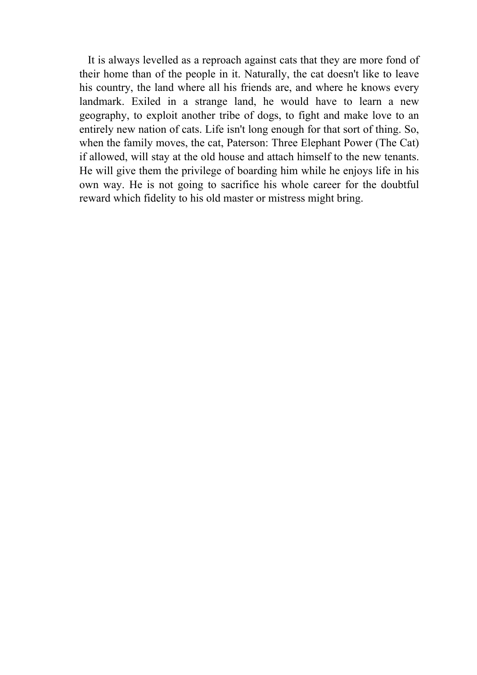It is always levelled as a reproach against cats that they are more fond of their home than of the people in it. Naturally, the cat doesn't like to leave his country, the land where all his friends are, and where he knows every landmark. Exiled in a strange land, he would have to learn a new geography, to exploit another tribe of dogs, to fight and make love to an entirely new nation of cats. Life isn't long enough for that sort of thing. So, when the family moves, the cat, Paterson: Three Elephant Power (The Cat) if allowed, will stay at the old house and attach himself to the new tenants. He will give them the privilege of boarding him while he enjoys life in his own way. He is not going to sacrifice his whole career for the doubtful reward which fidelity to his old master or mistress might bring.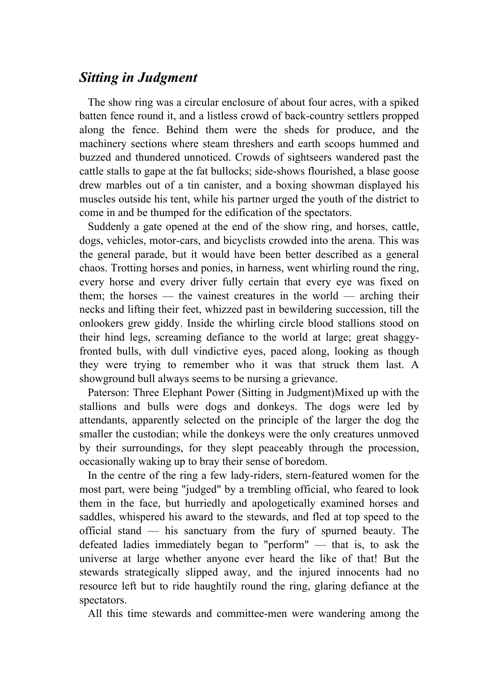## *Sitting in Judgment*

 The show ring was a circular enclosure of about four acres, with a spiked batten fence round it, and a listless crowd of back-country settlers propped along the fence. Behind them were the sheds for produce, and the machinery sections where steam threshers and earth scoops hummed and buzzed and thundered unnoticed. Crowds of sightseers wandered past the cattle stalls to gape at the fat bullocks; side-shows flourished, a blase goose drew marbles out of a tin canister, and a boxing showman displayed his muscles outside his tent, while his partner urged the youth of the district to come in and be thumped for the edification of the spectators.

 Suddenly a gate opened at the end of the show ring, and horses, cattle, dogs, vehicles, motor-cars, and bicyclists crowded into the arena. This was the general parade, but it would have been better described as a general chaos. Trotting horses and ponies, in harness, went whirling round the ring, every horse and every driver fully certain that every eye was fixed on them; the horses — the vainest creatures in the world — arching their necks and lifting their feet, whizzed past in bewildering succession, till the onlookers grew giddy. Inside the whirling circle blood stallions stood on their hind legs, screaming defiance to the world at large; great shaggyfronted bulls, with dull vindictive eyes, paced along, looking as though they were trying to remember who it was that struck them last. A showground bull always seems to be nursing a grievance.

 Paterson: Three Elephant Power (Sitting in Judgment)Mixed up with the stallions and bulls were dogs and donkeys. The dogs were led by attendants, apparently selected on the principle of the larger the dog the smaller the custodian; while the donkeys were the only creatures unmoved by their surroundings, for they slept peaceably through the procession, occasionally waking up to bray their sense of boredom.

 In the centre of the ring a few lady-riders, stern-featured women for the most part, were being "judged" by a trembling official, who feared to look them in the face, but hurriedly and apologetically examined horses and saddles, whispered his award to the stewards, and fled at top speed to the official stand — his sanctuary from the fury of spurned beauty. The defeated ladies immediately began to "perform" — that is, to ask the universe at large whether anyone ever heard the like of that! But the stewards strategically slipped away, and the injured innocents had no resource left but to ride haughtily round the ring, glaring defiance at the spectators.

All this time stewards and committee-men were wandering among the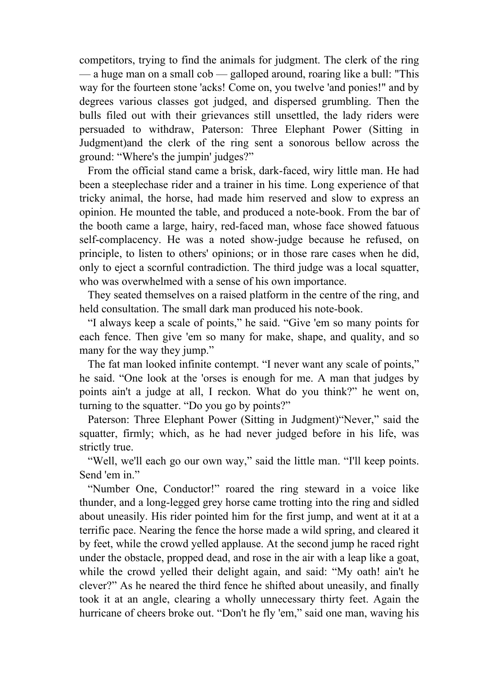competitors, trying to find the animals for judgment. The clerk of the ring — a huge man on a small cob — galloped around, roaring like a bull: "This way for the fourteen stone 'acks! Come on, you twelve 'and ponies!" and by degrees various classes got judged, and dispersed grumbling. Then the bulls filed out with their grievances still unsettled, the lady riders were persuaded to withdraw, Paterson: Three Elephant Power (Sitting in Judgment)and the clerk of the ring sent a sonorous bellow across the ground: "Where's the jumpin' judges?"

 From the official stand came a brisk, dark-faced, wiry little man. He had been a steeplechase rider and a trainer in his time. Long experience of that tricky animal, the horse, had made him reserved and slow to express an opinion. He mounted the table, and produced a note-book. From the bar of the booth came a large, hairy, red-faced man, whose face showed fatuous self-complacency. He was a noted show-judge because he refused, on principle, to listen to others' opinions; or in those rare cases when he did, only to eject a scornful contradiction. The third judge was a local squatter, who was overwhelmed with a sense of his own importance.

 They seated themselves on a raised platform in the centre of the ring, and held consultation. The small dark man produced his note-book.

 "I always keep a scale of points," he said. "Give 'em so many points for each fence. Then give 'em so many for make, shape, and quality, and so many for the way they jump."

 The fat man looked infinite contempt. "I never want any scale of points," he said. "One look at the 'orses is enough for me. A man that judges by points ain't a judge at all, I reckon. What do you think?" he went on, turning to the squatter. "Do you go by points?"

 Paterson: Three Elephant Power (Sitting in Judgment)"Never," said the squatter, firmly; which, as he had never judged before in his life, was strictly true.

 "Well, we'll each go our own way," said the little man. "I'll keep points. Send 'em in."

 "Number One, Conductor!" roared the ring steward in a voice like thunder, and a long-legged grey horse came trotting into the ring and sidled about uneasily. His rider pointed him for the first jump, and went at it at a terrific pace. Nearing the fence the horse made a wild spring, and cleared it by feet, while the crowd yelled applause. At the second jump he raced right under the obstacle, propped dead, and rose in the air with a leap like a goat, while the crowd yelled their delight again, and said: "My oath! ain't he clever?" As he neared the third fence he shifted about uneasily, and finally took it at an angle, clearing a wholly unnecessary thirty feet. Again the hurricane of cheers broke out. "Don't he fly 'em," said one man, waving his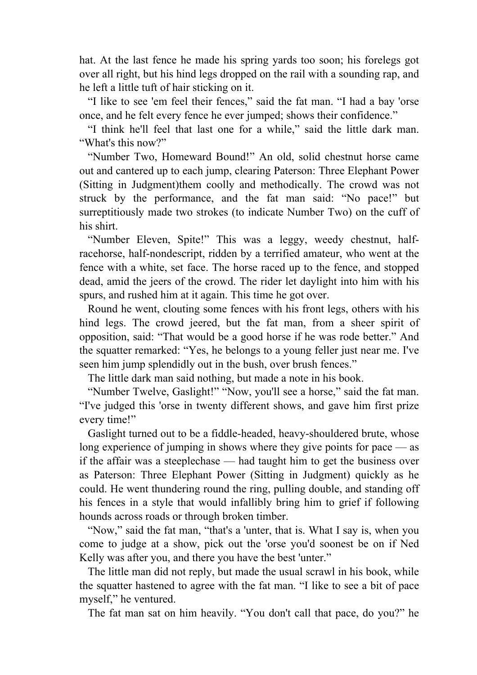hat. At the last fence he made his spring yards too soon; his forelegs got over all right, but his hind legs dropped on the rail with a sounding rap, and he left a little tuft of hair sticking on it.

 "I like to see 'em feel their fences," said the fat man. "I had a bay 'orse once, and he felt every fence he ever jumped; shows their confidence."

 "I think he'll feel that last one for a while," said the little dark man. "What's this now?"

 "Number Two, Homeward Bound!" An old, solid chestnut horse came out and cantered up to each jump, clearing Paterson: Three Elephant Power (Sitting in Judgment)them coolly and methodically. The crowd was not struck by the performance, and the fat man said: "No pace!" but surreptitiously made two strokes (to indicate Number Two) on the cuff of his shirt.

 "Number Eleven, Spite!" This was a leggy, weedy chestnut, halfracehorse, half-nondescript, ridden by a terrified amateur, who went at the fence with a white, set face. The horse raced up to the fence, and stopped dead, amid the jeers of the crowd. The rider let daylight into him with his spurs, and rushed him at it again. This time he got over.

 Round he went, clouting some fences with his front legs, others with his hind legs. The crowd jeered, but the fat man, from a sheer spirit of opposition, said: "That would be a good horse if he was rode better." And the squatter remarked: "Yes, he belongs to a young feller just near me. I've seen him jump splendidly out in the bush, over brush fences."

The little dark man said nothing, but made a note in his book.

 "Number Twelve, Gaslight!" "Now, you'll see a horse," said the fat man. "I've judged this 'orse in twenty different shows, and gave him first prize every time!"

 Gaslight turned out to be a fiddle-headed, heavy-shouldered brute, whose long experience of jumping in shows where they give points for pace — as if the affair was a steeplechase — had taught him to get the business over as Paterson: Three Elephant Power (Sitting in Judgment) quickly as he could. He went thundering round the ring, pulling double, and standing off his fences in a style that would infallibly bring him to grief if following hounds across roads or through broken timber.

 "Now," said the fat man, "that's a 'unter, that is. What I say is, when you come to judge at a show, pick out the 'orse you'd soonest be on if Ned Kelly was after you, and there you have the best 'unter."

 The little man did not reply, but made the usual scrawl in his book, while the squatter hastened to agree with the fat man. "I like to see a bit of pace myself," he ventured.

The fat man sat on him heavily. "You don't call that pace, do you?" he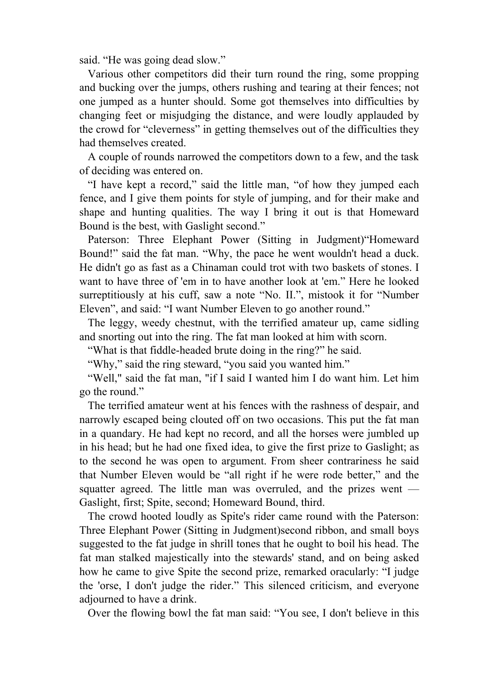said. "He was going dead slow."

 Various other competitors did their turn round the ring, some propping and bucking over the jumps, others rushing and tearing at their fences; not one jumped as a hunter should. Some got themselves into difficulties by changing feet or misjudging the distance, and were loudly applauded by the crowd for "cleverness" in getting themselves out of the difficulties they had themselves created.

 A couple of rounds narrowed the competitors down to a few, and the task of deciding was entered on.

 "I have kept a record," said the little man, "of how they jumped each fence, and I give them points for style of jumping, and for their make and shape and hunting qualities. The way I bring it out is that Homeward Bound is the best, with Gaslight second."

 Paterson: Three Elephant Power (Sitting in Judgment)"Homeward Bound!" said the fat man. "Why, the pace he went wouldn't head a duck. He didn't go as fast as a Chinaman could trot with two baskets of stones. I want to have three of 'em in to have another look at 'em." Here he looked surreptitiously at his cuff, saw a note "No. II.", mistook it for "Number Eleven", and said: "I want Number Eleven to go another round."

 The leggy, weedy chestnut, with the terrified amateur up, came sidling and snorting out into the ring. The fat man looked at him with scorn.

"What is that fiddle-headed brute doing in the ring?" he said.

"Why," said the ring steward, "you said you wanted him."

 "Well," said the fat man, "if I said I wanted him I do want him. Let him go the round."

 The terrified amateur went at his fences with the rashness of despair, and narrowly escaped being clouted off on two occasions. This put the fat man in a quandary. He had kept no record, and all the horses were jumbled up in his head; but he had one fixed idea, to give the first prize to Gaslight; as to the second he was open to argument. From sheer contrariness he said that Number Eleven would be "all right if he were rode better," and the squatter agreed. The little man was overruled, and the prizes went — Gaslight, first; Spite, second; Homeward Bound, third.

 The crowd hooted loudly as Spite's rider came round with the Paterson: Three Elephant Power (Sitting in Judgment)second ribbon, and small boys suggested to the fat judge in shrill tones that he ought to boil his head. The fat man stalked majestically into the stewards' stand, and on being asked how he came to give Spite the second prize, remarked oracularly: "I judge the 'orse, I don't judge the rider." This silenced criticism, and everyone adjourned to have a drink.

Over the flowing bowl the fat man said: "You see, I don't believe in this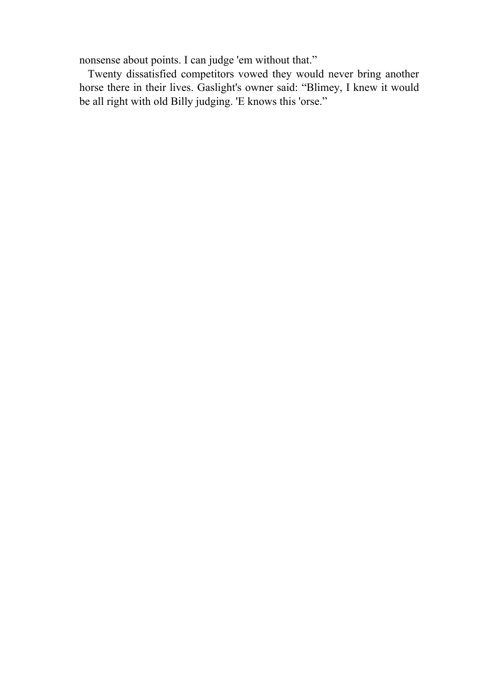nonsense about points. I can judge 'em without that."

 Twenty dissatisfied competitors vowed they would never bring another horse there in their lives. Gaslight's owner said: "Blimey, I knew it would be all right with old Billy judging. 'E knows this 'orse."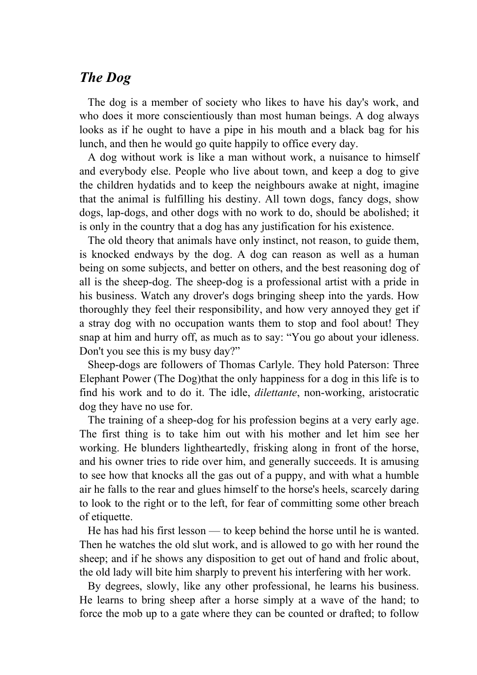### *The Dog*

 The dog is a member of society who likes to have his day's work, and who does it more conscientiously than most human beings. A dog always looks as if he ought to have a pipe in his mouth and a black bag for his lunch, and then he would go quite happily to office every day.

 A dog without work is like a man without work, a nuisance to himself and everybody else. People who live about town, and keep a dog to give the children hydatids and to keep the neighbours awake at night, imagine that the animal is fulfilling his destiny. All town dogs, fancy dogs, show dogs, lap-dogs, and other dogs with no work to do, should be abolished; it is only in the country that a dog has any justification for his existence.

 The old theory that animals have only instinct, not reason, to guide them, is knocked endways by the dog. A dog can reason as well as a human being on some subjects, and better on others, and the best reasoning dog of all is the sheep-dog. The sheep-dog is a professional artist with a pride in his business. Watch any drover's dogs bringing sheep into the yards. How thoroughly they feel their responsibility, and how very annoyed they get if a stray dog with no occupation wants them to stop and fool about! They snap at him and hurry off, as much as to say: "You go about your idleness. Don't you see this is my busy day?"

 Sheep-dogs are followers of Thomas Carlyle. They hold Paterson: Three Elephant Power (The Dog)that the only happiness for a dog in this life is to find his work and to do it. The idle, *dilettante*, non-working, aristocratic dog they have no use for.

 The training of a sheep-dog for his profession begins at a very early age. The first thing is to take him out with his mother and let him see her working. He blunders lightheartedly, frisking along in front of the horse, and his owner tries to ride over him, and generally succeeds. It is amusing to see how that knocks all the gas out of a puppy, and with what a humble air he falls to the rear and glues himself to the horse's heels, scarcely daring to look to the right or to the left, for fear of committing some other breach of etiquette.

 He has had his first lesson — to keep behind the horse until he is wanted. Then he watches the old slut work, and is allowed to go with her round the sheep; and if he shows any disposition to get out of hand and frolic about, the old lady will bite him sharply to prevent his interfering with her work.

 By degrees, slowly, like any other professional, he learns his business. He learns to bring sheep after a horse simply at a wave of the hand; to force the mob up to a gate where they can be counted or drafted; to follow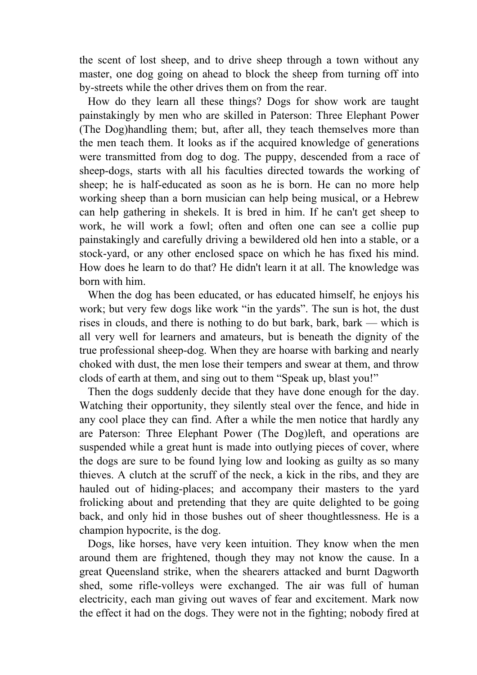the scent of lost sheep, and to drive sheep through a town without any master, one dog going on ahead to block the sheep from turning off into by-streets while the other drives them on from the rear.

 How do they learn all these things? Dogs for show work are taught painstakingly by men who are skilled in Paterson: Three Elephant Power (The Dog)handling them; but, after all, they teach themselves more than the men teach them. It looks as if the acquired knowledge of generations were transmitted from dog to dog. The puppy, descended from a race of sheep-dogs, starts with all his faculties directed towards the working of sheep; he is half-educated as soon as he is born. He can no more help working sheep than a born musician can help being musical, or a Hebrew can help gathering in shekels. It is bred in him. If he can't get sheep to work, he will work a fowl; often and often one can see a collie pup painstakingly and carefully driving a bewildered old hen into a stable, or a stock-yard, or any other enclosed space on which he has fixed his mind. How does he learn to do that? He didn't learn it at all. The knowledge was born with him.

 When the dog has been educated, or has educated himself, he enjoys his work; but very few dogs like work "in the yards". The sun is hot, the dust rises in clouds, and there is nothing to do but bark, bark, bark — which is all very well for learners and amateurs, but is beneath the dignity of the true professional sheep-dog. When they are hoarse with barking and nearly choked with dust, the men lose their tempers and swear at them, and throw clods of earth at them, and sing out to them "Speak up, blast you!"

 Then the dogs suddenly decide that they have done enough for the day. Watching their opportunity, they silently steal over the fence, and hide in any cool place they can find. After a while the men notice that hardly any are Paterson: Three Elephant Power (The Dog)left, and operations are suspended while a great hunt is made into outlying pieces of cover, where the dogs are sure to be found lying low and looking as guilty as so many thieves. A clutch at the scruff of the neck, a kick in the ribs, and they are hauled out of hiding-places; and accompany their masters to the yard frolicking about and pretending that they are quite delighted to be going back, and only hid in those bushes out of sheer thoughtlessness. He is a champion hypocrite, is the dog.

 Dogs, like horses, have very keen intuition. They know when the men around them are frightened, though they may not know the cause. In a great Queensland strike, when the shearers attacked and burnt Dagworth shed, some rifle-volleys were exchanged. The air was full of human electricity, each man giving out waves of fear and excitement. Mark now the effect it had on the dogs. They were not in the fighting; nobody fired at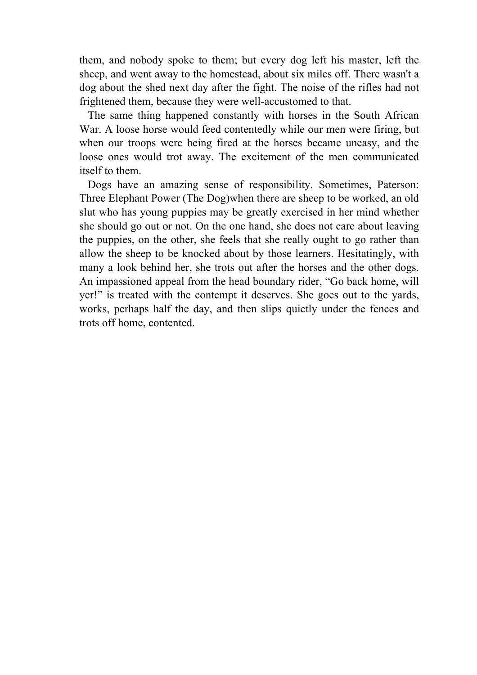them, and nobody spoke to them; but every dog left his master, left the sheep, and went away to the homestead, about six miles off. There wasn't a dog about the shed next day after the fight. The noise of the rifles had not frightened them, because they were well-accustomed to that.

 The same thing happened constantly with horses in the South African War. A loose horse would feed contentedly while our men were firing, but when our troops were being fired at the horses became uneasy, and the loose ones would trot away. The excitement of the men communicated itself to them.

 Dogs have an amazing sense of responsibility. Sometimes, Paterson: Three Elephant Power (The Dog)when there are sheep to be worked, an old slut who has young puppies may be greatly exercised in her mind whether she should go out or not. On the one hand, she does not care about leaving the puppies, on the other, she feels that she really ought to go rather than allow the sheep to be knocked about by those learners. Hesitatingly, with many a look behind her, she trots out after the horses and the other dogs. An impassioned appeal from the head boundary rider, "Go back home, will yer!" is treated with the contempt it deserves. She goes out to the yards, works, perhaps half the day, and then slips quietly under the fences and trots off home, contented.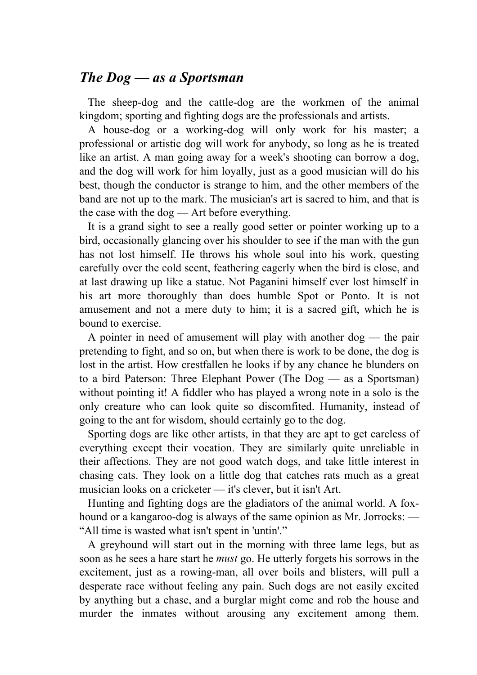#### *The Dog — as a Sportsman*

 The sheep-dog and the cattle-dog are the workmen of the animal kingdom; sporting and fighting dogs are the professionals and artists.

 A house-dog or a working-dog will only work for his master; a professional or artistic dog will work for anybody, so long as he is treated like an artist. A man going away for a week's shooting can borrow a dog, and the dog will work for him loyally, just as a good musician will do his best, though the conductor is strange to him, and the other members of the band are not up to the mark. The musician's art is sacred to him, and that is the case with the dog — Art before everything.

 It is a grand sight to see a really good setter or pointer working up to a bird, occasionally glancing over his shoulder to see if the man with the gun has not lost himself. He throws his whole soul into his work, questing carefully over the cold scent, feathering eagerly when the bird is close, and at last drawing up like a statue. Not Paganini himself ever lost himself in his art more thoroughly than does humble Spot or Ponto. It is not amusement and not a mere duty to him; it is a sacred gift, which he is bound to exercise.

 A pointer in need of amusement will play with another dog — the pair pretending to fight, and so on, but when there is work to be done, the dog is lost in the artist. How crestfallen he looks if by any chance he blunders on to a bird Paterson: Three Elephant Power (The Dog — as a Sportsman) without pointing it! A fiddler who has played a wrong note in a solo is the only creature who can look quite so discomfited. Humanity, instead of going to the ant for wisdom, should certainly go to the dog.

 Sporting dogs are like other artists, in that they are apt to get careless of everything except their vocation. They are similarly quite unreliable in their affections. They are not good watch dogs, and take little interest in chasing cats. They look on a little dog that catches rats much as a great musician looks on a cricketer — it's clever, but it isn't Art.

 Hunting and fighting dogs are the gladiators of the animal world. A foxhound or a kangaroo-dog is always of the same opinion as Mr. Jorrocks: — "All time is wasted what isn't spent in 'untin'."

 A greyhound will start out in the morning with three lame legs, but as soon as he sees a hare start he *must* go. He utterly forgets his sorrows in the excitement, just as a rowing-man, all over boils and blisters, will pull a desperate race without feeling any pain. Such dogs are not easily excited by anything but a chase, and a burglar might come and rob the house and murder the inmates without arousing any excitement among them.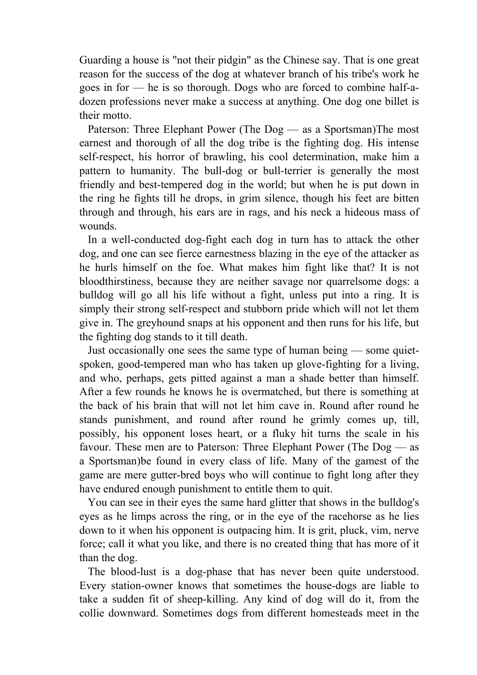Guarding a house is "not their pidgin" as the Chinese say. That is one great reason for the success of the dog at whatever branch of his tribe's work he goes in for — he is so thorough. Dogs who are forced to combine half-adozen professions never make a success at anything. One dog one billet is their motto.

 Paterson: Three Elephant Power (The Dog — as a Sportsman)The most earnest and thorough of all the dog tribe is the fighting dog. His intense self-respect, his horror of brawling, his cool determination, make him a pattern to humanity. The bull-dog or bull-terrier is generally the most friendly and best-tempered dog in the world; but when he is put down in the ring he fights till he drops, in grim silence, though his feet are bitten through and through, his ears are in rags, and his neck a hideous mass of wounds.

 In a well-conducted dog-fight each dog in turn has to attack the other dog, and one can see fierce earnestness blazing in the eye of the attacker as he hurls himself on the foe. What makes him fight like that? It is not bloodthirstiness, because they are neither savage nor quarrelsome dogs: a bulldog will go all his life without a fight, unless put into a ring. It is simply their strong self-respect and stubborn pride which will not let them give in. The greyhound snaps at his opponent and then runs for his life, but the fighting dog stands to it till death.

 Just occasionally one sees the same type of human being — some quietspoken, good-tempered man who has taken up glove-fighting for a living, and who, perhaps, gets pitted against a man a shade better than himself. After a few rounds he knows he is overmatched, but there is something at the back of his brain that will not let him cave in. Round after round he stands punishment, and round after round he grimly comes up, till, possibly, his opponent loses heart, or a fluky hit turns the scale in his favour. These men are to Paterson: Three Elephant Power (The Dog — as a Sportsman)be found in every class of life. Many of the gamest of the game are mere gutter-bred boys who will continue to fight long after they have endured enough punishment to entitle them to quit.

 You can see in their eyes the same hard glitter that shows in the bulldog's eyes as he limps across the ring, or in the eye of the racehorse as he lies down to it when his opponent is outpacing him. It is grit, pluck, vim, nerve force; call it what you like, and there is no created thing that has more of it than the dog.

 The blood-lust is a dog-phase that has never been quite understood. Every station-owner knows that sometimes the house-dogs are liable to take a sudden fit of sheep-killing. Any kind of dog will do it, from the collie downward. Sometimes dogs from different homesteads meet in the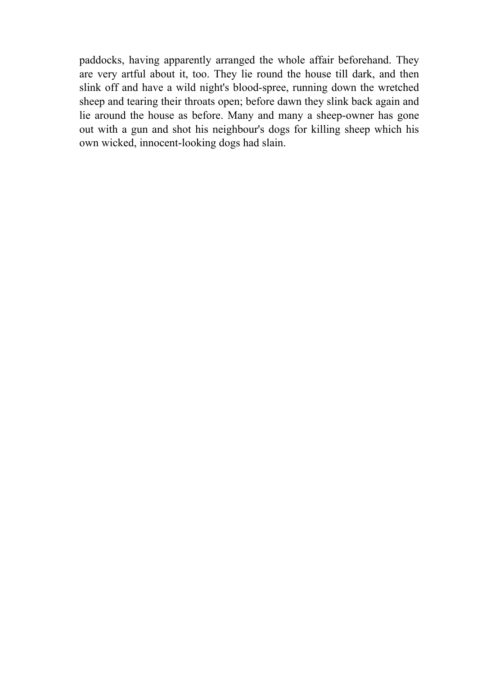paddocks, having apparently arranged the whole affair beforehand. They are very artful about it, too. They lie round the house till dark, and then slink off and have a wild night's blood-spree, running down the wretched sheep and tearing their throats open; before dawn they slink back again and lie around the house as before. Many and many a sheep-owner has gone out with a gun and shot his neighbour's dogs for killing sheep which his own wicked, innocent-looking dogs had slain.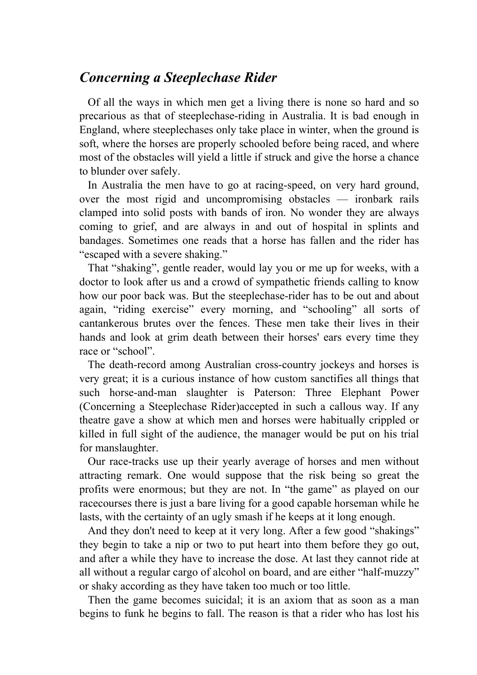## *Concerning a Steeplechase Rider*

 Of all the ways in which men get a living there is none so hard and so precarious as that of steeplechase-riding in Australia. It is bad enough in England, where steeplechases only take place in winter, when the ground is soft, where the horses are properly schooled before being raced, and where most of the obstacles will yield a little if struck and give the horse a chance to blunder over safely.

 In Australia the men have to go at racing-speed, on very hard ground, over the most rigid and uncompromising obstacles — ironbark rails clamped into solid posts with bands of iron. No wonder they are always coming to grief, and are always in and out of hospital in splints and bandages. Sometimes one reads that a horse has fallen and the rider has "escaped with a severe shaking."

 That "shaking", gentle reader, would lay you or me up for weeks, with a doctor to look after us and a crowd of sympathetic friends calling to know how our poor back was. But the steeplechase-rider has to be out and about again, "riding exercise" every morning, and "schooling" all sorts of cantankerous brutes over the fences. These men take their lives in their hands and look at grim death between their horses' ears every time they race or "school".

 The death-record among Australian cross-country jockeys and horses is very great; it is a curious instance of how custom sanctifies all things that such horse-and-man slaughter is Paterson: Three Elephant Power (Concerning a Steeplechase Rider)accepted in such a callous way. If any theatre gave a show at which men and horses were habitually crippled or killed in full sight of the audience, the manager would be put on his trial for manslaughter.

 Our race-tracks use up their yearly average of horses and men without attracting remark. One would suppose that the risk being so great the profits were enormous; but they are not. In "the game" as played on our racecourses there is just a bare living for a good capable horseman while he lasts, with the certainty of an ugly smash if he keeps at it long enough.

 And they don't need to keep at it very long. After a few good "shakings" they begin to take a nip or two to put heart into them before they go out, and after a while they have to increase the dose. At last they cannot ride at all without a regular cargo of alcohol on board, and are either "half-muzzy" or shaky according as they have taken too much or too little.

 Then the game becomes suicidal; it is an axiom that as soon as a man begins to funk he begins to fall. The reason is that a rider who has lost his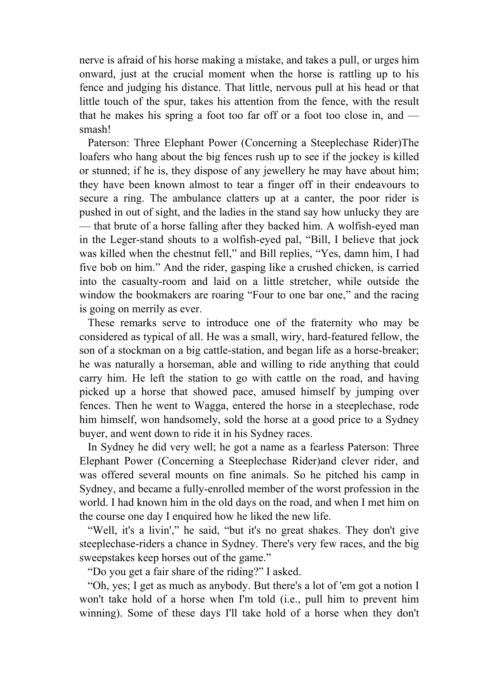nerve is afraid of his horse making a mistake, and takes a pull, or urges him onward, just at the crucial moment when the horse is rattling up to his fence and judging his distance. That little, nervous pull at his head or that little touch of the spur, takes his attention from the fence, with the result that he makes his spring a foot too far off or a foot too close in, and smash!

 Paterson: Three Elephant Power (Concerning a Steeplechase Rider)The loafers who hang about the big fences rush up to see if the jockey is killed or stunned; if he is, they dispose of any jewellery he may have about him; they have been known almost to tear a finger off in their endeavours to secure a ring. The ambulance clatters up at a canter, the poor rider is pushed in out of sight, and the ladies in the stand say how unlucky they are — that brute of a horse falling after they backed him. A wolfish-eyed man in the Leger-stand shouts to a wolfish-eyed pal, "Bill, I believe that jock was killed when the chestnut fell," and Bill replies, "Yes, damn him, I had five bob on him." And the rider, gasping like a crushed chicken, is carried into the casualty-room and laid on a little stretcher, while outside the window the bookmakers are roaring "Four to one bar one," and the racing is going on merrily as ever.

 These remarks serve to introduce one of the fraternity who may be considered as typical of all. He was a small, wiry, hard-featured fellow, the son of a stockman on a big cattle-station, and began life as a horse-breaker; he was naturally a horseman, able and willing to ride anything that could carry him. He left the station to go with cattle on the road, and having picked up a horse that showed pace, amused himself by jumping over fences. Then he went to Wagga, entered the horse in a steeplechase, rode him himself, won handsomely, sold the horse at a good price to a Sydney buyer, and went down to ride it in his Sydney races.

 In Sydney he did very well; he got a name as a fearless Paterson: Three Elephant Power (Concerning a Steeplechase Rider)and clever rider, and was offered several mounts on fine animals. So he pitched his camp in Sydney, and became a fully-enrolled member of the worst profession in the world. I had known him in the old days on the road, and when I met him on the course one day I enquired how he liked the new life.

 "Well, it's a livin'," he said, "but it's no great shakes. They don't give steeplechase-riders a chance in Sydney. There's very few races, and the big sweepstakes keep horses out of the game."

"Do you get a fair share of the riding?" I asked.

 "Oh, yes; I get as much as anybody. But there's a lot of 'em got a notion I won't take hold of a horse when I'm told (i.e., pull him to prevent him winning). Some of these days I'll take hold of a horse when they don't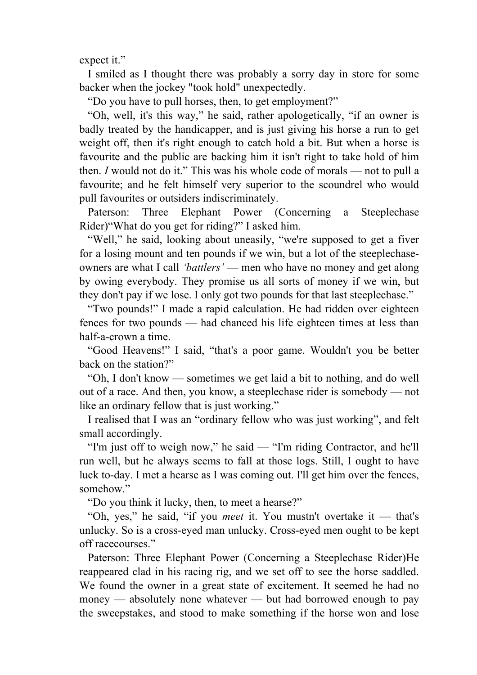expect it."

 I smiled as I thought there was probably a sorry day in store for some backer when the jockey "took hold" unexpectedly.

"Do you have to pull horses, then, to get employment?"

 "Oh, well, it's this way," he said, rather apologetically, "if an owner is badly treated by the handicapper, and is just giving his horse a run to get weight off, then it's right enough to catch hold a bit. But when a horse is favourite and the public are backing him it isn't right to take hold of him then. *I* would not do it." This was his whole code of morals — not to pull a favourite; and he felt himself very superior to the scoundrel who would pull favourites or outsiders indiscriminately.

 Paterson: Three Elephant Power (Concerning a Steeplechase Rider)"What do you get for riding?" I asked him.

 "Well," he said, looking about uneasily, "we're supposed to get a fiver for a losing mount and ten pounds if we win, but a lot of the steeplechaseowners are what I call *'battlers'* — men who have no money and get along by owing everybody. They promise us all sorts of money if we win, but they don't pay if we lose. I only got two pounds for that last steeplechase."

 "Two pounds!" I made a rapid calculation. He had ridden over eighteen fences for two pounds — had chanced his life eighteen times at less than half-a-crown a time.

 "Good Heavens!" I said, "that's a poor game. Wouldn't you be better back on the station?"

 "Oh, I don't know — sometimes we get laid a bit to nothing, and do well out of a race. And then, you know, a steeplechase rider is somebody — not like an ordinary fellow that is just working."

 I realised that I was an "ordinary fellow who was just working", and felt small accordingly.

 "I'm just off to weigh now," he said — "I'm riding Contractor, and he'll run well, but he always seems to fall at those logs. Still, I ought to have luck to-day. I met a hearse as I was coming out. I'll get him over the fences, somehow"

"Do you think it lucky, then, to meet a hearse?"

 "Oh, yes," he said, "if you *meet* it. You mustn't overtake it — that's unlucky. So is a cross-eyed man unlucky. Cross-eyed men ought to be kept off racecourses."

 Paterson: Three Elephant Power (Concerning a Steeplechase Rider)He reappeared clad in his racing rig, and we set off to see the horse saddled. We found the owner in a great state of excitement. It seemed he had no money — absolutely none whatever — but had borrowed enough to pay the sweepstakes, and stood to make something if the horse won and lose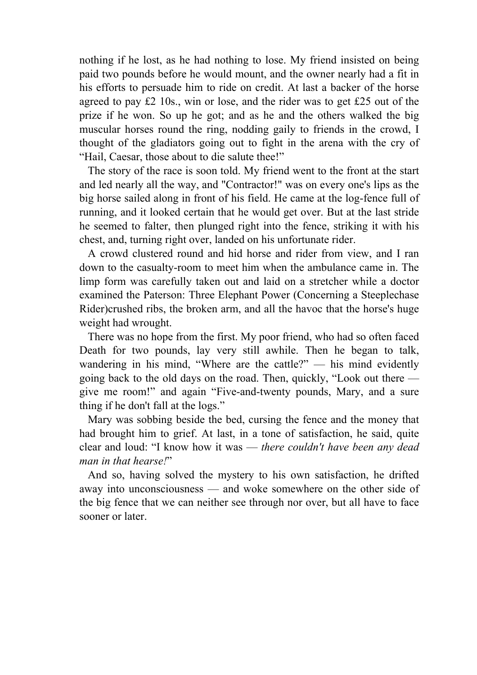nothing if he lost, as he had nothing to lose. My friend insisted on being paid two pounds before he would mount, and the owner nearly had a fit in his efforts to persuade him to ride on credit. At last a backer of the horse agreed to pay £2 10s., win or lose, and the rider was to get £25 out of the prize if he won. So up he got; and as he and the others walked the big muscular horses round the ring, nodding gaily to friends in the crowd, I thought of the gladiators going out to fight in the arena with the cry of "Hail, Caesar, those about to die salute thee!"

 The story of the race is soon told. My friend went to the front at the start and led nearly all the way, and "Contractor!" was on every one's lips as the big horse sailed along in front of his field. He came at the log-fence full of running, and it looked certain that he would get over. But at the last stride he seemed to falter, then plunged right into the fence, striking it with his chest, and, turning right over, landed on his unfortunate rider.

 A crowd clustered round and hid horse and rider from view, and I ran down to the casualty-room to meet him when the ambulance came in. The limp form was carefully taken out and laid on a stretcher while a doctor examined the Paterson: Three Elephant Power (Concerning a Steeplechase Rider)crushed ribs, the broken arm, and all the havoc that the horse's huge weight had wrought.

 There was no hope from the first. My poor friend, who had so often faced Death for two pounds, lay very still awhile. Then he began to talk, wandering in his mind, "Where are the cattle?" — his mind evidently going back to the old days on the road. Then, quickly, "Look out there give me room!" and again "Five-and-twenty pounds, Mary, and a sure thing if he don't fall at the logs."

 Mary was sobbing beside the bed, cursing the fence and the money that had brought him to grief. At last, in a tone of satisfaction, he said, quite clear and loud: "I know how it was — *there couldn't have been any dead man in that hearse!*"

 And so, having solved the mystery to his own satisfaction, he drifted away into unconsciousness — and woke somewhere on the other side of the big fence that we can neither see through nor over, but all have to face sooner or later.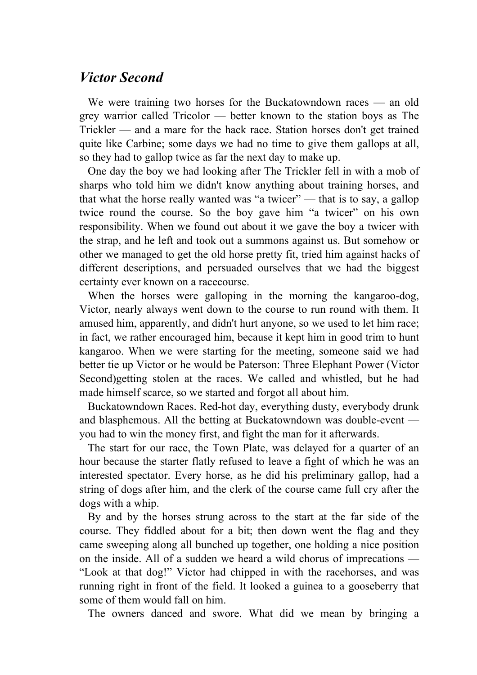## *Victor Second*

We were training two horses for the Buckatowndown races — an old grey warrior called Tricolor — better known to the station boys as The Trickler — and a mare for the hack race. Station horses don't get trained quite like Carbine; some days we had no time to give them gallops at all, so they had to gallop twice as far the next day to make up.

 One day the boy we had looking after The Trickler fell in with a mob of sharps who told him we didn't know anything about training horses, and that what the horse really wanted was "a twicer" — that is to say, a gallop twice round the course. So the boy gave him "a twicer" on his own responsibility. When we found out about it we gave the boy a twicer with the strap, and he left and took out a summons against us. But somehow or other we managed to get the old horse pretty fit, tried him against hacks of different descriptions, and persuaded ourselves that we had the biggest certainty ever known on a racecourse.

When the horses were galloping in the morning the kangaroo-dog, Victor, nearly always went down to the course to run round with them. It amused him, apparently, and didn't hurt anyone, so we used to let him race; in fact, we rather encouraged him, because it kept him in good trim to hunt kangaroo. When we were starting for the meeting, someone said we had better tie up Victor or he would be Paterson: Three Elephant Power (Victor Second)getting stolen at the races. We called and whistled, but he had made himself scarce, so we started and forgot all about him.

 Buckatowndown Races. Red-hot day, everything dusty, everybody drunk and blasphemous. All the betting at Buckatowndown was double-event you had to win the money first, and fight the man for it afterwards.

 The start for our race, the Town Plate, was delayed for a quarter of an hour because the starter flatly refused to leave a fight of which he was an interested spectator. Every horse, as he did his preliminary gallop, had a string of dogs after him, and the clerk of the course came full cry after the dogs with a whip.

 By and by the horses strung across to the start at the far side of the course. They fiddled about for a bit; then down went the flag and they came sweeping along all bunched up together, one holding a nice position on the inside. All of a sudden we heard a wild chorus of imprecations — "Look at that dog!" Victor had chipped in with the racehorses, and was running right in front of the field. It looked a guinea to a gooseberry that some of them would fall on him.

The owners danced and swore. What did we mean by bringing a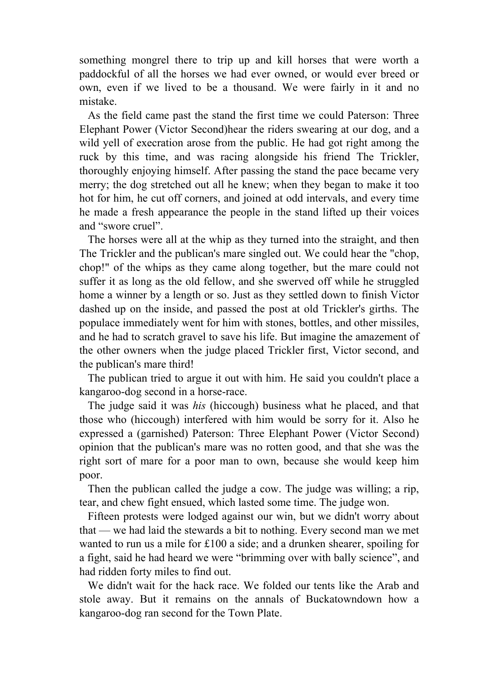something mongrel there to trip up and kill horses that were worth a paddockful of all the horses we had ever owned, or would ever breed or own, even if we lived to be a thousand. We were fairly in it and no mistake.

 As the field came past the stand the first time we could Paterson: Three Elephant Power (Victor Second)hear the riders swearing at our dog, and a wild yell of execration arose from the public. He had got right among the ruck by this time, and was racing alongside his friend The Trickler, thoroughly enjoying himself. After passing the stand the pace became very merry; the dog stretched out all he knew; when they began to make it too hot for him, he cut off corners, and joined at odd intervals, and every time he made a fresh appearance the people in the stand lifted up their voices and "swore cruel".

 The horses were all at the whip as they turned into the straight, and then The Trickler and the publican's mare singled out. We could hear the "chop, chop!" of the whips as they came along together, but the mare could not suffer it as long as the old fellow, and she swerved off while he struggled home a winner by a length or so. Just as they settled down to finish Victor dashed up on the inside, and passed the post at old Trickler's girths. The populace immediately went for him with stones, bottles, and other missiles, and he had to scratch gravel to save his life. But imagine the amazement of the other owners when the judge placed Trickler first, Victor second, and the publican's mare third!

 The publican tried to argue it out with him. He said you couldn't place a kangaroo-dog second in a horse-race.

 The judge said it was *his* (hiccough) business what he placed, and that those who (hiccough) interfered with him would be sorry for it. Also he expressed a (garnished) Paterson: Three Elephant Power (Victor Second) opinion that the publican's mare was no rotten good, and that she was the right sort of mare for a poor man to own, because she would keep him poor.

 Then the publican called the judge a cow. The judge was willing; a rip, tear, and chew fight ensued, which lasted some time. The judge won.

 Fifteen protests were lodged against our win, but we didn't worry about that — we had laid the stewards a bit to nothing. Every second man we met wanted to run us a mile for £100 a side; and a drunken shearer, spoiling for a fight, said he had heard we were "brimming over with bally science", and had ridden forty miles to find out.

 We didn't wait for the hack race. We folded our tents like the Arab and stole away. But it remains on the annals of Buckatowndown how a kangaroo-dog ran second for the Town Plate.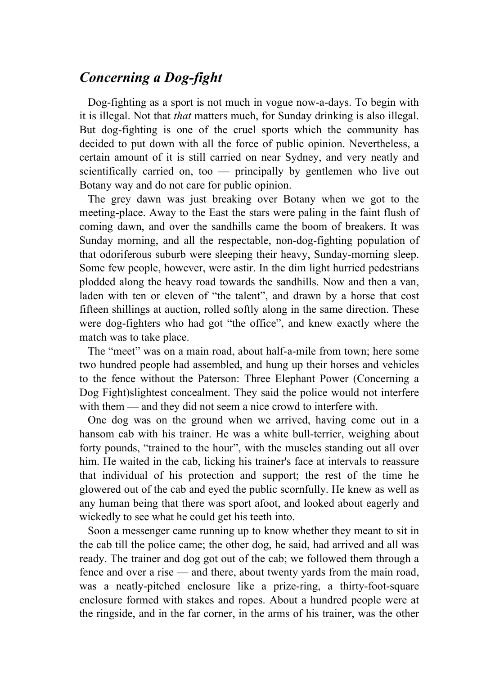# *Concerning a Dog-fight*

 Dog-fighting as a sport is not much in vogue now-a-days. To begin with it is illegal. Not that *that* matters much, for Sunday drinking is also illegal. But dog-fighting is one of the cruel sports which the community has decided to put down with all the force of public opinion. Nevertheless, a certain amount of it is still carried on near Sydney, and very neatly and scientifically carried on, too — principally by gentlemen who live out Botany way and do not care for public opinion.

 The grey dawn was just breaking over Botany when we got to the meeting-place. Away to the East the stars were paling in the faint flush of coming dawn, and over the sandhills came the boom of breakers. It was Sunday morning, and all the respectable, non-dog-fighting population of that odoriferous suburb were sleeping their heavy, Sunday-morning sleep. Some few people, however, were astir. In the dim light hurried pedestrians plodded along the heavy road towards the sandhills. Now and then a van, laden with ten or eleven of "the talent", and drawn by a horse that cost fifteen shillings at auction, rolled softly along in the same direction. These were dog-fighters who had got "the office", and knew exactly where the match was to take place.

 The "meet" was on a main road, about half-a-mile from town; here some two hundred people had assembled, and hung up their horses and vehicles to the fence without the Paterson: Three Elephant Power (Concerning a Dog Fight)slightest concealment. They said the police would not interfere with them — and they did not seem a nice crowd to interfere with.

 One dog was on the ground when we arrived, having come out in a hansom cab with his trainer. He was a white bull-terrier, weighing about forty pounds, "trained to the hour", with the muscles standing out all over him. He waited in the cab, licking his trainer's face at intervals to reassure that individual of his protection and support; the rest of the time he glowered out of the cab and eyed the public scornfully. He knew as well as any human being that there was sport afoot, and looked about eagerly and wickedly to see what he could get his teeth into.

 Soon a messenger came running up to know whether they meant to sit in the cab till the police came; the other dog, he said, had arrived and all was ready. The trainer and dog got out of the cab; we followed them through a fence and over a rise — and there, about twenty yards from the main road, was a neatly-pitched enclosure like a prize-ring, a thirty-foot-square enclosure formed with stakes and ropes. About a hundred people were at the ringside, and in the far corner, in the arms of his trainer, was the other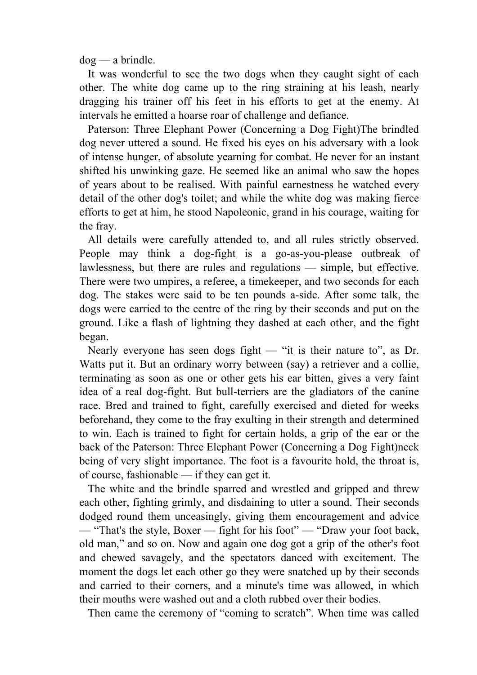dog — a brindle.

 It was wonderful to see the two dogs when they caught sight of each other. The white dog came up to the ring straining at his leash, nearly dragging his trainer off his feet in his efforts to get at the enemy. At intervals he emitted a hoarse roar of challenge and defiance.

 Paterson: Three Elephant Power (Concerning a Dog Fight)The brindled dog never uttered a sound. He fixed his eyes on his adversary with a look of intense hunger, of absolute yearning for combat. He never for an instant shifted his unwinking gaze. He seemed like an animal who saw the hopes of years about to be realised. With painful earnestness he watched every detail of the other dog's toilet; and while the white dog was making fierce efforts to get at him, he stood Napoleonic, grand in his courage, waiting for the fray.

 All details were carefully attended to, and all rules strictly observed. People may think a dog-fight is a go-as-you-please outbreak of lawlessness, but there are rules and regulations — simple, but effective. There were two umpires, a referee, a timekeeper, and two seconds for each dog. The stakes were said to be ten pounds a-side. After some talk, the dogs were carried to the centre of the ring by their seconds and put on the ground. Like a flash of lightning they dashed at each other, and the fight began.

Nearly everyone has seen dogs fight — "it is their nature to", as Dr. Watts put it. But an ordinary worry between (say) a retriever and a collie, terminating as soon as one or other gets his ear bitten, gives a very faint idea of a real dog-fight. But bull-terriers are the gladiators of the canine race. Bred and trained to fight, carefully exercised and dieted for weeks beforehand, they come to the fray exulting in their strength and determined to win. Each is trained to fight for certain holds, a grip of the ear or the back of the Paterson: Three Elephant Power (Concerning a Dog Fight)neck being of very slight importance. The foot is a favourite hold, the throat is, of course, fashionable — if they can get it.

 The white and the brindle sparred and wrestled and gripped and threw each other, fighting grimly, and disdaining to utter a sound. Their seconds dodged round them unceasingly, giving them encouragement and advice — "That's the style, Boxer — fight for his foot" — "Draw your foot back, old man," and so on. Now and again one dog got a grip of the other's foot and chewed savagely, and the spectators danced with excitement. The moment the dogs let each other go they were snatched up by their seconds and carried to their corners, and a minute's time was allowed, in which their mouths were washed out and a cloth rubbed over their bodies.

Then came the ceremony of "coming to scratch". When time was called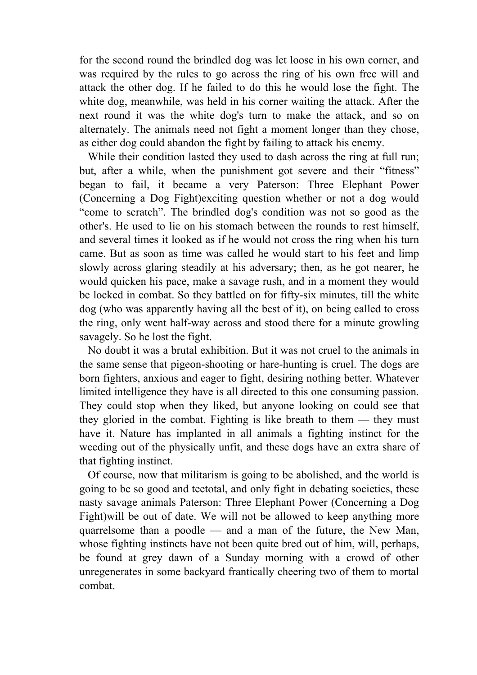for the second round the brindled dog was let loose in his own corner, and was required by the rules to go across the ring of his own free will and attack the other dog. If he failed to do this he would lose the fight. The white dog, meanwhile, was held in his corner waiting the attack. After the next round it was the white dog's turn to make the attack, and so on alternately. The animals need not fight a moment longer than they chose, as either dog could abandon the fight by failing to attack his enemy.

While their condition lasted they used to dash across the ring at full run; but, after a while, when the punishment got severe and their "fitness" began to fail, it became a very Paterson: Three Elephant Power (Concerning a Dog Fight)exciting question whether or not a dog would "come to scratch". The brindled dog's condition was not so good as the other's. He used to lie on his stomach between the rounds to rest himself, and several times it looked as if he would not cross the ring when his turn came. But as soon as time was called he would start to his feet and limp slowly across glaring steadily at his adversary; then, as he got nearer, he would quicken his pace, make a savage rush, and in a moment they would be locked in combat. So they battled on for fifty-six minutes, till the white dog (who was apparently having all the best of it), on being called to cross the ring, only went half-way across and stood there for a minute growling savagely. So he lost the fight.

 No doubt it was a brutal exhibition. But it was not cruel to the animals in the same sense that pigeon-shooting or hare-hunting is cruel. The dogs are born fighters, anxious and eager to fight, desiring nothing better. Whatever limited intelligence they have is all directed to this one consuming passion. They could stop when they liked, but anyone looking on could see that they gloried in the combat. Fighting is like breath to them — they must have it. Nature has implanted in all animals a fighting instinct for the weeding out of the physically unfit, and these dogs have an extra share of that fighting instinct.

 Of course, now that militarism is going to be abolished, and the world is going to be so good and teetotal, and only fight in debating societies, these nasty savage animals Paterson: Three Elephant Power (Concerning a Dog Fight)will be out of date. We will not be allowed to keep anything more quarrelsome than a poodle — and a man of the future, the New Man, whose fighting instincts have not been quite bred out of him, will, perhaps, be found at grey dawn of a Sunday morning with a crowd of other unregenerates in some backyard frantically cheering two of them to mortal combat.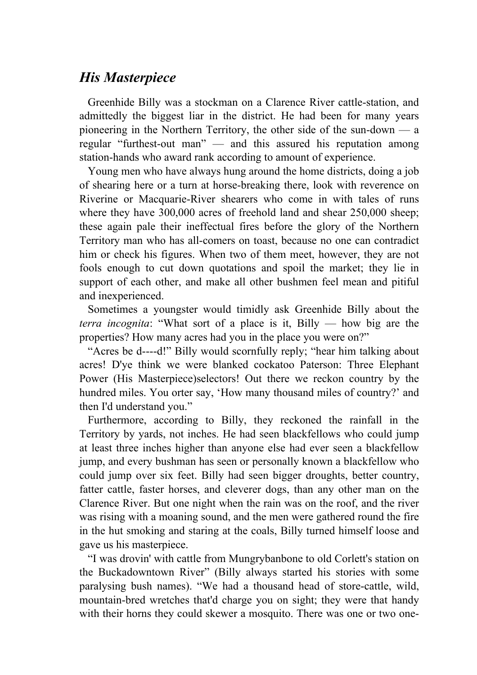## *His Masterpiece*

 Greenhide Billy was a stockman on a Clarence River cattle-station, and admittedly the biggest liar in the district. He had been for many years pioneering in the Northern Territory, the other side of the sun-down — a regular "furthest-out man" — and this assured his reputation among station-hands who award rank according to amount of experience.

 Young men who have always hung around the home districts, doing a job of shearing here or a turn at horse-breaking there, look with reverence on Riverine or Macquarie-River shearers who come in with tales of runs where they have 300,000 acres of freehold land and shear 250,000 sheep; these again pale their ineffectual fires before the glory of the Northern Territory man who has all-comers on toast, because no one can contradict him or check his figures. When two of them meet, however, they are not fools enough to cut down quotations and spoil the market; they lie in support of each other, and make all other bushmen feel mean and pitiful and inexperienced.

 Sometimes a youngster would timidly ask Greenhide Billy about the *terra incognita*: "What sort of a place is it, Billy — how big are the properties? How many acres had you in the place you were on?"

 "Acres be d----d!" Billy would scornfully reply; "hear him talking about acres! D'ye think we were blanked cockatoo Paterson: Three Elephant Power (His Masterpiece)selectors! Out there we reckon country by the hundred miles. You orter say, 'How many thousand miles of country?' and then I'd understand you."

 Furthermore, according to Billy, they reckoned the rainfall in the Territory by yards, not inches. He had seen blackfellows who could jump at least three inches higher than anyone else had ever seen a blackfellow jump, and every bushman has seen or personally known a blackfellow who could jump over six feet. Billy had seen bigger droughts, better country, fatter cattle, faster horses, and cleverer dogs, than any other man on the Clarence River. But one night when the rain was on the roof, and the river was rising with a moaning sound, and the men were gathered round the fire in the hut smoking and staring at the coals, Billy turned himself loose and gave us his masterpiece.

 "I was drovin' with cattle from Mungrybanbone to old Corlett's station on the Buckadowntown River" (Billy always started his stories with some paralysing bush names). "We had a thousand head of store-cattle, wild, mountain-bred wretches that'd charge you on sight; they were that handy with their horns they could skewer a mosquito. There was one or two one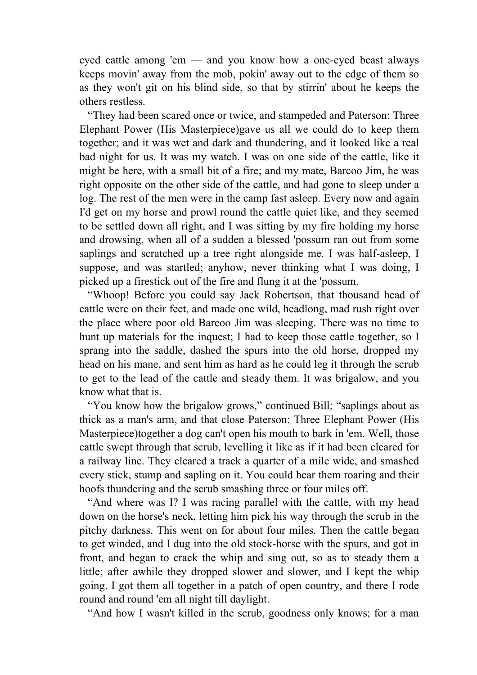eyed cattle among 'em — and you know how a one-eyed beast always keeps movin' away from the mob, pokin' away out to the edge of them so as they won't git on his blind side, so that by stirrin' about he keeps the others restless.

 "They had been scared once or twice, and stampeded and Paterson: Three Elephant Power (His Masterpiece)gave us all we could do to keep them together; and it was wet and dark and thundering, and it looked like a real bad night for us. It was my watch. I was on one side of the cattle, like it might be here, with a small bit of a fire; and my mate, Barcoo Jim, he was right opposite on the other side of the cattle, and had gone to sleep under a log. The rest of the men were in the camp fast asleep. Every now and again I'd get on my horse and prowl round the cattle quiet like, and they seemed to be settled down all right, and I was sitting by my fire holding my horse and drowsing, when all of a sudden a blessed 'possum ran out from some saplings and scratched up a tree right alongside me. I was half-asleep, I suppose, and was startled; anyhow, never thinking what I was doing, I picked up a firestick out of the fire and flung it at the 'possum.

 "Whoop! Before you could say Jack Robertson, that thousand head of cattle were on their feet, and made one wild, headlong, mad rush right over the place where poor old Barcoo Jim was sleeping. There was no time to hunt up materials for the inquest; I had to keep those cattle together, so I sprang into the saddle, dashed the spurs into the old horse, dropped my head on his mane, and sent him as hard as he could leg it through the scrub to get to the lead of the cattle and steady them. It was brigalow, and you know what that is.

 "You know how the brigalow grows," continued Bill; "saplings about as thick as a man's arm, and that close Paterson: Three Elephant Power (His Masterpiece)together a dog can't open his mouth to bark in 'em. Well, those cattle swept through that scrub, levelling it like as if it had been cleared for a railway line. They cleared a track a quarter of a mile wide, and smashed every stick, stump and sapling on it. You could hear them roaring and their hoofs thundering and the scrub smashing three or four miles off.

 "And where was I? I was racing parallel with the cattle, with my head down on the horse's neck, letting him pick his way through the scrub in the pitchy darkness. This went on for about four miles. Then the cattle began to get winded, and I dug into the old stock-horse with the spurs, and got in front, and began to crack the whip and sing out, so as to steady them a little; after awhile they dropped slower and slower, and I kept the whip going. I got them all together in a patch of open country, and there I rode round and round 'em all night till daylight.

"And how I wasn't killed in the scrub, goodness only knows; for a man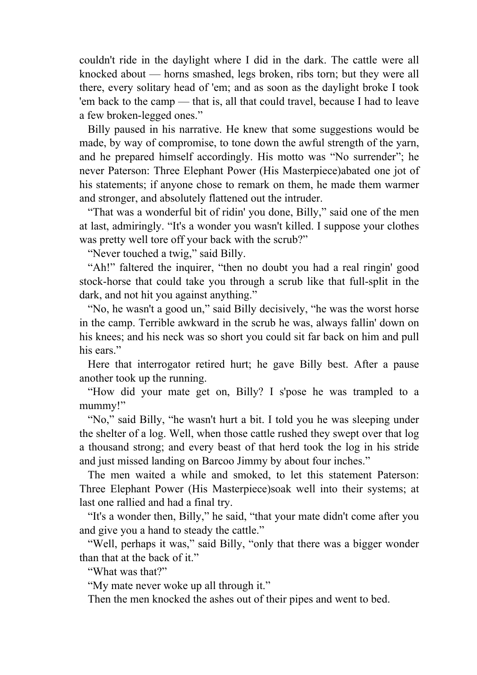couldn't ride in the daylight where I did in the dark. The cattle were all knocked about — horns smashed, legs broken, ribs torn; but they were all there, every solitary head of 'em; and as soon as the daylight broke I took 'em back to the camp — that is, all that could travel, because I had to leave a few broken-legged ones."

 Billy paused in his narrative. He knew that some suggestions would be made, by way of compromise, to tone down the awful strength of the yarn, and he prepared himself accordingly. His motto was "No surrender"; he never Paterson: Three Elephant Power (His Masterpiece)abated one jot of his statements; if anyone chose to remark on them, he made them warmer and stronger, and absolutely flattened out the intruder.

 "That was a wonderful bit of ridin' you done, Billy," said one of the men at last, admiringly. "It's a wonder you wasn't killed. I suppose your clothes was pretty well tore off your back with the scrub?"

"Never touched a twig," said Billy.

 "Ah!" faltered the inquirer, "then no doubt you had a real ringin' good stock-horse that could take you through a scrub like that full-split in the dark, and not hit you against anything."

 "No, he wasn't a good un," said Billy decisively, "he was the worst horse in the camp. Terrible awkward in the scrub he was, always fallin' down on his knees; and his neck was so short you could sit far back on him and pull his ears."

 Here that interrogator retired hurt; he gave Billy best. After a pause another took up the running.

 "How did your mate get on, Billy? I s'pose he was trampled to a mummy!"

 "No," said Billy, "he wasn't hurt a bit. I told you he was sleeping under the shelter of a log. Well, when those cattle rushed they swept over that log a thousand strong; and every beast of that herd took the log in his stride and just missed landing on Barcoo Jimmy by about four inches."

 The men waited a while and smoked, to let this statement Paterson: Three Elephant Power (His Masterpiece)soak well into their systems; at last one rallied and had a final try.

 "It's a wonder then, Billy," he said, "that your mate didn't come after you and give you a hand to steady the cattle."

 "Well, perhaps it was," said Billy, "only that there was a bigger wonder than that at the back of it."

"What was that?"

"My mate never woke up all through it."

Then the men knocked the ashes out of their pipes and went to bed.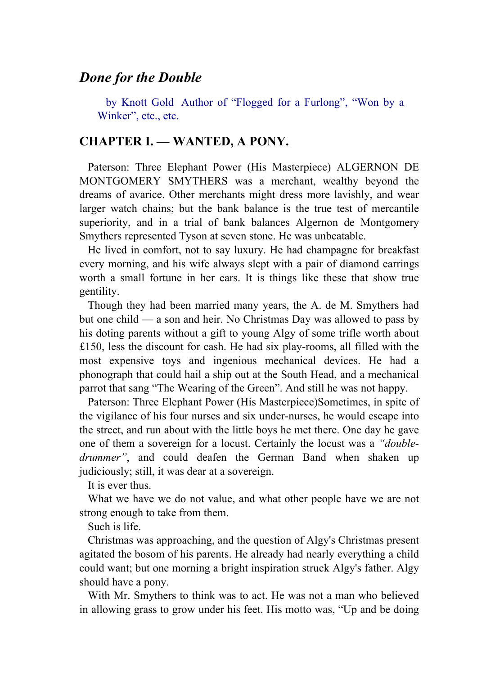### *Done for the Double*

 by Knott Gold Author of "Flogged for a Furlong", "Won by a Winker", etc., etc.

### **CHAPTER I. — WANTED, A PONY.**

 Paterson: Three Elephant Power (His Masterpiece) ALGERNON DE MONTGOMERY SMYTHERS was a merchant, wealthy beyond the dreams of avarice. Other merchants might dress more lavishly, and wear larger watch chains; but the bank balance is the true test of mercantile superiority, and in a trial of bank balances Algernon de Montgomery Smythers represented Tyson at seven stone. He was unbeatable.

 He lived in comfort, not to say luxury. He had champagne for breakfast every morning, and his wife always slept with a pair of diamond earrings worth a small fortune in her ears. It is things like these that show true gentility.

 Though they had been married many years, the A. de M. Smythers had but one child — a son and heir. No Christmas Day was allowed to pass by his doting parents without a gift to young Algy of some trifle worth about £150, less the discount for cash. He had six play-rooms, all filled with the most expensive toys and ingenious mechanical devices. He had a phonograph that could hail a ship out at the South Head, and a mechanical parrot that sang "The Wearing of the Green". And still he was not happy.

 Paterson: Three Elephant Power (His Masterpiece)Sometimes, in spite of the vigilance of his four nurses and six under-nurses, he would escape into the street, and run about with the little boys he met there. One day he gave one of them a sovereign for a locust. Certainly the locust was a *"doubledrummer"*, and could deafen the German Band when shaken up judiciously; still, it was dear at a sovereign.

It is ever thus.

 What we have we do not value, and what other people have we are not strong enough to take from them.

Such is life.

 Christmas was approaching, and the question of Algy's Christmas present agitated the bosom of his parents. He already had nearly everything a child could want; but one morning a bright inspiration struck Algy's father. Algy should have a pony.

 With Mr. Smythers to think was to act. He was not a man who believed in allowing grass to grow under his feet. His motto was, "Up and be doing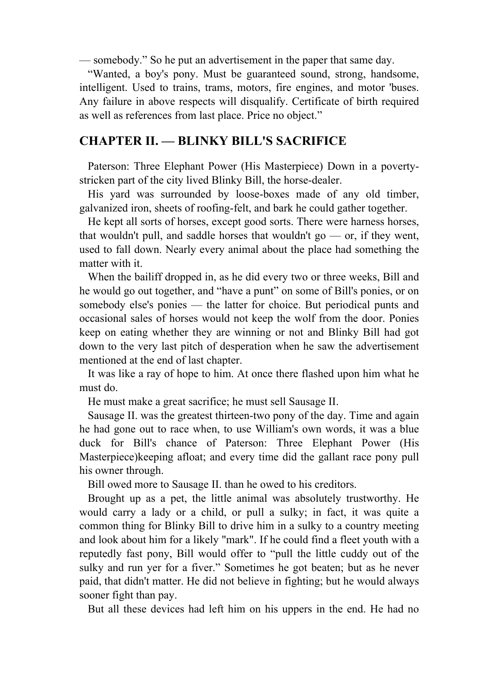— somebody." So he put an advertisement in the paper that same day.

 "Wanted, a boy's pony. Must be guaranteed sound, strong, handsome, intelligent. Used to trains, trams, motors, fire engines, and motor 'buses. Any failure in above respects will disqualify. Certificate of birth required as well as references from last place. Price no object."

### **CHAPTER II. — BLINKY BILL'S SACRIFICE**

 Paterson: Three Elephant Power (His Masterpiece) Down in a povertystricken part of the city lived Blinky Bill, the horse-dealer.

 His yard was surrounded by loose-boxes made of any old timber, galvanized iron, sheets of roofing-felt, and bark he could gather together.

 He kept all sorts of horses, except good sorts. There were harness horses, that wouldn't pull, and saddle horses that wouldn't go  $-$  or, if they went, used to fall down. Nearly every animal about the place had something the matter with it.

 When the bailiff dropped in, as he did every two or three weeks, Bill and he would go out together, and "have a punt" on some of Bill's ponies, or on somebody else's ponies — the latter for choice. But periodical punts and occasional sales of horses would not keep the wolf from the door. Ponies keep on eating whether they are winning or not and Blinky Bill had got down to the very last pitch of desperation when he saw the advertisement mentioned at the end of last chapter.

 It was like a ray of hope to him. At once there flashed upon him what he must do.

He must make a great sacrifice; he must sell Sausage II.

 Sausage II. was the greatest thirteen-two pony of the day. Time and again he had gone out to race when, to use William's own words, it was a blue duck for Bill's chance of Paterson: Three Elephant Power (His Masterpiece)keeping afloat; and every time did the gallant race pony pull his owner through.

Bill owed more to Sausage II. than he owed to his creditors.

 Brought up as a pet, the little animal was absolutely trustworthy. He would carry a lady or a child, or pull a sulky; in fact, it was quite a common thing for Blinky Bill to drive him in a sulky to a country meeting and look about him for a likely "mark". If he could find a fleet youth with a reputedly fast pony, Bill would offer to "pull the little cuddy out of the sulky and run yer for a fiver." Sometimes he got beaten; but as he never paid, that didn't matter. He did not believe in fighting; but he would always sooner fight than pay.

But all these devices had left him on his uppers in the end. He had no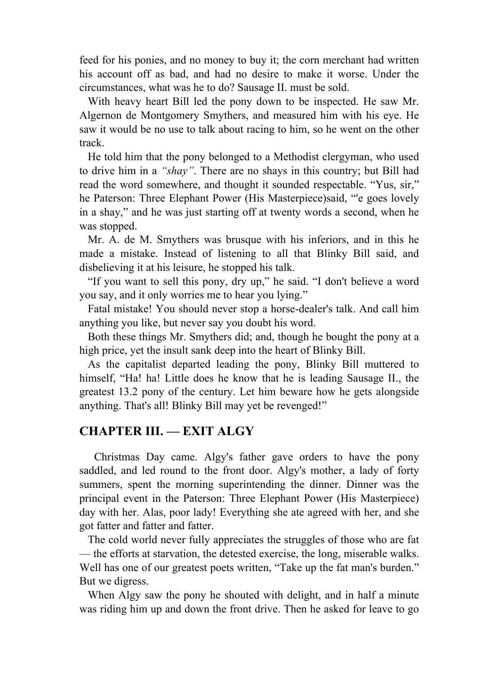feed for his ponies, and no money to buy it; the corn merchant had written his account off as bad, and had no desire to make it worse. Under the circumstances, what was he to do? Sausage II. must be sold.

 With heavy heart Bill led the pony down to be inspected. He saw Mr. Algernon de Montgomery Smythers, and measured him with his eye. He saw it would be no use to talk about racing to him, so he went on the other track.

 He told him that the pony belonged to a Methodist clergyman, who used to drive him in a *"shay"*. There are no shays in this country; but Bill had read the word somewhere, and thought it sounded respectable. "Yus, sir," he Paterson: Three Elephant Power (His Masterpiece)said, "'e goes lovely in a shay," and he was just starting off at twenty words a second, when he was stopped.

 Mr. A. de M. Smythers was brusque with his inferiors, and in this he made a mistake. Instead of listening to all that Blinky Bill said, and disbelieving it at his leisure, he stopped his talk.

 "If you want to sell this pony, dry up," he said. "I don't believe a word you say, and it only worries me to hear you lying."

 Fatal mistake! You should never stop a horse-dealer's talk. And call him anything you like, but never say you doubt his word.

 Both these things Mr. Smythers did; and, though he bought the pony at a high price, yet the insult sank deep into the heart of Blinky Bill.

 As the capitalist departed leading the pony, Blinky Bill muttered to himself, "Ha! ha! Little does he know that he is leading Sausage II., the greatest 13.2 pony of the century. Let him beware how he gets alongside anything. That's all! Blinky Bill may yet be revenged!"

#### **CHAPTER III. — EXIT ALGY**

 Christmas Day came. Algy's father gave orders to have the pony saddled, and led round to the front door. Algy's mother, a lady of forty summers, spent the morning superintending the dinner. Dinner was the principal event in the Paterson: Three Elephant Power (His Masterpiece) day with her. Alas, poor lady! Everything she ate agreed with her, and she got fatter and fatter and fatter.

 The cold world never fully appreciates the struggles of those who are fat — the efforts at starvation, the detested exercise, the long, miserable walks. Well has one of our greatest poets written, "Take up the fat man's burden." But we digress.

 When Algy saw the pony he shouted with delight, and in half a minute was riding him up and down the front drive. Then he asked for leave to go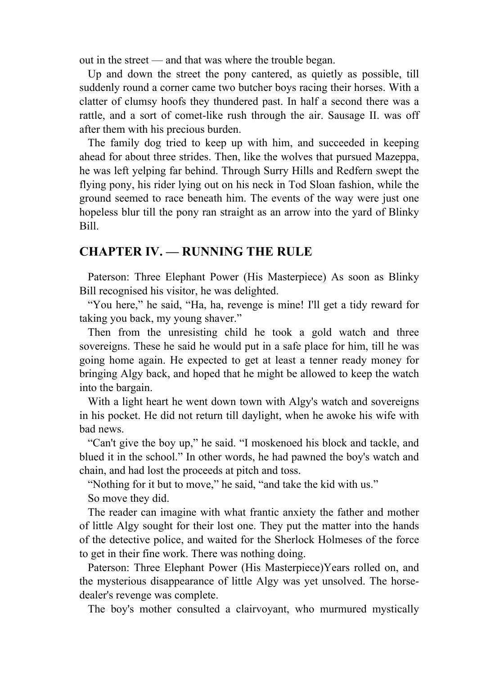out in the street — and that was where the trouble began.

 Up and down the street the pony cantered, as quietly as possible, till suddenly round a corner came two butcher boys racing their horses. With a clatter of clumsy hoofs they thundered past. In half a second there was a rattle, and a sort of comet-like rush through the air. Sausage II. was off after them with his precious burden.

 The family dog tried to keep up with him, and succeeded in keeping ahead for about three strides. Then, like the wolves that pursued Mazeppa, he was left yelping far behind. Through Surry Hills and Redfern swept the flying pony, his rider lying out on his neck in Tod Sloan fashion, while the ground seemed to race beneath him. The events of the way were just one hopeless blur till the pony ran straight as an arrow into the yard of Blinky Bill.

### **CHAPTER IV. — RUNNING THE RULE**

 Paterson: Three Elephant Power (His Masterpiece) As soon as Blinky Bill recognised his visitor, he was delighted.

 "You here," he said, "Ha, ha, revenge is mine! I'll get a tidy reward for taking you back, my young shaver."

 Then from the unresisting child he took a gold watch and three sovereigns. These he said he would put in a safe place for him, till he was going home again. He expected to get at least a tenner ready money for bringing Algy back, and hoped that he might be allowed to keep the watch into the bargain.

 With a light heart he went down town with Algy's watch and sovereigns in his pocket. He did not return till daylight, when he awoke his wife with bad news.

 "Can't give the boy up," he said. "I moskenoed his block and tackle, and blued it in the school." In other words, he had pawned the boy's watch and chain, and had lost the proceeds at pitch and toss.

"Nothing for it but to move," he said, "and take the kid with us."

So move they did.

 The reader can imagine with what frantic anxiety the father and mother of little Algy sought for their lost one. They put the matter into the hands of the detective police, and waited for the Sherlock Holmeses of the force to get in their fine work. There was nothing doing.

 Paterson: Three Elephant Power (His Masterpiece)Years rolled on, and the mysterious disappearance of little Algy was yet unsolved. The horsedealer's revenge was complete.

The boy's mother consulted a clairvoyant, who murmured mystically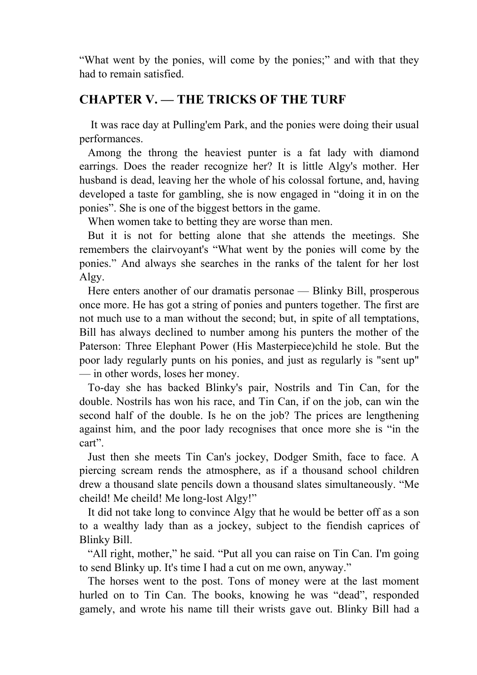"What went by the ponies, will come by the ponies;" and with that they had to remain satisfied.

## **CHAPTER V. — THE TRICKS OF THE TURF**

 It was race day at Pulling'em Park, and the ponies were doing their usual performances.

 Among the throng the heaviest punter is a fat lady with diamond earrings. Does the reader recognize her? It is little Algy's mother. Her husband is dead, leaving her the whole of his colossal fortune, and, having developed a taste for gambling, she is now engaged in "doing it in on the ponies". She is one of the biggest bettors in the game.

When women take to betting they are worse than men.

 But it is not for betting alone that she attends the meetings. She remembers the clairvoyant's "What went by the ponies will come by the ponies." And always she searches in the ranks of the talent for her lost Algy.

 Here enters another of our dramatis personae — Blinky Bill, prosperous once more. He has got a string of ponies and punters together. The first are not much use to a man without the second; but, in spite of all temptations, Bill has always declined to number among his punters the mother of the Paterson: Three Elephant Power (His Masterpiece)child he stole. But the poor lady regularly punts on his ponies, and just as regularly is "sent up" — in other words, loses her money.

 To-day she has backed Blinky's pair, Nostrils and Tin Can, for the double. Nostrils has won his race, and Tin Can, if on the job, can win the second half of the double. Is he on the job? The prices are lengthening against him, and the poor lady recognises that once more she is "in the cart".

 Just then she meets Tin Can's jockey, Dodger Smith, face to face. A piercing scream rends the atmosphere, as if a thousand school children drew a thousand slate pencils down a thousand slates simultaneously. "Me cheild! Me cheild! Me long-lost Algy!"

 It did not take long to convince Algy that he would be better off as a son to a wealthy lady than as a jockey, subject to the fiendish caprices of Blinky Bill.

 "All right, mother," he said. "Put all you can raise on Tin Can. I'm going to send Blinky up. It's time I had a cut on me own, anyway."

 The horses went to the post. Tons of money were at the last moment hurled on to Tin Can. The books, knowing he was "dead", responded gamely, and wrote his name till their wrists gave out. Blinky Bill had a